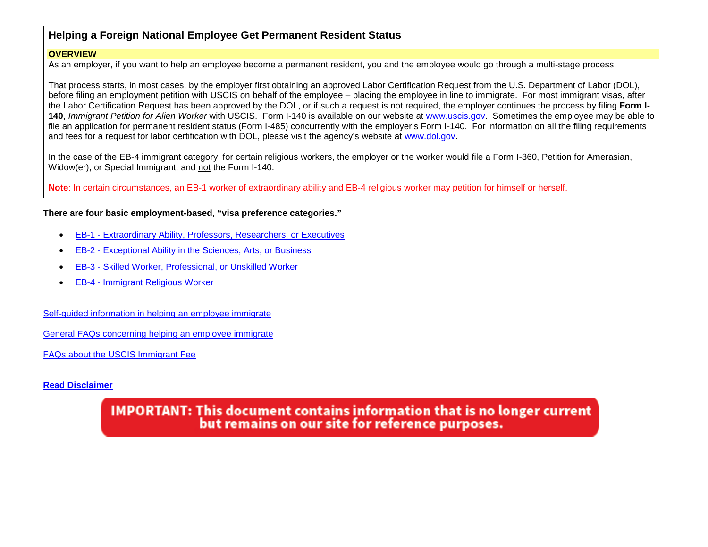# <span id="page-0-0"></span>**Helping a Foreign National Employee Get Permanent Resident Status**

### **OVERVIEW**

As an employer, if you want to help an employee become a permanent resident, you and the employee would go through a multi-stage process.

That process starts, in most cases, by the employer first obtaining an approved Labor Certification Request from the U.S. Department of Labor (DOL), before filing an employment petition with USCIS on behalf of the employee – placing the employee in line to immigrate. For most immigrant visas, after the Labor Certification Request has been approved by the DOL, or if such a request is not required, the employer continues the process by filing **Form I-140**, *Immigrant Petition for Alien Worker* with USCIS. Form I-140 is available on our website at www.uscis.gov. Sometimes the employee may be able to file an application for permanent resident status (Form I-485) concurrently with the employer's Form I-140. For information on all the filing requirements and fees for a request for labor certification with DOL, please visit the agency's website at [www.dol.gov.](http://www.dol.gov/)

In the case of the EB-4 immigrant category, for certain religious workers, the employer or the worker would file a Form I-360, Petition for Amerasian, Widow(er), or Special Immigrant, and not the Form I-140.

**Note**: In certain circumstances, an EB-1 worker of extraordinary ability and EB-4 religious worker may petition for himself or herself.

### **There are four basic employment-based, "visa preference categories."**

- EB-1 [Extraordinary Ability, Professors, Researchers, or Executives](#page-41-0)
- EB-2 [Exceptional Ability in the Sciences, Arts, or Business](#page-68-0)
- EB-3 [Skilled Worker, Professional, or Unskilled Worker](#page-77-0)
- EB-4 [Immigrant Religious Worker](#page-86-0)

[Self-guided information in helping an employee immigrate](#page-1-0)

[General FAQs concerning helping an employee immigrate](#page-28-0)

[FAQs about the USCIS Immigrant Fee](#page-33-0)

### **[Read Disclaimer](#page-95-0)**

**IMPORTANT: This document contains information that is no longer current** but remains on our site for reference purposes.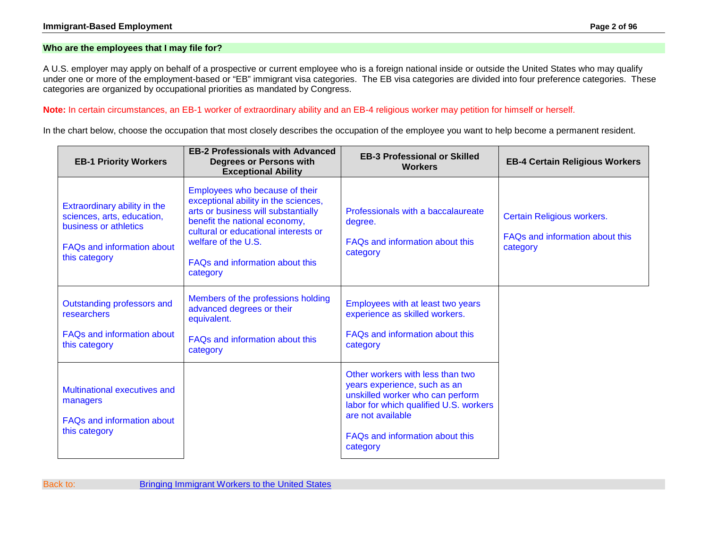### <span id="page-1-0"></span>**Who are the employees that I may file for?**

A U.S. employer may apply on behalf of a prospective or current employee who is a foreign national inside or outside the United States who may qualify under one or more of the employment-based or "EB" immigrant visa categories. The EB visa categories are divided into four preference categories. These categories are organized by occupational priorities as mandated by Congress.

**Note:** In certain circumstances, an EB-1 worker of extraordinary ability and an EB-4 religious worker may petition for himself or herself.

In the chart below, choose the occupation that most closely describes the occupation of the employee you want to help become a permanent resident.

| <b>EB-1 Priority Workers</b>                                                                                                              | <b>EB-2 Professionals with Advanced</b><br><b>Degrees or Persons with</b><br><b>Exceptional Ability</b>                                                                                                                                                      | <b>EB-3 Professional or Skilled</b><br><b>Workers</b>                                                                                                                                                              | <b>EB-4 Certain Religious Workers</b>                                     |
|-------------------------------------------------------------------------------------------------------------------------------------------|--------------------------------------------------------------------------------------------------------------------------------------------------------------------------------------------------------------------------------------------------------------|--------------------------------------------------------------------------------------------------------------------------------------------------------------------------------------------------------------------|---------------------------------------------------------------------------|
| Extraordinary ability in the<br>sciences, arts, education,<br>business or athletics<br><b>FAQs and information about</b><br>this category | Employees who because of their<br>exceptional ability in the sciences,<br>arts or business will substantially<br>benefit the national economy,<br>cultural or educational interests or<br>welfare of the U.S.<br>FAQs and information about this<br>category | Professionals with a baccalaureate<br>degree.<br>FAQs and information about this<br>category                                                                                                                       | Certain Religious workers.<br>FAQs and information about this<br>category |
| Outstanding professors and<br>researchers<br><b>FAQs and information about</b><br>this category                                           | Members of the professions holding<br>advanced degrees or their<br>equivalent.<br>FAQs and information about this<br>category                                                                                                                                | Employees with at least two years<br>experience as skilled workers.<br>FAQs and information about this<br>category                                                                                                 |                                                                           |
| Multinational executives and<br>managers<br><b>FAQs and information about</b><br>this category                                            |                                                                                                                                                                                                                                                              | Other workers with less than two<br>years experience, such as an<br>unskilled worker who can perform<br>labor for which qualified U.S. workers<br>are not available<br>FAQs and information about this<br>category |                                                                           |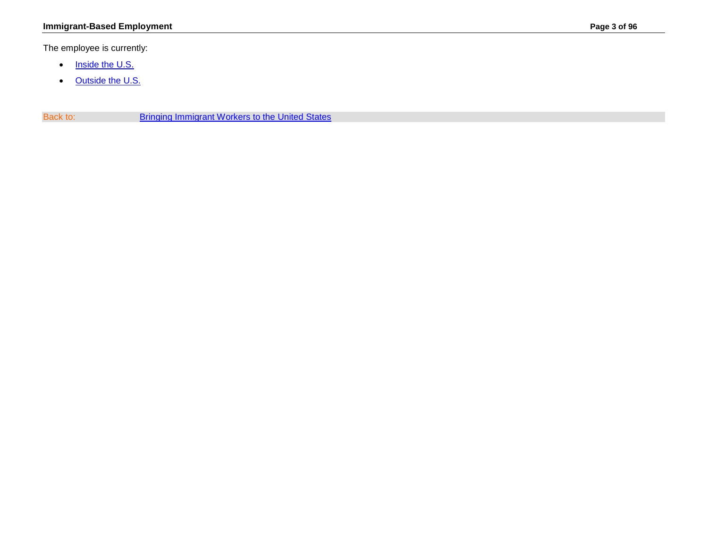<span id="page-2-0"></span>The employee is currently:

- [Inside the U.S.](#page-3-0)
- [Outside the U.S.](#page-8-0)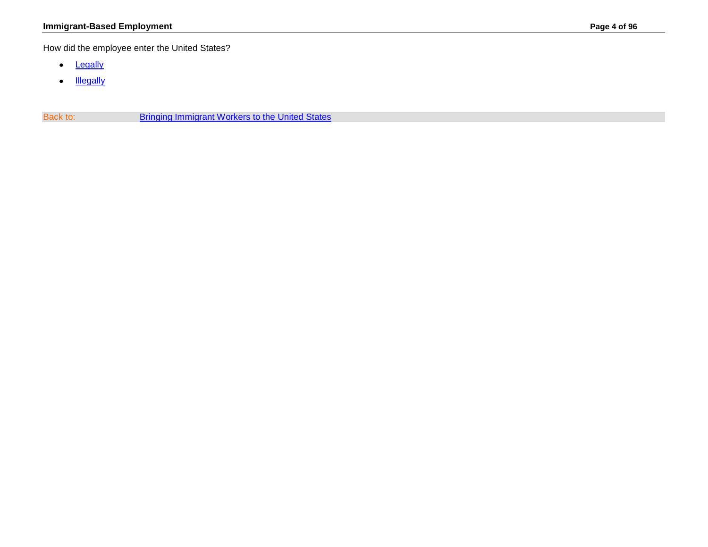<span id="page-3-0"></span>How did the employee enter the United States?

- [Legally](#page-4-0)
- [Illegally](#page-14-0)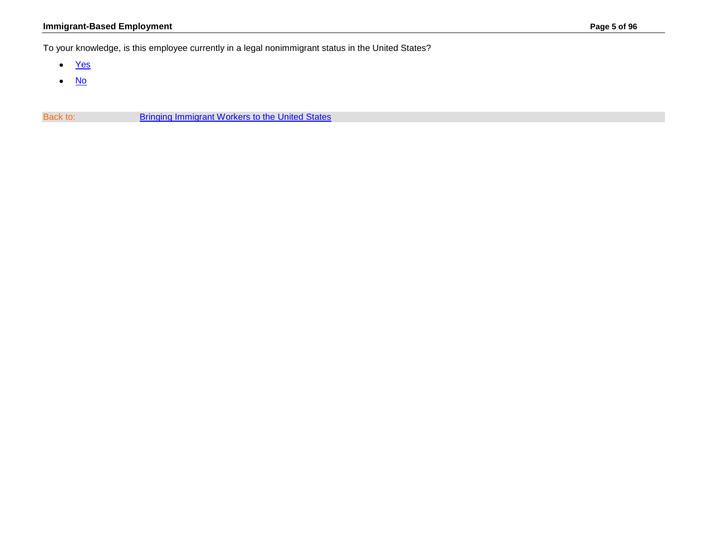## **Immigrant-Based Employment Page 5 of 96**

<span id="page-4-0"></span>To your knowledge, is this employee currently in a legal nonimmigrant status in the United States?

- [Yes](#page-5-0)
- [No](#page-14-0)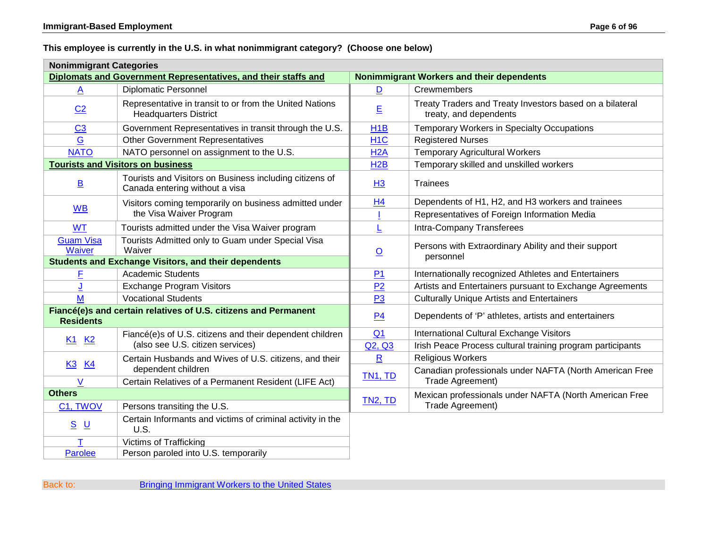## <span id="page-5-0"></span>**This employee is currently in the U.S. in what nonimmigrant category? (Choose one below)**

| <b>Nonimmigrant Categories</b>                                                      |                                                                                                                    |                                           |                                                                                    |  |  |
|-------------------------------------------------------------------------------------|--------------------------------------------------------------------------------------------------------------------|-------------------------------------------|------------------------------------------------------------------------------------|--|--|
|                                                                                     | Diplomats and Government Representatives, and their staffs and                                                     | Nonimmigrant Workers and their dependents |                                                                                    |  |  |
| A                                                                                   | <b>Diplomatic Personnel</b>                                                                                        | D                                         | Crewmembers                                                                        |  |  |
| C <sub>2</sub>                                                                      | Representative in transit to or from the United Nations<br><b>Headquarters District</b>                            | E                                         | Treaty Traders and Treaty Investors based on a bilateral<br>treaty, and dependents |  |  |
| C <sub>3</sub>                                                                      | Government Representatives in transit through the U.S.                                                             | H <sub>1</sub> B                          | Temporary Workers in Specialty Occupations                                         |  |  |
| G                                                                                   | <b>Other Government Representatives</b>                                                                            | H <sub>1</sub> C                          | <b>Registered Nurses</b>                                                           |  |  |
| <b>NATO</b>                                                                         | NATO personnel on assignment to the U.S.                                                                           |                                           | <b>Temporary Agricultural Workers</b>                                              |  |  |
|                                                                                     | <b>Tourists and Visitors on business</b>                                                                           | H2B                                       | Temporary skilled and unskilled workers                                            |  |  |
| $\underline{\mathsf{B}}$                                                            | Tourists and Visitors on Business including citizens of<br><b>Trainees</b><br>H3<br>Canada entering without a visa |                                           |                                                                                    |  |  |
| <b>WB</b>                                                                           | Visitors coming temporarily on business admitted under<br>the Visa Waiver Program                                  | H <sub>4</sub>                            | Dependents of H1, H2, and H3 workers and trainees                                  |  |  |
|                                                                                     |                                                                                                                    |                                           | Representatives of Foreign Information Media                                       |  |  |
| <b>WT</b>                                                                           | Tourists admitted under the Visa Waiver program                                                                    |                                           | Intra-Company Transferees                                                          |  |  |
| <b>Guam Visa</b><br>Waiver                                                          | Tourists Admitted only to Guam under Special Visa<br>Waiver                                                        | $\overline{\mathsf{O}}$                   | Persons with Extraordinary Ability and their support<br>personnel                  |  |  |
|                                                                                     | <b>Students and Exchange Visitors, and their dependents</b>                                                        |                                           |                                                                                    |  |  |
| F                                                                                   | <b>Academic Students</b>                                                                                           | P <sub>1</sub>                            | Internationally recognized Athletes and Entertainers                               |  |  |
|                                                                                     | <b>Exchange Program Visitors</b>                                                                                   | P2                                        | Artists and Entertainers pursuant to Exchange Agreements                           |  |  |
| M                                                                                   | <b>Vocational Students</b>                                                                                         | P <sub>3</sub>                            | <b>Culturally Unique Artists and Entertainers</b>                                  |  |  |
| Fiancé(e)s and certain relatives of U.S. citizens and Permanent<br><b>Residents</b> |                                                                                                                    | P <sub>4</sub>                            | Dependents of 'P' athletes, artists and entertainers                               |  |  |
|                                                                                     | Fiancé(e)s of U.S. citizens and their dependent children<br>(also see U.S. citizen services)                       | Q <sub>1</sub>                            | International Cultural Exchange Visitors                                           |  |  |
| K <sub>1</sub> K <sub>2</sub>                                                       |                                                                                                                    | Q2, Q3                                    | Irish Peace Process cultural training program participants                         |  |  |
| K3 K4                                                                               | Certain Husbands and Wives of U.S. citizens, and their<br>dependent children                                       | $\overline{\mathbf{R}}$                   | <b>Religious Workers</b>                                                           |  |  |
|                                                                                     |                                                                                                                    | TN <sub>1</sub> , TD                      | Canadian professionals under NAFTA (North American Free                            |  |  |
| V                                                                                   | Certain Relatives of a Permanent Resident (LIFE Act)                                                               |                                           | Trade Agreement)                                                                   |  |  |
| <b>Others</b>                                                                       |                                                                                                                    | TN <sub>2</sub> , TD                      | Mexican professionals under NAFTA (North American Free                             |  |  |
| C1, TWOV                                                                            | Persons transiting the U.S.                                                                                        |                                           | Trade Agreement)                                                                   |  |  |
| $S$ U                                                                               | Certain Informants and victims of criminal activity in the<br>U.S.                                                 |                                           |                                                                                    |  |  |
|                                                                                     | <b>Victims of Trafficking</b>                                                                                      |                                           |                                                                                    |  |  |
| Parolee                                                                             | Person paroled into U.S. temporarily                                                                               |                                           |                                                                                    |  |  |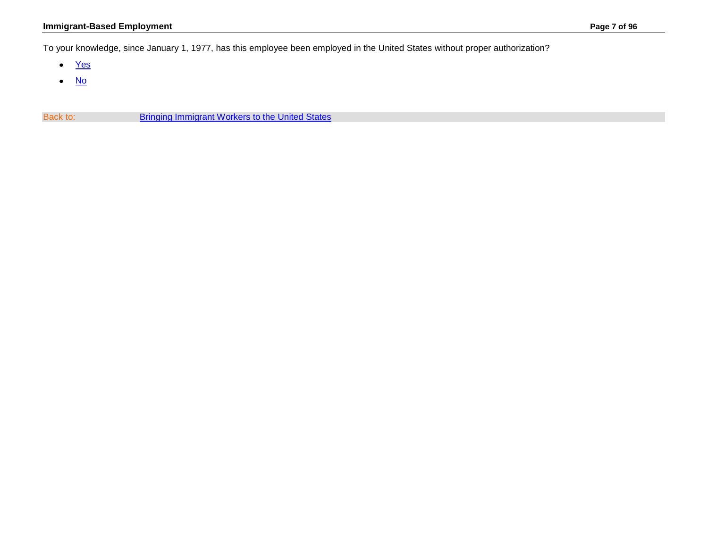<span id="page-6-0"></span>To your knowledge, since January 1, 1977, has this employee been employed in the United States without proper authorization?

- [Yes](#page-14-0)
- [No](#page-7-0)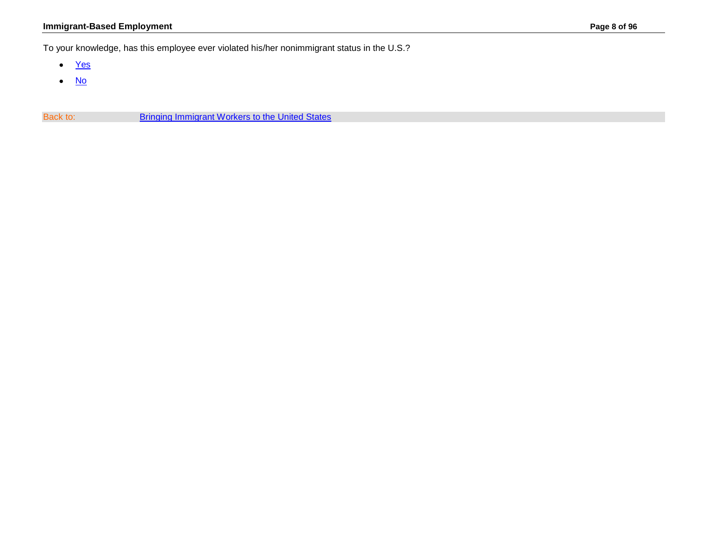## **Immigrant-Based Employment Page 8 of 96**

<span id="page-7-0"></span>To your knowledge, has this employee ever violated his/her nonimmigrant status in the U.S.?

- [Yes](#page-14-0)
- [No](#page-9-0)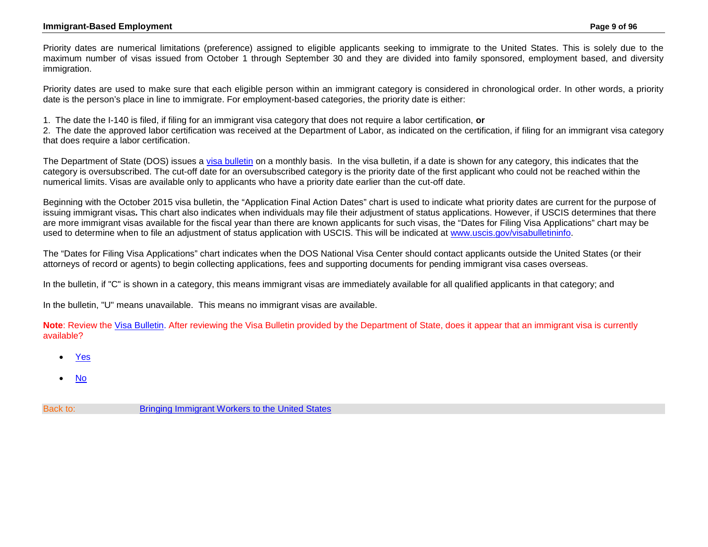#### **Immigrant-Based Employment Page 9 of 96**

<span id="page-8-0"></span>Priority dates are numerical limitations (preference) assigned to eligible applicants seeking to immigrate to the United States. This is solely due to the maximum number of visas issued from October 1 through September 30 and they are divided into family sponsored, employment based, and diversity immigration.

Priority dates are used to make sure that each eligible person within an immigrant category is considered in chronological order. In other words, a priority date is the person's place in line to immigrate. For employment-based categories, the priority date is either:

1. The date the I-140 is filed, if filing for an immigrant visa category that does not require a labor certification, **or**

2. The date the approved labor certification was received at the Department of Labor, as indicated on the certification, if filing for an immigrant visa category that does require a labor certification.

The Department of State (DOS) issues a [visa bulletin](http://travel.state.gov/content/visas/english/law-and-policy/bulletin.html) on a monthly basis. In the visa bulletin, if a date is shown for any category, this indicates that the category is oversubscribed. The cut-off date for an oversubscribed category is the priority date of the first applicant who could not be reached within the numerical limits. Visas are available only to applicants who have a priority date earlier than the cut-off date.

Beginning with the October 2015 visa bulletin, the "Application Final Action Dates" chart is used to indicate what priority dates are current for the purpose of issuing immigrant visas*.* This chart also indicates when individuals may file their adjustment of status applications. However, if USCIS determines that there are more immigrant visas available for the fiscal year than there are known applicants for such visas, the "Dates for Filing Visa Applications" chart may be used to determine when to file an adjustment of status application with USCIS. This will be indicated at [www.uscis.gov/visabulletininfo.](http://www.uscis.gov/visabulletininfo)

The "Dates for Filing Visa Applications" chart indicates when the DOS National Visa Center should contact applicants outside the United States (or their attorneys of record or agents) to begin collecting applications, fees and supporting documents for pending immigrant visa cases overseas.

In the bulletin, if "C" is shown in a category, this means immigrant visas are immediately available for all qualified applicants in that category; and

In the bulletin, "U" means unavailable. This means no immigrant visas are available.

**Note**: Review the [Visa Bulletin.](http://travel.state.gov/content/visas/english/law-and-policy/bulletin.html) After reviewing the Visa Bulletin provided by the Department of State, does it appear that an immigrant visa is currently available?

- [Yes](#page-10-0)
- [No](#page-11-0)
- Back to: [Bringing Immigrant Workers to the United States](#page-0-0)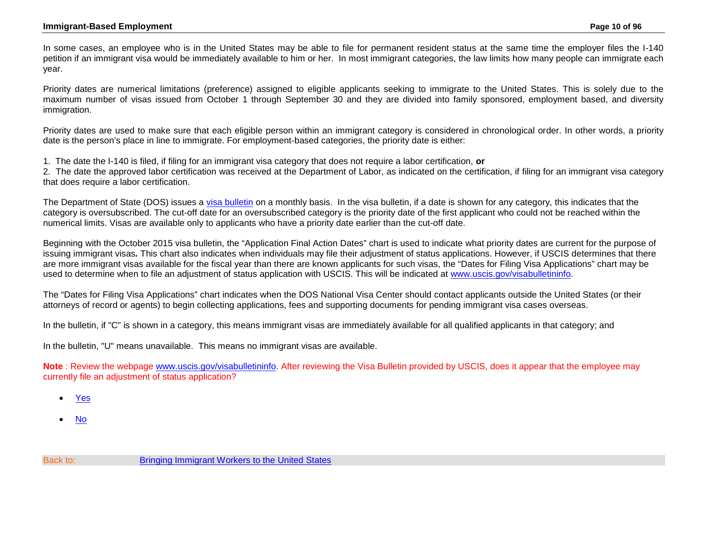<span id="page-9-0"></span>In some cases, an employee who is in the United States may be able to file for permanent resident status at the same time the employer files the I-140 petition if an immigrant visa would be immediately available to him or her. In most immigrant categories, the law limits how many people can immigrate each year.

Priority dates are numerical limitations (preference) assigned to eligible applicants seeking to immigrate to the United States. This is solely due to the maximum number of visas issued from October 1 through September 30 and they are divided into family sponsored, employment based, and diversity immigration.

Priority dates are used to make sure that each eligible person within an immigrant category is considered in chronological order. In other words, a priority date is the person's place in line to immigrate. For employment-based categories, the priority date is either:

1. The date the I-140 is filed, if filing for an immigrant visa category that does not require a labor certification, **or**

2. The date the approved labor certification was received at the Department of Labor, as indicated on the certification, if filing for an immigrant visa category that does require a labor certification.

The Department of State (DOS) issues a [visa bulletin](http://travel.state.gov/content/visas/english/law-and-policy/bulletin.html) on a monthly basis. In the visa bulletin, if a date is shown for any category, this indicates that the category is oversubscribed. The cut-off date for an oversubscribed category is the priority date of the first applicant who could not be reached within the numerical limits. Visas are available only to applicants who have a priority date earlier than the cut-off date.

Beginning with the October 2015 visa bulletin, the "Application Final Action Dates" chart is used to indicate what priority dates are current for the purpose of issuing immigrant visas*.* This chart also indicates when individuals may file their adjustment of status applications. However, if USCIS determines that there are more immigrant visas available for the fiscal year than there are known applicants for such visas, the "Dates for Filing Visa Applications" chart may be used to determine when to file an adjustment of status application with USCIS. This will be indicated at [www.uscis.gov/visabulletininfo.](http://www.uscis.gov/visabulletininfo)

The "Dates for Filing Visa Applications" chart indicates when the DOS National Visa Center should contact applicants outside the United States (or their attorneys of record or agents) to begin collecting applications, fees and supporting documents for pending immigrant visa cases overseas.

In the bulletin, if "C" is shown in a category, this means immigrant visas are immediately available for all qualified applicants in that category; and

In the bulletin, "U" means unavailable. This means no immigrant visas are available.

**Note** : Review the webpage [www.uscis.gov/visabulletininfo.](http://www.uscis.gov/visabulletininfo) After reviewing the Visa Bulletin provided by USCIS, does it appear that the employee may currently file an adjustment of status application?

- [Yes](#page-10-0)
- [No](#page-11-0)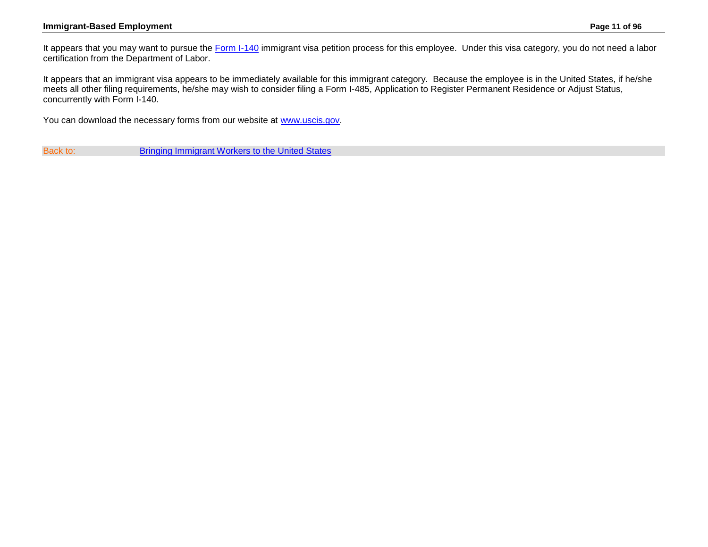#### **Immigrant-Based Employment Page 11 of 96**

<span id="page-10-0"></span>It appears that you may want to pursue the [Form I-140](http://www.uscis.gov/forms/I-140) immigrant visa petition process for this employee. Under this visa category, you do not need a labor certification from the Department of Labor.

It appears that an immigrant visa appears to be immediately available for this immigrant category. Because the employee is in the United States, if he/she meets all other filing requirements, he/she may wish to consider filing a Form I-485, Application to Register Permanent Residence or Adjust Status, concurrently with Form I-140.

You can download the necessary forms from our website at [www.uscis.gov.](http://www.uscis.gov/)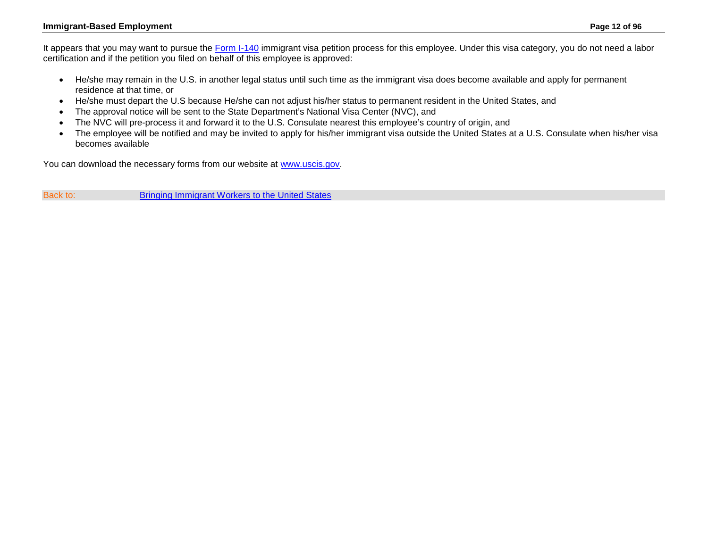### **Immigrant-Based Employment Page 12 of 96**

<span id="page-11-0"></span>It appears that you may want to pursue the [Form I-140](http://www.uscis.gov/forms/I-140) immigrant visa petition process for this employee. Under this visa category, you do not need a labor certification and if the petition you filed on behalf of this employee is approved:

- He/she may remain in the U.S. in another legal status until such time as the immigrant visa does become available and apply for permanent residence at that time, or
- He/she must depart the U.S because He/she can not adjust his/her status to permanent resident in the United States, and
- The approval notice will be sent to the State Department's National Visa Center (NVC), and
- The NVC will pre-process it and forward it to the U.S. Consulate nearest this employee's country of origin, and
- The employee will be notified and may be invited to apply for his/her immigrant visa outside the United States at a U.S. Consulate when his/her visa becomes available

You can download the necessary forms from our website at [www.uscis.gov.](http://www.uscis.gov/)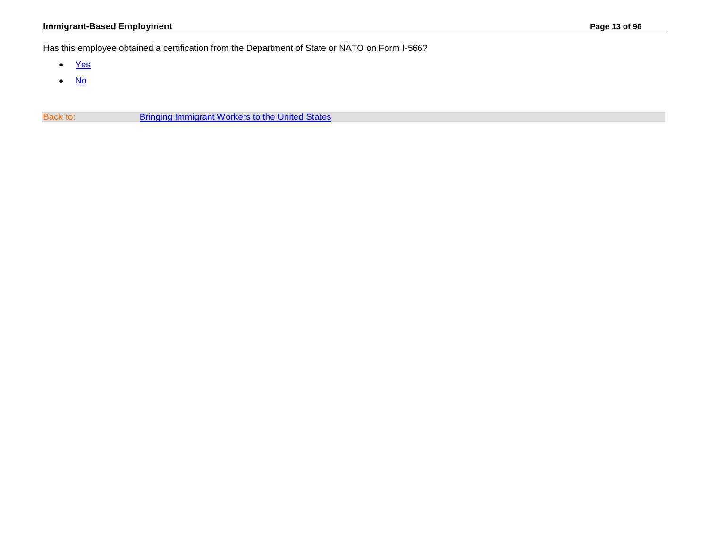## **Immigrant-Based Employment Page 13 of 96**

<span id="page-12-0"></span>Has this employee obtained a certification from the Department of State or NATO on Form I-566?

- [Yes](#page-6-0)
- [No](#page-14-0)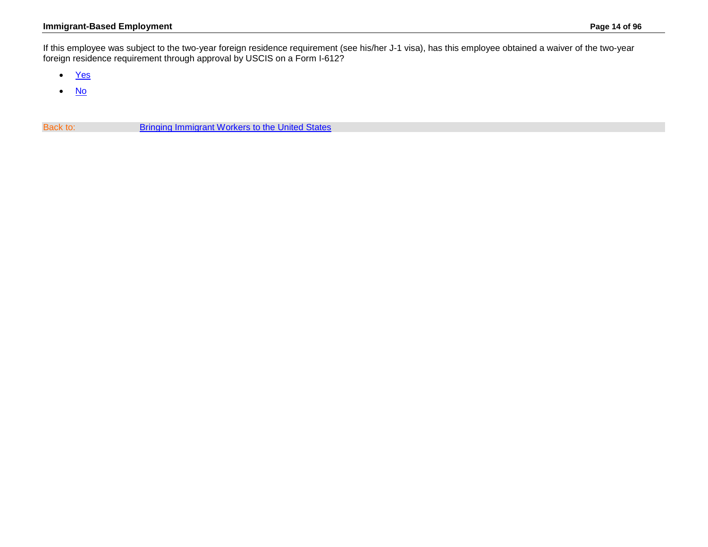### **Immigrant-Based Employment Page 14 of 96**

<span id="page-13-0"></span>If this employee was subject to the two-year foreign residence requirement (see his/her J-1 visa), has this employee obtained a waiver of the two-year foreign residence requirement through approval by USCIS on a Form I-612?

- [Yes](#page-6-0)
- [No](#page-14-0)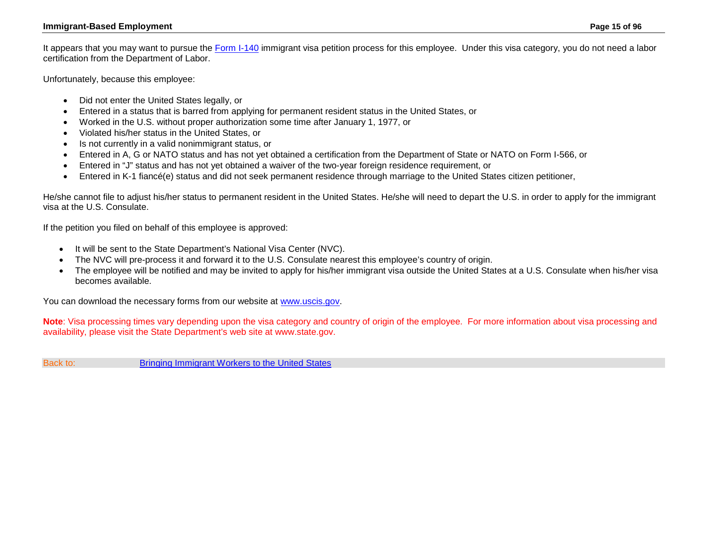<span id="page-14-0"></span>It appears that you may want to pursue the [Form I-140](http://www.uscis.gov/forms/I-140) immigrant visa petition process for this employee. Under this visa category, you do not need a labor certification from the Department of Labor.

Unfortunately, because this employee:

- Did not enter the United States legally, or
- Entered in a status that is barred from applying for permanent resident status in the United States, or
- Worked in the U.S. without proper authorization some time after January 1, 1977, or
- Violated his/her status in the United States, or
- Is not currently in a valid nonimmigrant status, or
- Entered in A, G or NATO status and has not yet obtained a certification from the Department of State or NATO on Form I-566, or
- Entered in "J" status and has not yet obtained a waiver of the two-year foreign residence requirement, or
- Entered in K-1 fiancé(e) status and did not seek permanent residence through marriage to the United States citizen petitioner,

He/she cannot file to adjust his/her status to permanent resident in the United States. He/she will need to depart the U.S. in order to apply for the immigrant visa at the U.S. Consulate.

If the petition you filed on behalf of this employee is approved:

- It will be sent to the State Department's National Visa Center (NVC).
- The NVC will pre-process it and forward it to the U.S. Consulate nearest this employee's country of origin.
- The employee will be notified and may be invited to apply for his/her immigrant visa outside the United States at a U.S. Consulate when his/her visa becomes available.

You can download the necessary forms from our website at [www.uscis.gov.](http://www.uscis.gov/)

**Note**: Visa processing times vary depending upon the visa category and country of origin of the employee. For more information about visa processing and availability, please visit the State Department's web site at www.state.gov.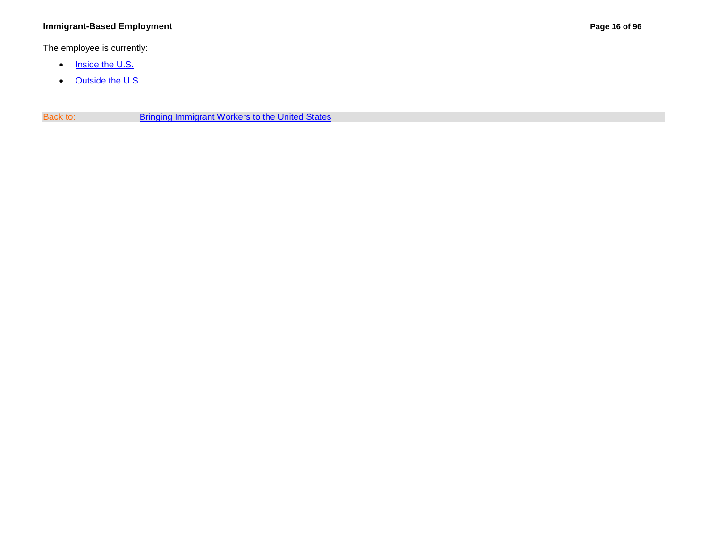<span id="page-15-0"></span>The employee is currently:

- [Inside the U.S.](#page-16-0)
- [Outside the U.S.](#page-23-0)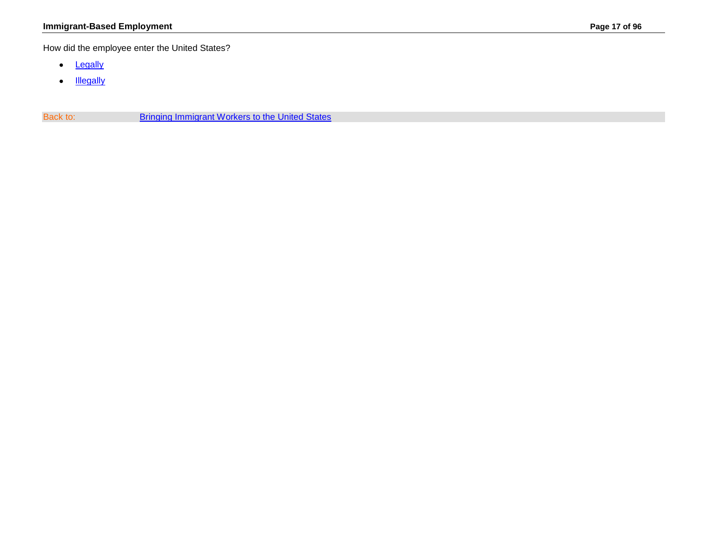<span id="page-16-0"></span>How did the employee enter the United States?

- [Legally](#page-17-0)
- [Illegally](#page-27-0)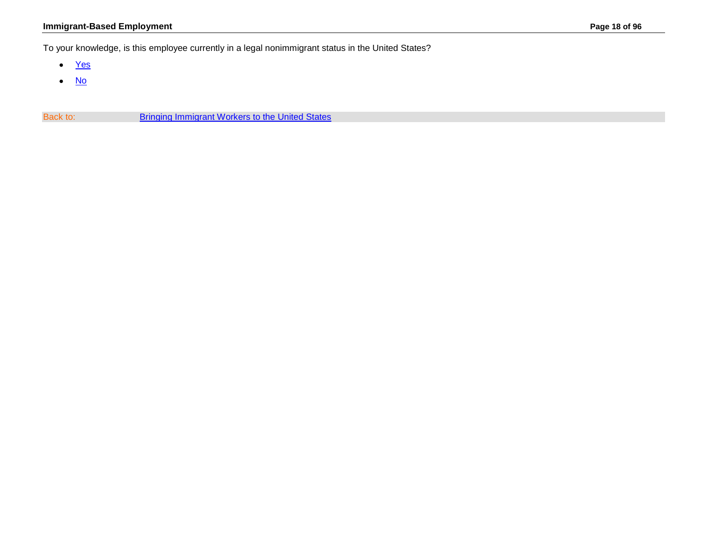## **Immigrant-Based Employment Page 18 of 96**

<span id="page-17-0"></span>To your knowledge, is this employee currently in a legal nonimmigrant status in the United States?

- [Yes](#page-18-0)
- [No](#page-27-0)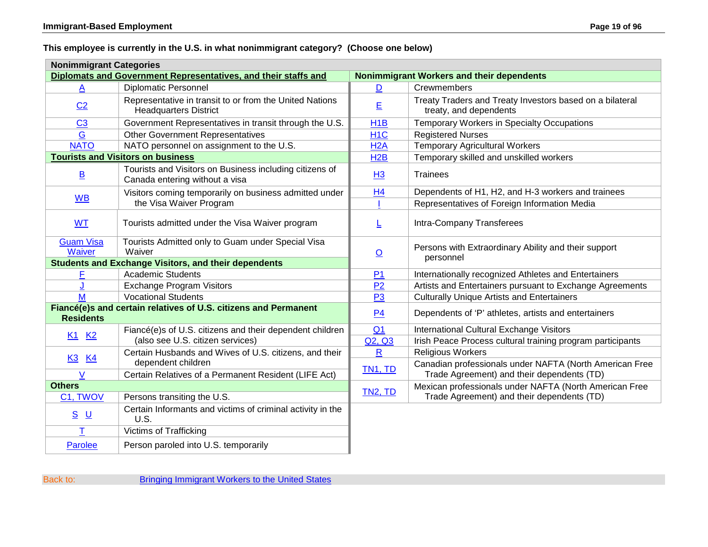## <span id="page-18-0"></span>**This employee is currently in the U.S. in what nonimmigrant category? (Choose one below)**

| <b>Nonimmigrant Categories</b>                                                      |                                                                                           |                                           |                                                                                                       |  |  |
|-------------------------------------------------------------------------------------|-------------------------------------------------------------------------------------------|-------------------------------------------|-------------------------------------------------------------------------------------------------------|--|--|
| Diplomats and Government Representatives, and their staffs and                      |                                                                                           | Nonimmigrant Workers and their dependents |                                                                                                       |  |  |
| A                                                                                   | <b>Diplomatic Personnel</b>                                                               | D                                         | Crewmembers                                                                                           |  |  |
| C <sub>2</sub>                                                                      | Representative in transit to or from the United Nations<br><b>Headquarters District</b>   | E                                         | Treaty Traders and Treaty Investors based on a bilateral<br>treaty, and dependents                    |  |  |
| C <sub>3</sub>                                                                      | Government Representatives in transit through the U.S.                                    | H <sub>1</sub> B                          | Temporary Workers in Specialty Occupations                                                            |  |  |
| G                                                                                   | <b>Other Government Representatives</b>                                                   | H <sub>1</sub> C                          | <b>Registered Nurses</b>                                                                              |  |  |
| <b>NATO</b>                                                                         | NATO personnel on assignment to the U.S.                                                  | H2A                                       | <b>Temporary Agricultural Workers</b>                                                                 |  |  |
|                                                                                     | <b>Tourists and Visitors on business</b>                                                  | H <sub>2</sub> B                          | Temporary skilled and unskilled workers                                                               |  |  |
| $\underline{\mathsf{B}}$                                                            | Tourists and Visitors on Business including citizens of<br>Canada entering without a visa | H3                                        | <b>Trainees</b>                                                                                       |  |  |
|                                                                                     | Visitors coming temporarily on business admitted under                                    | H <sub>4</sub>                            | Dependents of H1, H2, and H-3 workers and trainees                                                    |  |  |
| <b>WB</b>                                                                           | the Visa Waiver Program                                                                   |                                           | Representatives of Foreign Information Media                                                          |  |  |
| <b>WT</b>                                                                           | Tourists admitted under the Visa Waiver program                                           | L                                         | Intra-Company Transferees                                                                             |  |  |
| <b>Guam Visa</b><br>Waiver                                                          | Tourists Admitted only to Guam under Special Visa<br>Waiver                               |                                           | Persons with Extraordinary Ability and their support<br>personnel                                     |  |  |
|                                                                                     | <b>Students and Exchange Visitors, and their dependents</b>                               |                                           |                                                                                                       |  |  |
| F                                                                                   | <b>Academic Students</b>                                                                  | P <sub>1</sub>                            | Internationally recognized Athletes and Entertainers                                                  |  |  |
|                                                                                     | <b>Exchange Program Visitors</b>                                                          | P <sub>2</sub>                            | Artists and Entertainers pursuant to Exchange Agreements                                              |  |  |
| M                                                                                   | <b>Vocational Students</b>                                                                | P <sub>3</sub>                            | <b>Culturally Unique Artists and Entertainers</b>                                                     |  |  |
| Fiancé(e)s and certain relatives of U.S. citizens and Permanent<br><b>Residents</b> |                                                                                           | P <sub>4</sub>                            | Dependents of 'P' athletes, artists and entertainers                                                  |  |  |
| K <sub>1</sub> K <sub>2</sub>                                                       | Fiancé(e)s of U.S. citizens and their dependent children                                  | Q <sub>1</sub>                            | International Cultural Exchange Visitors                                                              |  |  |
|                                                                                     | (also see U.S. citizen services)                                                          | Q2, Q3                                    | Irish Peace Process cultural training program participants                                            |  |  |
| <u>K3</u><br><u>K4</u>                                                              | Certain Husbands and Wives of U.S. citizens, and their                                    | $\mathsf{R}$                              | <b>Religious Workers</b>                                                                              |  |  |
| V                                                                                   | dependent children<br>Certain Relatives of a Permanent Resident (LIFE Act)                | TN1, TD                                   | Canadian professionals under NAFTA (North American Free<br>Trade Agreement) and their dependents (TD) |  |  |
| <b>Others</b>                                                                       |                                                                                           |                                           | Mexican professionals under NAFTA (North American Free                                                |  |  |
| C1, TWOV                                                                            | Persons transiting the U.S.                                                               | <b>TN2, TD</b>                            | Trade Agreement) and their dependents (TD)                                                            |  |  |
| <u>s u</u>                                                                          | Certain Informants and victims of criminal activity in the<br>U.S.                        |                                           |                                                                                                       |  |  |
| $\mathsf T$                                                                         | <b>Victims of Trafficking</b>                                                             |                                           |                                                                                                       |  |  |
| Parolee                                                                             | Person paroled into U.S. temporarily                                                      |                                           |                                                                                                       |  |  |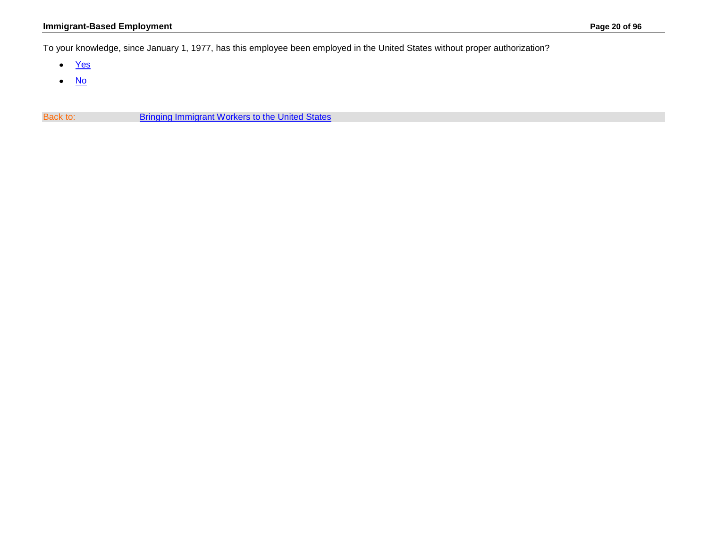<span id="page-19-0"></span>To your knowledge, since January 1, 1977, has this employee been employed in the United States without proper authorization?

- [Yes](#page-27-0)
- [No](#page-20-0)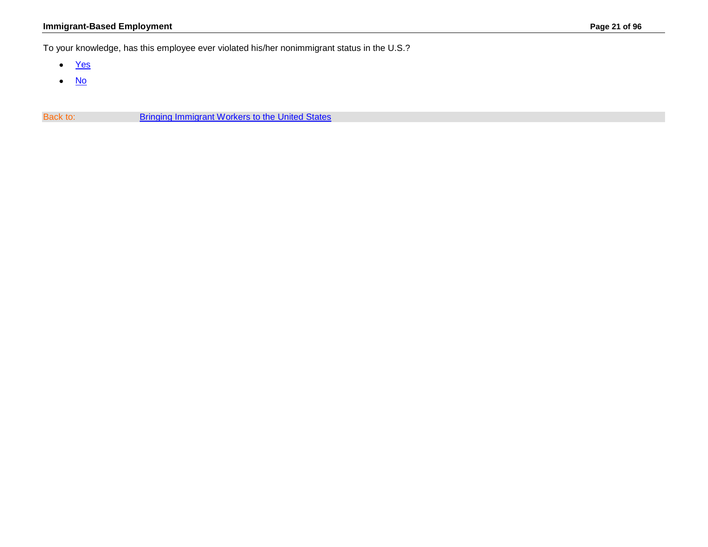## **Immigrant-Based Employment Page 21 of 96**

<span id="page-20-0"></span>To your knowledge, has this employee ever violated his/her nonimmigrant status in the U.S.?

- [Yes](#page-27-0)
- [No](#page-24-0)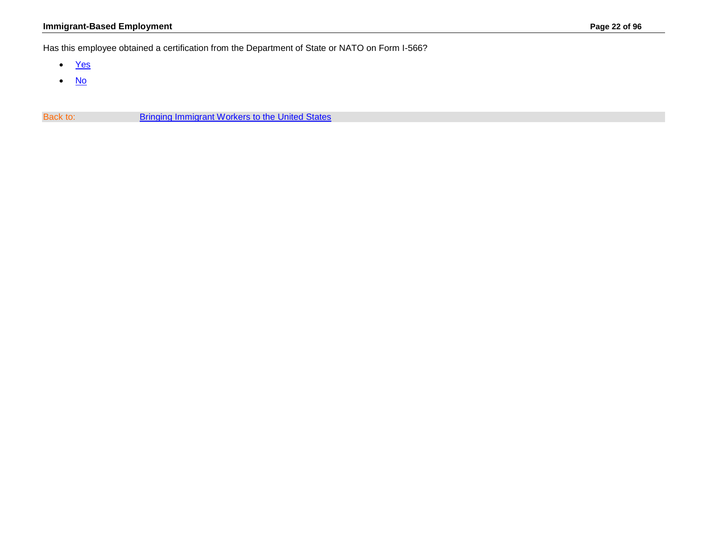## **Immigrant-Based Employment Page 22 of 96**

<span id="page-21-0"></span>Has this employee obtained a certification from the Department of State or NATO on Form I-566?

- [Yes](#page-19-0)
- [No](#page-27-0)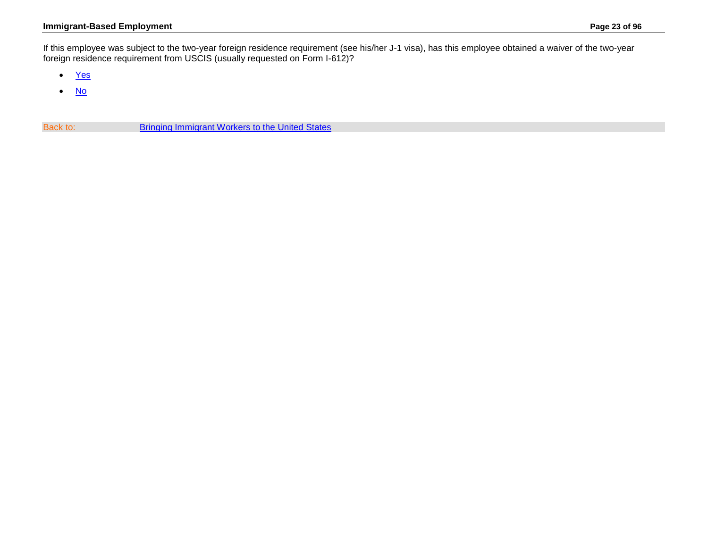### **Immigrant-Based Employment Page 23 of 96**

<span id="page-22-0"></span>If this employee was subject to the two-year foreign residence requirement (see his/her J-1 visa), has this employee obtained a waiver of the two-year foreign residence requirement from USCIS (usually requested on Form I-612)?

- [Yes](#page-19-0)
- [No](#page-27-0)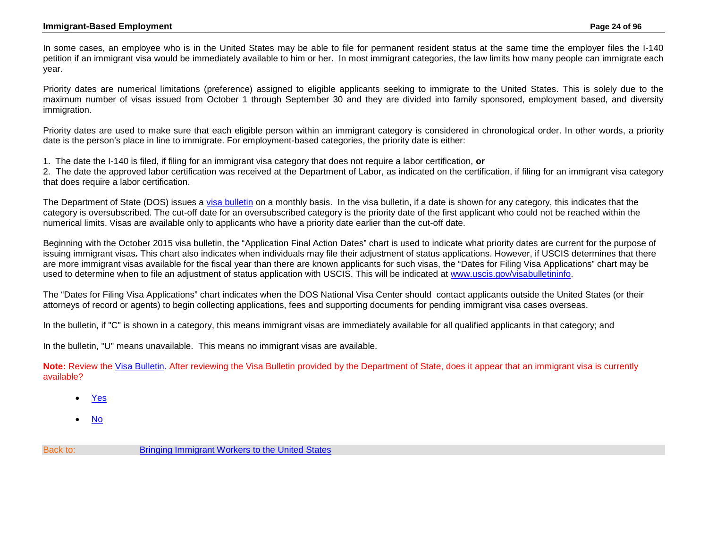<span id="page-23-0"></span>In some cases, an employee who is in the United States may be able to file for permanent resident status at the same time the employer files the I-140 petition if an immigrant visa would be immediately available to him or her. In most immigrant categories, the law limits how many people can immigrate each year.

Priority dates are numerical limitations (preference) assigned to eligible applicants seeking to immigrate to the United States. This is solely due to the maximum number of visas issued from October 1 through September 30 and they are divided into family sponsored, employment based, and diversity immigration.

Priority dates are used to make sure that each eligible person within an immigrant category is considered in chronological order. In other words, a priority date is the person's place in line to immigrate. For employment-based categories, the priority date is either:

1. The date the I-140 is filed, if filing for an immigrant visa category that does not require a labor certification, **or**

2. The date the approved labor certification was received at the Department of Labor, as indicated on the certification, if filing for an immigrant visa category that does require a labor certification.

The Department of State (DOS) issues a [visa bulletin](http://travel.state.gov/content/visas/english/law-and-policy/bulletin.html) on a monthly basis. In the visa bulletin, if a date is shown for any category, this indicates that the category is oversubscribed. The cut-off date for an oversubscribed category is the priority date of the first applicant who could not be reached within the numerical limits. Visas are available only to applicants who have a priority date earlier than the cut-off date.

Beginning with the October 2015 visa bulletin, the "Application Final Action Dates" chart is used to indicate what priority dates are current for the purpose of issuing immigrant visas*.* This chart also indicates when individuals may file their adjustment of status applications. However, if USCIS determines that there are more immigrant visas available for the fiscal year than there are known applicants for such visas, the "Dates for Filing Visa Applications" chart may be used to determine when to file an adjustment of status application with USCIS. This will be indicated at [www.uscis.gov/visabulletininfo.](http://www.uscis.gov/visabulletininfo)

The "Dates for Filing Visa Applications" chart indicates when the DOS National Visa Center should contact applicants outside the United States (or their attorneys of record or agents) to begin collecting applications, fees and supporting documents for pending immigrant visa cases overseas.

In the bulletin, if "C" is shown in a category, this means immigrant visas are immediately available for all qualified applicants in that category; and

In the bulletin, "U" means unavailable. This means no immigrant visas are available.

**Note:** Review the [Visa Bulletin.](http://travel.state.gov/content/visas/english/law-and-policy/bulletin.html) After reviewing the Visa Bulletin provided by the Department of State, does it appear that an immigrant visa is currently available?

- [Yes](#page-25-0)
- No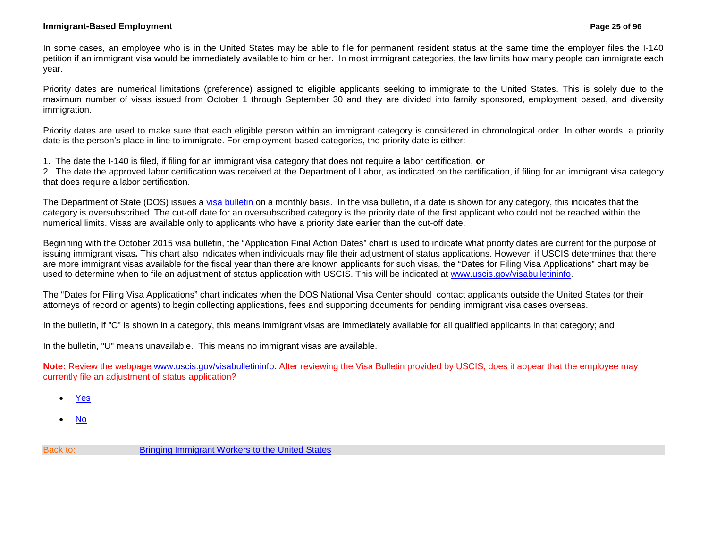<span id="page-24-0"></span>In some cases, an employee who is in the United States may be able to file for permanent resident status at the same time the employer files the I-140 petition if an immigrant visa would be immediately available to him or her. In most immigrant categories, the law limits how many people can immigrate each year.

Priority dates are numerical limitations (preference) assigned to eligible applicants seeking to immigrate to the United States. This is solely due to the maximum number of visas issued from October 1 through September 30 and they are divided into family sponsored, employment based, and diversity immigration.

Priority dates are used to make sure that each eligible person within an immigrant category is considered in chronological order. In other words, a priority date is the person's place in line to immigrate. For employment-based categories, the priority date is either:

1. The date the I-140 is filed, if filing for an immigrant visa category that does not require a labor certification, **or**

2. The date the approved labor certification was received at the Department of Labor, as indicated on the certification, if filing for an immigrant visa category that does require a labor certification.

The Department of State (DOS) issues a [visa bulletin](http://travel.state.gov/content/visas/english/law-and-policy/bulletin.html) on a monthly basis. In the visa bulletin, if a date is shown for any category, this indicates that the category is oversubscribed. The cut-off date for an oversubscribed category is the priority date of the first applicant who could not be reached within the numerical limits. Visas are available only to applicants who have a priority date earlier than the cut-off date.

Beginning with the October 2015 visa bulletin, the "Application Final Action Dates" chart is used to indicate what priority dates are current for the purpose of issuing immigrant visas*.* This chart also indicates when individuals may file their adjustment of status applications. However, if USCIS determines that there are more immigrant visas available for the fiscal year than there are known applicants for such visas, the "Dates for Filing Visa Applications" chart may be used to determine when to file an adjustment of status application with USCIS. This will be indicated at [www.uscis.gov/visabulletininfo.](http://www.uscis.gov/visabulletininfo)

The "Dates for Filing Visa Applications" chart indicates when the DOS National Visa Center should contact applicants outside the United States (or their attorneys of record or agents) to begin collecting applications, fees and supporting documents for pending immigrant visa cases overseas.

In the bulletin, if "C" is shown in a category, this means immigrant visas are immediately available for all qualified applicants in that category; and

In the bulletin, "U" means unavailable. This means no immigrant visas are available.

**Note:** Review the webpage [www.uscis.gov/visabulletininfo.](http://www.uscis.gov/visabulletininfo) After reviewing the Visa Bulletin provided by USCIS, does it appear that the employee may currently file an adjustment of status application?

- [Yes](#page-25-0)
- No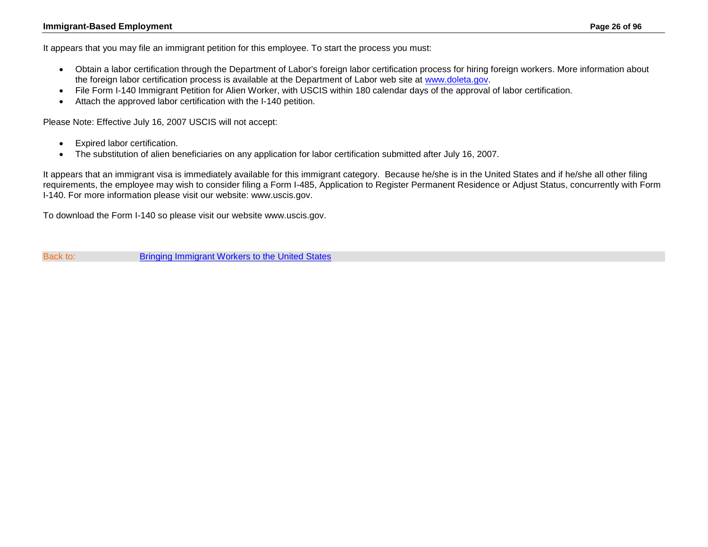#### **Immigrant-Based Employment Page 26 of 96**

<span id="page-25-0"></span>It appears that you may file an immigrant petition for this employee. To start the process you must:

- Obtain a labor certification through the [Department of Labor's foreign labor certification process for hiring foreign workers.](http://www.foreignlaborcert.doleta.gov/) More information about the foreign labor certification process is available at the Department of Labor web site at [www.doleta.gov.](http://www.doleta.gov/)
- File [Form I-140](http://www.uscis.gov/portal/site/uscis/menuitem.5af9bb95919f35e66f614176543f6d1a/?vgnextoid=4a5a4154d7b3d010VgnVCM10000048f3d6a1RCRD&vgnextchannel=db029c7755cb9010VgnVCM10000045f3d6a1RCRD) Immigrant Petition for Alien Worker, with USCIS within 180 calendar days of the approval of labor certification.
- Attach the approved labor certification with the I-140 petition.

Please Note: Effective July 16, 2007 USCIS will not accept:

- Expired labor certification.
- The substitution of alien beneficiaries on any application for labor certification submitted after July 16, 2007.

It appears that an immigrant visa is immediately available for this immigrant category. Because he/she is in the United States and if he/she all other filing requirements, the employee may wish to consider filing a Form I-485, Application to Register Permanent Residence or Adjust Status, concurrently with Form I-140. For more information please visit our website: www.uscis.gov.

To download the Form I-140 so please visit our website www.uscis.gov.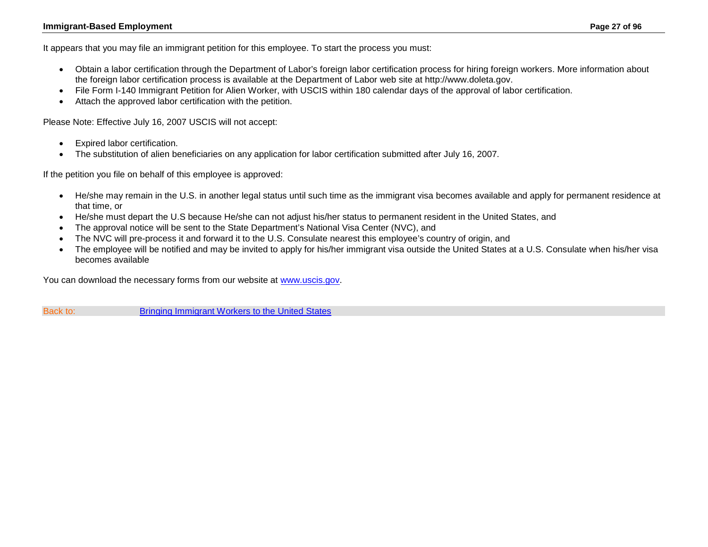#### **Immigrant-Based Employment Page 27 of 96**

It appears that you may file an immigrant petition for this employee. To start the process you must:

- Obtain a labor certification through the [Department of Labor's foreign labor certification process for hiring foreign workers.](http://www.foreignlaborcert.doleta.gov/) More information about the foreign labor certification process is available at the Department of Labor web site at [http://www.doleta.gov.](http://www.doleta.gov/)
- File [Form I-140](http://www.uscis.gov/portal/site/uscis/menuitem.5af9bb95919f35e66f614176543f6d1a/?vgnextoid=4a5a4154d7b3d010VgnVCM10000048f3d6a1RCRD&vgnextchannel=db029c7755cb9010VgnVCM10000045f3d6a1RCRD) Immigrant Petition for Alien Worker, with USCIS within 180 calendar days of the approval of labor certification.
- Attach the approved labor certification with the petition.

Please Note: Effective July 16, 2007 USCIS will not accept:

- Expired labor certification.
- The substitution of alien beneficiaries on any application for labor certification submitted after July 16, 2007.

If the petition you file on behalf of this employee is approved:

- He/she may remain in the U.S. in another legal status until such time as the immigrant visa becomes available and apply for permanent residence at that time, or
- He/she must depart the U.S because He/she can not adjust his/her status to permanent resident in the United States, and
- The approval notice will be sent to the State Department's National Visa Center (NVC), and
- The NVC will pre-process it and forward it to the U.S. Consulate nearest this employee's country of origin, and
- The employee will be notified and may be invited to apply for his/her immigrant visa outside the United States at a U.S. Consulate when his/her visa becomes available

You can download the necessary forms from our website at [www.uscis.gov.](http://www.uscis.gov/)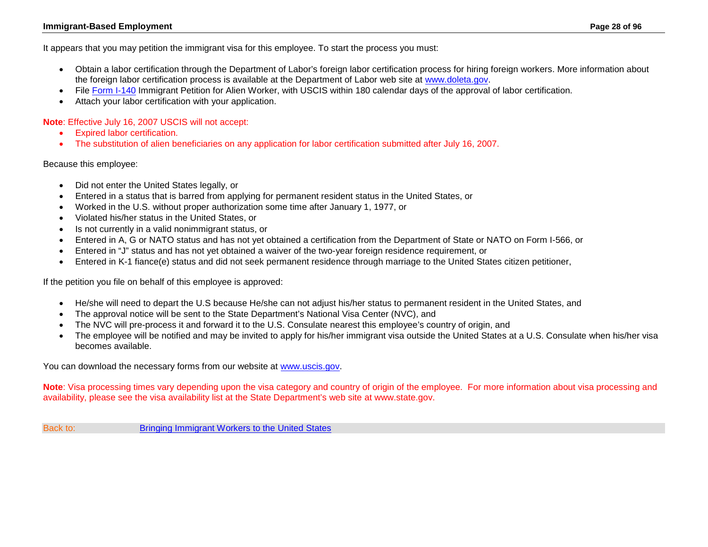#### **Immigrant-Based Employment Page 28 of 96**

<span id="page-27-0"></span>It appears that you may petition the immigrant visa for this employee. To start the process you must:

- Obtain a labor certification through the [Department of Labor's foreign labor certification process for hiring foreign workers.](http://www.foreignlaborcert.doleta.gov/) More information about the foreign labor certification process is available at the Department of Labor web site at [www.doleta.gov.](http://www.doleta.gov/)
- File [Form I-140](http://www.uscis.gov/I-140) Immigrant Petition for Alien Worker, with USCIS within 180 calendar days of the approval of labor certification.
- Attach your labor certification with your application.

**Note**: Effective July 16, 2007 USCIS will not accept:

- Expired labor certification.
- The substitution of alien beneficiaries on any application for labor certification submitted after July 16, 2007.

Because this employee:

- Did not enter the United States legally, or
- Entered in a status that is barred from applying for permanent resident status in the United States, or
- Worked in the U.S. without proper authorization some time after January 1, 1977, or
- Violated his/her status in the United States, or
- Is not currently in a valid nonimmigrant status, or
- Entered in A, G or NATO status and has not yet obtained a certification from the Department of State or NATO on Form I-566, or
- Entered in "J" status and has not yet obtained a waiver of the two-year foreign residence requirement, or
- Entered in K-1 fiance(e) status and did not seek permanent residence through marriage to the United States citizen petitioner,

If the petition you file on behalf of this employee is approved:

- He/she will need to depart the U.S because He/she can not adjust his/her status to permanent resident in the United States, and
- The approval notice will be sent to the State Department's National Visa Center (NVC), and
- The NVC will pre-process it and forward it to the U.S. Consulate nearest this employee's country of origin, and
- The employee will be notified and may be invited to apply for his/her immigrant visa outside the United States at a U.S. Consulate when his/her visa becomes available.

You can download the necessary forms from our website at [www.uscis.gov.](http://www.uscis.gov/)

**Note**: Visa processing times vary depending upon the visa category and country of origin of the employee. For more information about visa processing and availability, please see the visa availability list at the State Department's web site at www.state.gov.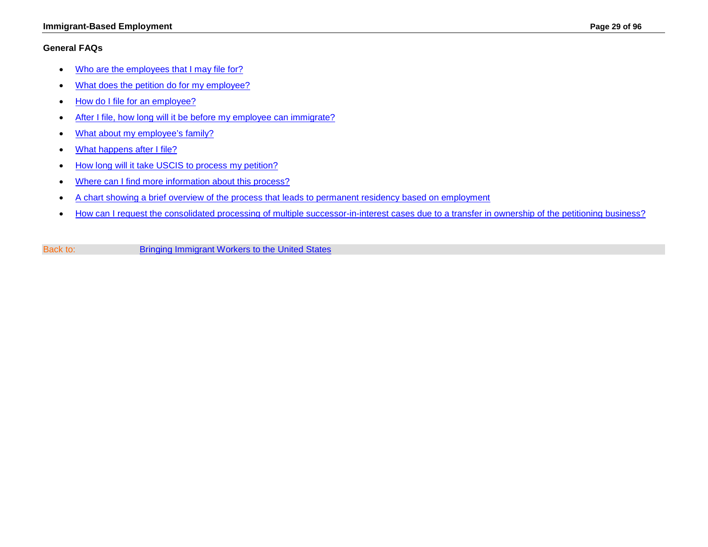#### **Immigrant-Based Employment Page 29 of 96**

### <span id="page-28-0"></span>**General FAQs**

- [Who are the employees that I may file for?](#page-29-0)
- [What does the petition do for my employee?](#page-29-1)
- [How do I file for an employee?](#page-30-0)
- [After I file, how long will it be before my employee can immigrate?](#page-30-1)
- [What about my employee's family?](#page-31-0)
- [What happens after I file?](#page-31-1)
- [How long will it take USCIS to process my petition?](#page-31-2)
- [Where can I find more information about this process?](#page-31-3)
- A chart showing a brief overview [of the process that leads to permanent residency based on employment](#page-32-0)
- [How can I request the consolidated processing of multiple successor-in-interest cases due to a transfer in ownership of the petitioning business?](#page-30-2)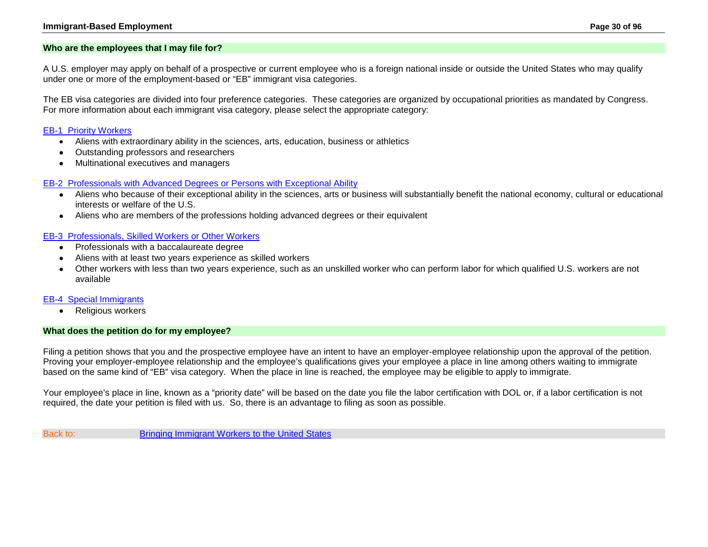#### **Immigrant-Based Employment Page 30 of 96**

#### <span id="page-29-0"></span>**Who are the employees that I may file for?**

A U.S. employer may apply on behalf of a prospective or current employee who is a foreign national inside or outside the United States who may qualify under one or more of the employment-based or "EB" immigrant visa categories.

The EB visa categories are divided into four preference categories. These categories are organized by occupational priorities as mandated by Congress. For more information about each immigrant visa category, please select the appropriate category:

#### [EB-1 Priority Workers](#page-41-0)

- Aliens with extraordinary ability in the sciences, arts, education, business or athletics
- Outstanding professors and researchers
- Multinational executives and managers

#### [EB-2 Professionals with Advanced Degrees or Persons with Exceptional Ability](#page-68-0)

- Aliens who because of their exceptional ability in the sciences, arts or business will substantially benefit the national economy, cultural or educational interests or welfare of the U.S.
- Aliens who are members of the professions holding advanced degrees or their equivalent

#### [EB-3 Professionals,](#page-77-0) Skilled Workers or Other Workers

- Professionals with a baccalaureate degree
- Aliens with at least two years experience as skilled workers
- Other workers with less than two years experience, such as an unskilled worker who can perform labor for which qualified U.S. workers are not available

#### [EB-4 Special Immigrants](#page-86-0)

• Religious workers

#### <span id="page-29-1"></span>**What does the petition do for my employee?**

Filing a petition shows that you and the prospective employee have an intent to have an employer-employee relationship upon the approval of the petition. Proving your employer-employee relationship and the employee's qualifications gives your employee a place in line among others waiting to immigrate based on the same kind of "EB" visa category. When the place in line is reached, the employee may be eligible to apply to immigrate.

Your employee's place in line, known as a "priority date" will be based on the date you file the labor certification with DOL or, if a labor certification is not required, the date your petition is filed with us. So, there is an advantage to filing as soon as possible.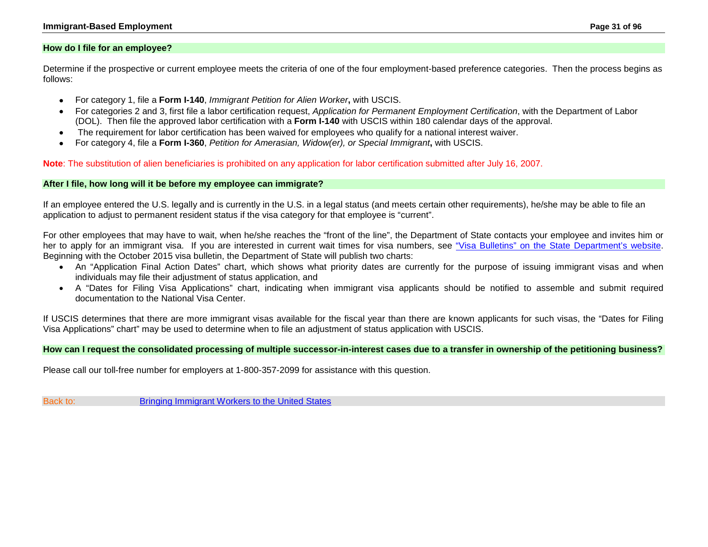#### <span id="page-30-0"></span>**How do I file for an employee?**

Determine if the prospective or current employee meets the criteria of one of the four employment-based preference categories. Then the process begins as follows:

- For category 1, file a **Form I-140**, *Immigrant Petition for Alien Worker***,** with USCIS.
- For categories 2 and 3, first file a labor certification request, *Application for Permanent Employment Certification*, with the Department of Labor (DOL). Then file the approved labor certification with a **Form I-140** with USCIS within 180 calendar days of the approval.
- The requirement for labor certification has been waived for employees who qualify for a national interest waiver.
- For category 4, file a **Form I-360**, *Petition for Amerasian, Widow(er), or Special Immigrant***,** with USCIS.

**Note**: The substitution of alien beneficiaries is prohibited on any application for labor certification submitted after July 16, 2007.

#### <span id="page-30-1"></span>**After I file, how long will it be before my employee can immigrate?**

If an employee entered the U.S. legally and is currently in the U.S. in a legal status (and meets certain other requirements), he/she may be able to file an application to adjust to permanent resident status if the visa category for that employee is "current".

For other employees that may have to wait, when he/she reaches the "front of the line", the Department of State contacts your employee and invites him or her to apply for an immigrant visa. If you are interested in current wait times for visa numbers, see ["Visa Bulletins" on the State Department's website.](http://travel.state.gov/content/visas/english/law-and-policy/bulletin.html) Beginning with the October 2015 visa bulletin, the Department of State will publish two charts:

- An "Application Final Action Dates" chart, which shows what priority dates are currently for the purpose of issuing immigrant visas and when individuals may file their adjustment of status application, and
- A "Dates for Filing Visa Applications" chart, indicating when immigrant visa applicants should be notified to assemble and submit required documentation to the National Visa Center.

If USCIS determines that there are more immigrant visas available for the fiscal year than there are known applicants for such visas, the "Dates for Filing Visa Applications" chart" may be used to determine when to file an adjustment of status application with USCIS.

#### <span id="page-30-2"></span>**How can I request the consolidated processing of multiple successor-in-interest cases due to a transfer in ownership of the petitioning business?**

Please call our toll-free number for employers at 1-800-357-2099 for assistance with this question.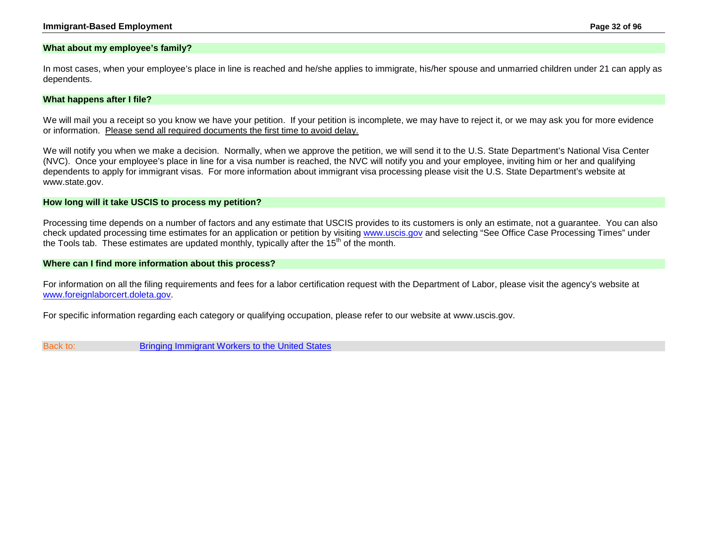#### <span id="page-31-0"></span>**What about my employee's family?**

In most cases, when your employee's place in line is reached and he/she applies to immigrate, his/her spouse and unmarried children under 21 can apply as dependents.

#### <span id="page-31-1"></span>**What happens after I file?**

We will mail you a receipt so you know we have your petition. If your petition is incomplete, we may have to reject it, or we may ask you for more evidence or information. Please send all required documents the first time to avoid delay.

We will notify you when we make a decision. Normally, when we approve the petition, we will send it to the U.S. State Department's National Visa Center (NVC). Once your employee's place in line for a visa number is reached, the NVC will notify you and your employee, inviting him or her and qualifying dependents to apply for immigrant visas. For more information about immigrant visa processing please visit the U.S. State Department's website at www.state.gov.

#### <span id="page-31-2"></span>**How long will it take USCIS to process my petition?**

Processing time depends on a number of factors and any estimate that USCIS provides to its customers is only an estimate, not a guarantee. You can also check updated processing time estimates for an application or petition by visiting [www.uscis.gov](http://www.uscis.gov/) and selecting "See Office Case Processing Times" under the Tools tab. These estimates are updated monthly, typically after the  $15<sup>th</sup>$  of the month.

#### <span id="page-31-3"></span>**Where can I find more information about this process?**

For information on all the filing requirements and fees for a labor certification request with the Department of Labor, please visit the agency's website at [www.foreignlaborcert.doleta.gov.](http://www.foreignlaborcert.doleta.gov/)

For specific information regarding each category or qualifying occupation, please refer to our website at www.uscis.gov.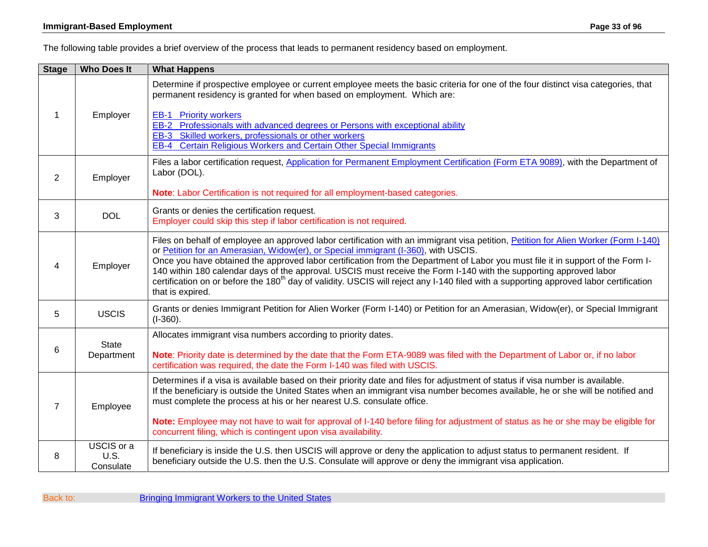<span id="page-32-0"></span>The following table provides a brief overview of the process that leads to permanent residency based on employment.

| <b>Stage</b>   | <b>Who Does It</b>              | <b>What Happens</b>                                                                                                                                                                                                                                                                                                                                                                                                                                                                                                                                                                                                                                          |
|----------------|---------------------------------|--------------------------------------------------------------------------------------------------------------------------------------------------------------------------------------------------------------------------------------------------------------------------------------------------------------------------------------------------------------------------------------------------------------------------------------------------------------------------------------------------------------------------------------------------------------------------------------------------------------------------------------------------------------|
| 1              | Employer                        | Determine if prospective employee or current employee meets the basic criteria for one of the four distinct visa categories, that<br>permanent residency is granted for when based on employment. Which are:                                                                                                                                                                                                                                                                                                                                                                                                                                                 |
|                |                                 | <b>EB-1</b> Priority workers<br>EB-2 Professionals with advanced degrees or Persons with exceptional ability<br>EB-3 Skilled workers, professionals or other workers<br><b>Certain Religious Workers and Certain Other Special Immigrants</b><br>$EB-4$                                                                                                                                                                                                                                                                                                                                                                                                      |
| 2              | Employer                        | Files a labor certification request, Application for Permanent Employment Certification (Form ETA 9089), with the Department of<br>Labor (DOL).                                                                                                                                                                                                                                                                                                                                                                                                                                                                                                              |
|                |                                 | Note: Labor Certification is not required for all employment-based categories.                                                                                                                                                                                                                                                                                                                                                                                                                                                                                                                                                                               |
| 3              | <b>DOL</b>                      | Grants or denies the certification request.<br>Employer could skip this step if labor certification is not required.                                                                                                                                                                                                                                                                                                                                                                                                                                                                                                                                         |
| 4              | Employer                        | Files on behalf of employee an approved labor certification with an immigrant visa petition, Petition for Alien Worker (Form I-140)<br>or Petition for an Amerasian, Widow(er), or Special immigrant (I-360), with USCIS.<br>Once you have obtained the approved labor certification from the Department of Labor you must file it in support of the Form I-<br>140 within 180 calendar days of the approval. USCIS must receive the Form I-140 with the supporting approved labor<br>certification on or before the 180 <sup>th</sup> day of validity. USCIS will reject any I-140 filed with a supporting approved labor certification<br>that is expired. |
| 5              | <b>USCIS</b>                    | Grants or denies Immigrant Petition for Alien Worker (Form I-140) or Petition for an Amerasian, Widow(er), or Special Immigrant<br>$(I-360)$ .                                                                                                                                                                                                                                                                                                                                                                                                                                                                                                               |
|                | <b>State</b><br>Department      | Allocates immigrant visa numbers according to priority dates.                                                                                                                                                                                                                                                                                                                                                                                                                                                                                                                                                                                                |
| 6              |                                 | Note: Priority date is determined by the date that the Form ETA-9089 was filed with the Department of Labor or, if no labor<br>certification was required, the date the Form I-140 was filed with USCIS.                                                                                                                                                                                                                                                                                                                                                                                                                                                     |
| $\overline{7}$ | Employee                        | Determines if a visa is available based on their priority date and files for adjustment of status if visa number is available.<br>If the beneficiary is outside the United States when an immigrant visa number becomes available, he or she will be notified and<br>must complete the process at his or her nearest U.S. consulate office.<br>Note: Employee may not have to wait for approval of I-140 before filing for adjustment of status as he or she may be eligible for                                                                                                                                                                             |
|                |                                 | concurrent filing, which is contingent upon visa availability.                                                                                                                                                                                                                                                                                                                                                                                                                                                                                                                                                                                               |
| 8              | USCIS or a<br>U.S.<br>Consulate | If beneficiary is inside the U.S. then USCIS will approve or deny the application to adjust status to permanent resident. If<br>beneficiary outside the U.S. then the U.S. Consulate will approve or deny the immigrant visa application.                                                                                                                                                                                                                                                                                                                                                                                                                    |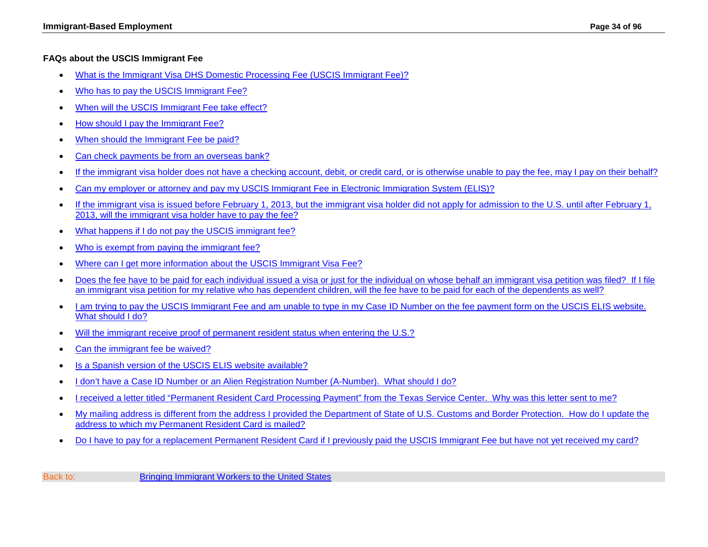### <span id="page-33-0"></span>**FAQs about the USCIS Immigrant Fee**

- [What is the Immigrant Visa DHS Domestic Processing Fee \(USCIS Immigrant Fee\)?](#page-34-0)
- [Who has to pay the USCIS Immigrant Fee?](#page-34-1)
- [When will the USCIS Immigrant Fee take effect?](#page-34-2)
- How should I pay the Immigrant Fee?
- [When should the Immigrant Fee be paid?](#page-35-0)
- [Can check payments be from an overseas bank?](#page-36-0)
- [If the immigrant visa holder does not have a checking account, debit, or credit card, or is otherwise unable to pay the fee, may I pay on their behalf?](#page-36-1)
- [Can my employer or attorney and pay my USCIS Immigrant Fee in Electronic Immigration System \(ELIS\)?](#page-36-2)
- [If the immigrant visa is issued before February 1, 2013, but the immigrant visa holder did not apply for admission to the U.S. until after February 1,](#page-36-3)  [2013, will the immigrant visa holder have to pay the fee?](#page-36-3)
- [What happens if I do not pay the USCIS immigrant fee?](#page-36-4)
- [Who is exempt from paying the immigrant fee?](#page-36-5)
- Where can I get more information about the USCIS Immigrant Visa Fee?
- Does the fee have to be paid for each individual issued a visa or just for the individual on whose behalf an immigrant visa petition was filed? If I file [an immigrant visa petition for my relative who has dependent children, will the fee have to be paid for each of the dependents as well?](#page-38-0)
- I am trying to pay the USCIS Immigrant Fee and am unable to type in my Case ID Number on the fee payment form on the USCIS ELIS website. [What should I do?](#page-38-1)
- [Will the immigrant receive proof of permanent resident status when entering the U.S.?](#page-39-0)
- [Can the immigrant fee be waived?](#page-39-1)
- [Is a Spanish version of the USCIS ELIS website available?](#page-39-2)
- [I don't have a Case ID Number or an Alien Registration Number \(A-Number\). What should I do?](#page-39-3)
- [I received a letter titled "Permanent Resident Card Processing Payment" from the Texas Service Center. Why was this letter sent to me?](#page-40-0)
- [My mailing address is different from the address I provided the Department of State of U.S. Customs and Border Protection. How do I update the](#page-40-1)  [address to which my Permanent Resident Card is mailed?](#page-40-1)
- [Do I have to pay for a replacement Permanent Resident Card if I previously paid the USCIS Immigrant Fee but have not yet received my card?](#page-40-2)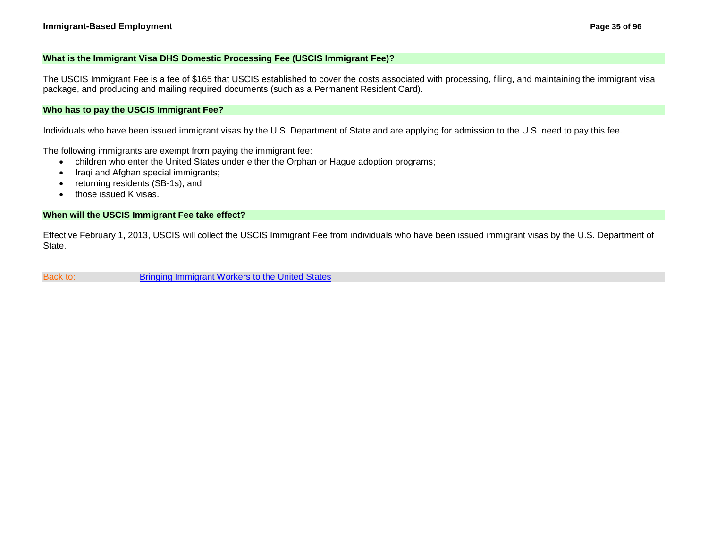#### <span id="page-34-0"></span>**What is the Immigrant Visa DHS Domestic Processing Fee (USCIS Immigrant Fee)?**

The USCIS Immigrant Fee is a fee of \$165 that USCIS established to cover the costs associated with processing, filing, and maintaining the immigrant visa package, and producing and mailing required documents (such as a Permanent Resident Card).

#### <span id="page-34-1"></span>**Who has to pay the USCIS Immigrant Fee?**

Individuals who have been issued immigrant visas by the U.S. Department of State and are applying for admission to the U.S. need to pay this fee.

The following immigrants are exempt from paying the immigrant fee:

- children who enter the United States under either the Orphan or Hague adoption programs;
- Iraqi and Afghan special immigrants;
- returning residents (SB-1s); and
- those issued K visas.

#### <span id="page-34-2"></span>**When will the USCIS Immigrant Fee take effect?**

Effective February 1, 2013, USCIS will collect the USCIS Immigrant Fee from individuals who have been issued immigrant visas by the U.S. Department of State.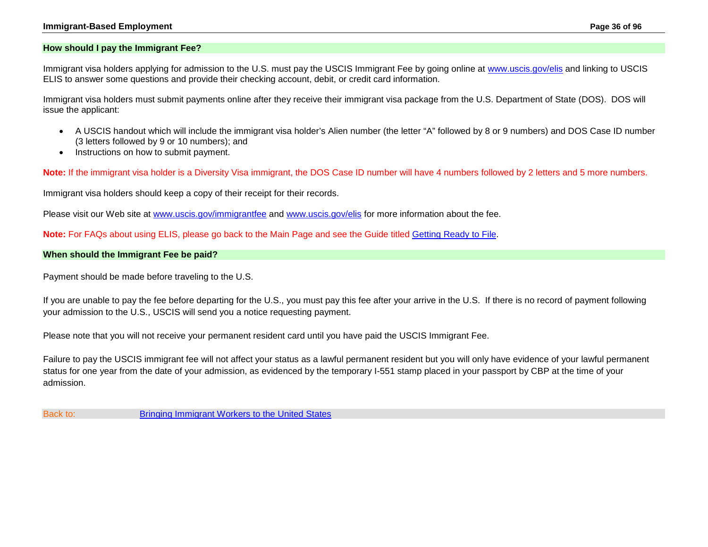#### **Immigrant-Based Employment Page 36 of 96**

#### **How should I pay the Immigrant Fee?**

Immigrant visa holders applying for admission to the U.S. must pay the USCIS Immigrant Fee by going online at [www.uscis.gov/elis](http://www.uscis.gov/elis) and linking to USCIS ELIS to answer some questions and provide their checking account, debit, or credit card information.

Immigrant visa holders must submit payments online after they receive their immigrant visa package from the U.S. Department of State (DOS). DOS will issue the applicant:

- A USCIS handout which will include the immigrant visa holder's Alien number (the letter "A" followed by 8 or 9 numbers) and DOS Case ID number (3 letters followed by 9 or 10 numbers); and
- Instructions on how to submit payment.

**Note:** If the immigrant visa holder is a Diversity Visa immigrant, the DOS Case ID number will have 4 numbers followed by 2 letters and 5 more numbers.

Immigrant visa holders should keep a copy of their receipt for their records.

Please visit our Web site at [www.uscis.gov/immigrantfee](http://www.uscis.gov/immigrantfee) and [www.uscis.gov/elis](http://www.uscis.gov/elis) for more information about the fee.

**Note:** For FAQs about using ELIS, please go back to the Main Page and see the Guide titled [Getting Ready to File.](http://www.uscis.gov/about-us/electronic-reading-room/customer-service-resource-guide/customer-service-reference-guide)

#### <span id="page-35-0"></span>**When should the Immigrant Fee be paid?**

Payment should be made before traveling to the U.S.

If you are unable to pay the fee before departing for the U.S., you must pay this fee after your arrive in the U.S. If there is no record of payment following your admission to the U.S., USCIS will send you a notice requesting payment.

Please note that you will not receive your permanent resident card until you have paid the USCIS Immigrant Fee.

Failure to pay the USCIS immigrant fee will not affect your status as a lawful permanent resident but you will only have evidence of your lawful permanent status for one year from the date of your admission, as evidenced by the temporary I-551 stamp placed in your passport by CBP at the time of your admission.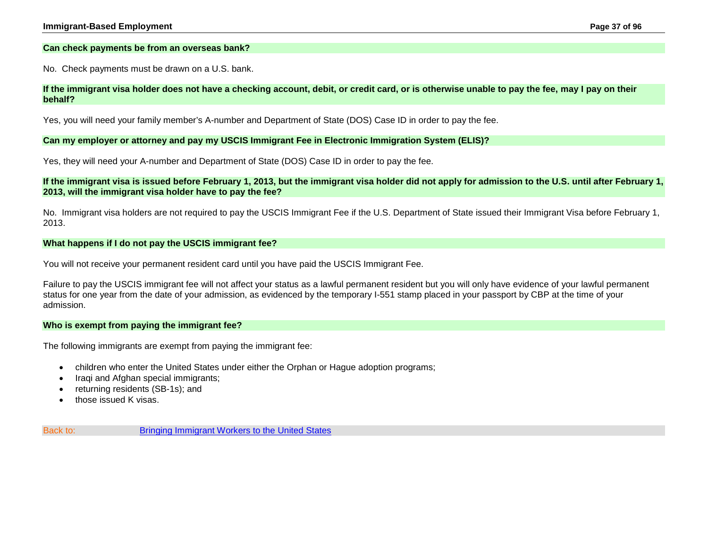### **Can check payments be from an overseas bank?**

No. Check payments must be drawn on a U.S. bank.

### **If the immigrant visa holder does not have a checking account, debit, or credit card, or is otherwise unable to pay the fee, may I pay on their behalf?**

Yes, you will need your family member's A-number and Department of State (DOS) Case ID in order to pay the fee.

### **Can my employer or attorney and pay my USCIS Immigrant Fee in Electronic Immigration System (ELIS)?**

Yes, they will need your A-number and Department of State (DOS) Case ID in order to pay the fee.

**If the immigrant visa is issued before February 1, 2013, but the immigrant visa holder did not apply for admission to the U.S. until after February 1, 2013, will the immigrant visa holder have to pay the fee?**

No. Immigrant visa holders are not required to pay the USCIS Immigrant Fee if the U.S. Department of State issued their Immigrant Visa before February 1, 2013.

### **What happens if I do not pay the USCIS immigrant fee?**

You will not receive your permanent resident card until you have paid the USCIS Immigrant Fee.

Failure to pay the USCIS immigrant fee will not affect your status as a lawful permanent resident but you will only have evidence of your lawful permanent status for one year from the date of your admission, as evidenced by the temporary I-551 stamp placed in your passport by CBP at the time of your admission.

#### **Who is exempt from paying the immigrant fee?**

The following immigrants are exempt from paying the immigrant fee:

- children who enter the United States under either the Orphan or Hague adoption programs;
- Iraqi and Afghan special immigrants;
- returning residents (SB-1s); and
- those issued K visas.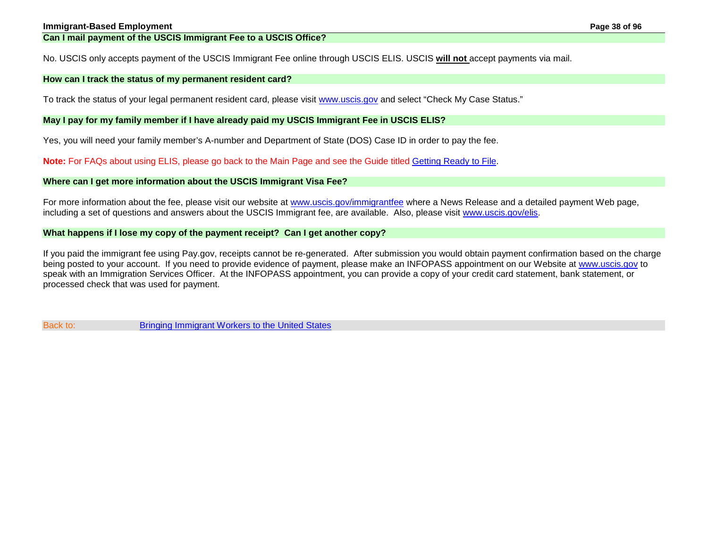No. USCIS only accepts payment of the USCIS Immigrant Fee online through USCIS ELIS. USCIS **will not** accept payments via mail.

### **How can I track the status of my permanent resident card?**

To track the status of your legal permanent resident card, please visit [www.uscis.gov](http://www.uscis.gov/) and select "Check My Case Status."

### **May I pay for my family member if I have already paid my USCIS Immigrant Fee in USCIS ELIS?**

Yes, you will need your family member's A-number and Department of State (DOS) Case ID in order to pay the fee.

**Note:** For FAQs about using ELIS, please go back to the Main Page and see the Guide titled [Getting Ready to File.](http://www.uscis.gov/about-us/electronic-reading-room/customer-service-resource-guide/customer-service-reference-guide)

### **Where can I get more information about the USCIS Immigrant Visa Fee?**

For more information about the fee, please visit our website at [www.uscis.gov/immigrantfee](http://www.uscis.gov/immigrantfee) where a News Release and a detailed payment Web page, including a set of questions and answers about the USCIS Immigrant fee, are available. Also, please visit [www.uscis.gov/elis.](http://www.uscis.gov/elis)

### **What happens if I lose my copy of the payment receipt? Can I get another copy?**

If you paid the immigrant fee using Pay.gov, receipts cannot be re-generated. After submission you would obtain payment confirmation based on the charge being posted to your account. If you need to provide evidence of payment, please make an INFOPASS appointment on our Website at [www.uscis.gov](http://www.uscis.gov/) to speak with an Immigration Services Officer. At the INFOPASS appointment, you can provide a copy of your credit card statement, bank statement, or processed check that was used for payment.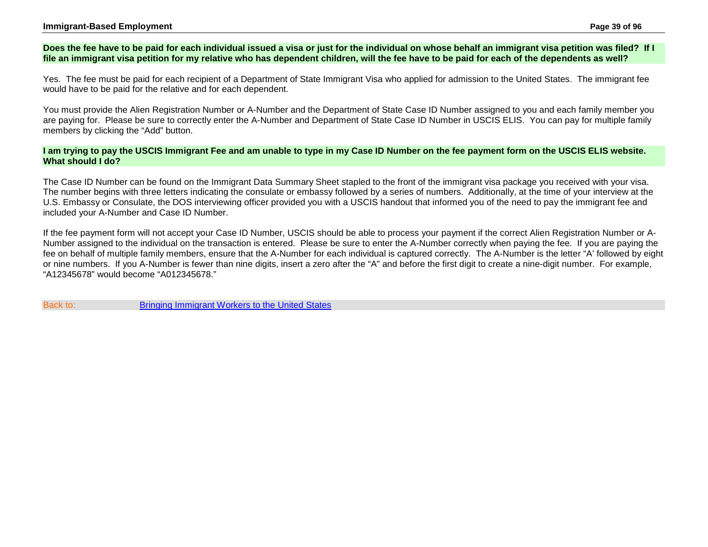#### **Immigrant-Based Employment Page 39 of 96**

## **Does the fee have to be paid for each individual issued a visa or just for the individual on whose behalf an immigrant visa petition was filed? If I file an immigrant visa petition for my relative who has dependent children, will the fee have to be paid for each of the dependents as well?**

Yes. The fee must be paid for each recipient of a Department of State Immigrant Visa who applied for admission to the United States. The immigrant fee would have to be paid for the relative and for each dependent.

You must provide the Alien Registration Number or A-Number and the Department of State Case ID Number assigned to you and each family member you are paying for. Please be sure to correctly enter the A-Number and Department of State Case ID Number in USCIS ELIS. You can pay for multiple family members by clicking the "Add" button.

### **I am trying to pay the USCIS Immigrant Fee and am unable to type in my Case ID Number on the fee payment form on the USCIS ELIS website. What should I do?**

The Case ID Number can be found on the Immigrant Data Summary Sheet stapled to the front of the immigrant visa package you received with your visa. The number begins with three letters indicating the consulate or embassy followed by a series of numbers. Additionally, at the time of your interview at the U.S. Embassy or Consulate, the DOS interviewing officer provided you with a USCIS handout that informed you of the need to pay the immigrant fee and included your A-Number and Case ID Number.

If the fee payment form will not accept your Case ID Number, USCIS should be able to process your payment if the correct Alien Registration Number or A-Number assigned to the individual on the transaction is entered. Please be sure to enter the A-Number correctly when paying the fee. If you are paying the fee on behalf of multiple family members, ensure that the A-Number for each individual is captured correctly. The A-Number is the letter "A' followed by eight or nine numbers. If you A-Number is fewer than nine digits, insert a zero after the "A" and before the first digit to create a nine-digit number. For example, "A12345678" would become "A012345678."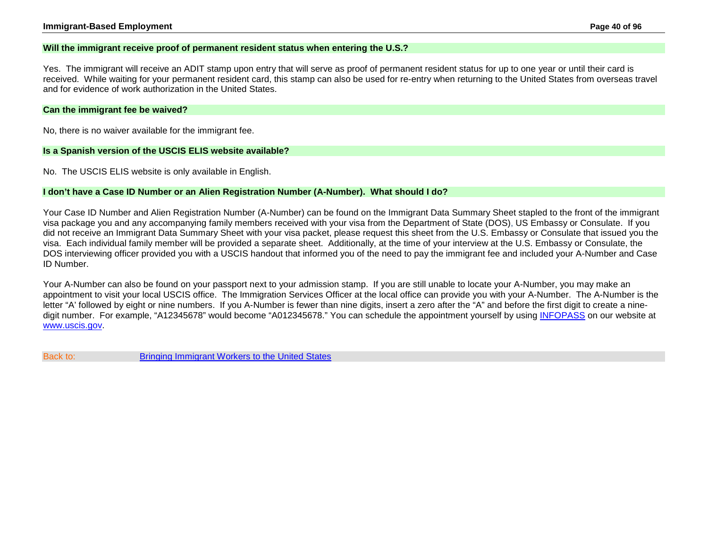### **Will the immigrant receive proof of permanent resident status when entering the U.S.?**

Yes. The immigrant will receive an ADIT stamp upon entry that will serve as proof of permanent resident status for up to one year or until their card is received. While waiting for your permanent resident card, this stamp can also be used for re-entry when returning to the United States from overseas travel and for evidence of work authorization in the United States.

#### **Can the immigrant fee be waived?**

No, there is no waiver available for the immigrant fee.

#### **Is a Spanish version of the USCIS ELIS website available?**

No. The USCIS ELIS website is only available in English.

#### **I don't have a Case ID Number or an Alien Registration Number (A-Number). What should I do?**

Your Case ID Number and Alien Registration Number (A-Number) can be found on the Immigrant Data Summary Sheet stapled to the front of the immigrant visa package you and any accompanying family members received with your visa from the Department of State (DOS), US Embassy or Consulate. If you did not receive an Immigrant Data Summary Sheet with your visa packet, please request this sheet from the U.S. Embassy or Consulate that issued you the visa. Each individual family member will be provided a separate sheet. Additionally, at the time of your interview at the U.S. Embassy or Consulate, the DOS interviewing officer provided you with a USCIS handout that informed you of the need to pay the immigrant fee and included your A-Number and Case ID Number.

Your A-Number can also be found on your passport next to your admission stamp. If you are still unable to locate your A-Number, you may make an appointment to visit your local USCIS office. The Immigration Services Officer at the local office can provide you with your A-Number. The A-Number is the letter "A' followed by eight or nine numbers. If you A-Number is fewer than nine digits, insert a zero after the "A" and before the first digit to create a ninedigit number. For example, "A12345678" would become "A012345678." You can schedule the appointment yourself by using [INFOPASS](http://infopass.uscis.gov/) on our website at [www.uscis.gov.](http://www.uscis.gov/)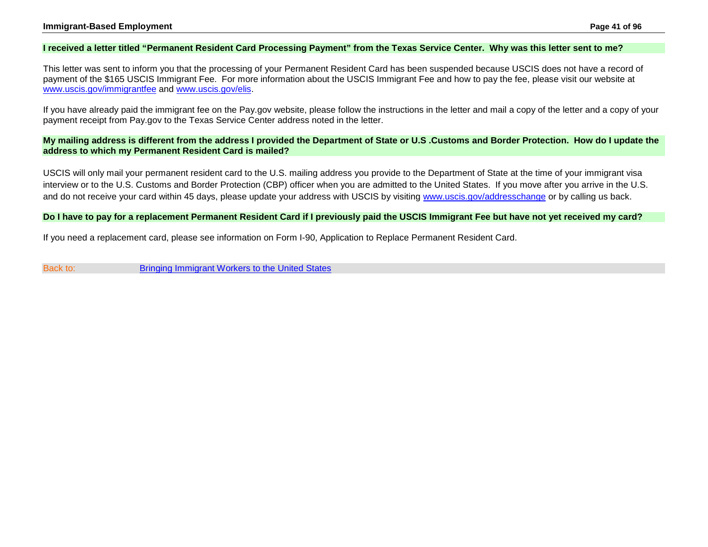## **I received a letter titled "Permanent Resident Card Processing Payment" from the Texas Service Center. Why was this letter sent to me?**

This letter was sent to inform you that the processing of your Permanent Resident Card has been suspended because USCIS does not have a record of payment of the \$165 USCIS Immigrant Fee. For more information about the USCIS Immigrant Fee and how to pay the fee, please visit our website at [www.uscis.gov/immigrantfee](http://www.uscis.gov/immigrantfee) and [www.uscis.gov/elis.](http://www.uscis.gov/uscis-elis)

If you have already paid the immigrant fee on the Pay.gov website, please follow the instructions in the letter and mail a copy of the letter and a copy of your payment receipt from Pay.gov to the Texas Service Center address noted in the letter.

**My mailing address is different from the address I provided the Department of State or U.S .Customs and Border Protection. How do I update the address to which my Permanent Resident Card is mailed?**

USCIS will only mail your permanent resident card to the U.S. mailing address you provide to the Department of State at the time of your immigrant visa interview or to the U.S. Customs and Border Protection (CBP) officer when you are admitted to the United States. If you move after you arrive in the U.S. and do not receive your card within 45 days, please update your address with USCIS by visiting [www.uscis.gov/addresschange](http://www.uscis.gov/addresschange) or by calling us back.

### **Do I have to pay for a replacement Permanent Resident Card if I previously paid the USCIS Immigrant Fee but have not yet received my card?**

If you need a replacement card, please see information on Form I-90, Application to Replace Permanent Resident Card.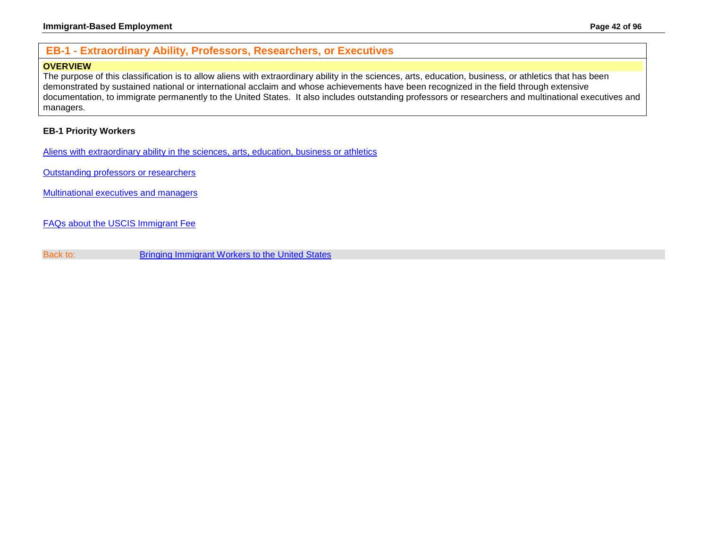# **EB-1 - Extraordinary Ability, Professors, Researchers, or Executives**

# **OVERVIEW**

The purpose of this classification is to allow aliens with extraordinary ability in the sciences, arts, education, business, or athletics that has been demonstrated by sustained national or international acclaim and whose achievements have been recognized in the field through extensive documentation, to immigrate permanently to the United States. It also includes outstanding professors or researchers and multinational executives and managers.

# **EB-1 Priority Workers**

[Aliens with extraordinary ability in the sciences, arts, education, business or athletics](#page-42-0)

[Outstanding professors or researchers](#page-51-0)

[Multinational executives and managers](#page-60-0)

[FAQs about the USCIS Immigrant Fee](#page-33-0)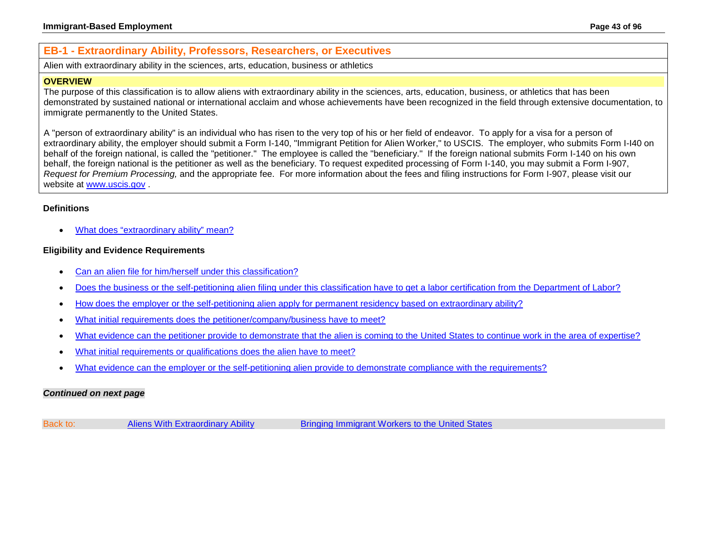# <span id="page-42-0"></span>**EB-1 - Extraordinary Ability, Professors, Researchers, or Executives**

Alien with extraordinary ability in the sciences, arts, education, business or athletics

### **OVERVIEW**

The purpose of this classification is to allow aliens with extraordinary ability in the sciences, arts, education, business, or athletics that has been demonstrated by sustained national or international acclaim and whose achievements have been recognized in the field through extensive documentation, to immigrate permanently to the United States.

A "person of extraordinary ability" is an individual who has risen to the very top of his or her field of endeavor. To apply for a visa for a person of extraordinary ability, the employer should submit a Form I-140, "Immigrant Petition for Alien Worker," to USCIS. The employer, who submits Form I-I40 on behalf of the foreign national, is called the "petitioner." The employee is called the "beneficiary." If the foreign national submits Form I-140 on his own behalf, the foreign national is the petitioner as well as the beneficiary. To request expedited processing of Form I-140, you may submit a Form I-907, *Request for Premium Processing,* and the appropriate fee. For more information about the fees and filing instructions for Form I-907, please visit our website at [www.uscis.gov](http://www.uscis.gov/) .

## **Definitions**

• [What does "extraordinary ability" mean?](#page-44-0)

## **Eligibility and Evidence Requirements**

- [Can an alien file for him/herself under this classification?](#page-44-1)
- Does the business or the self-petitioning alien [filing under this classification have to get a labor certification from the Department of Labor?](#page-44-2)
- [How does the employer or the self-petitioning alien apply for permanent residency based on extraordinary ability?](#page-45-0)
- What initial requirements does [the petitioner/company/business have to meet?](#page-45-1)
- [What evidence can the petitioner provide to demonstrate that the alien is coming to the](#page-46-0) United States to continue work in the area of expertise?
- [What initial requirements or qualifications does the alien have to meet?](#page-46-1)
- [What evidence can the employer or the self-petitioning alien provide to demonstrate compliance with the requirements?](#page-47-0)

### *Continued on next page*

| Back to: | <b>Aliens With Extraordinary Ability</b> | Bringing Immigrant Workers to the United States |
|----------|------------------------------------------|-------------------------------------------------|
|----------|------------------------------------------|-------------------------------------------------|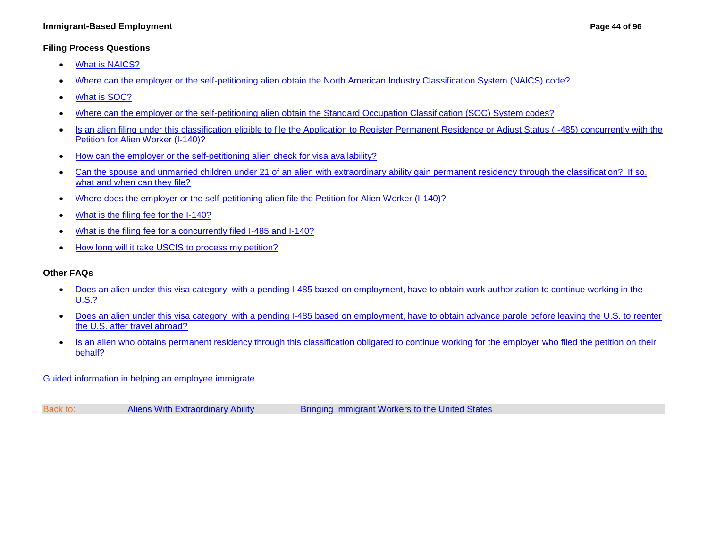## **Filing Process Questions**

- [What is NAICS?](#page-48-0)
- [Where can the employer or the self-petitioning alien obtain the North American Industry Classification System \(NAICS\) code?](#page-48-1)
- [What is SOC?](#page-48-2)
- [Where can the employer or the self-petitioning alien obtain the Standard Occupation Classification \(SOC\) System codes?](#page-48-3)
- Is an alien filing under this classification eligible to file the Application to Register Permanent Residence or Adjust Status (I-485) concurrently with the Petition for Alien Worker (I-140)?
- [How can the employer or the self-petitioning alien check for](#page-49-0) visa availability?
- [Can the spouse and unmarried children under 21 of an alien with extraordinary ability gain permanent residency through the classification? If so,](#page-49-1)  [what and when can they file?](#page-49-1)
- [Where does the employer or the self-petitioning alien file the Petition for Alien Worker \(I-140\)?](http://www.uscis.gov/i-140)
- [What is the filing fee for the I-140?](http://www.uscis.gov/i-140)
- [What is the filing fee for a concurrently filed I-485 and I-140?](http://www.uscis.gov/forms)
- [How long will it take USCIS to process my petition?](#page-50-0)

## **Other FAQs**

- [Does an alien under this visa category, with a pending I-485 based on employment, have to obtain work authorization to continue working in the](#page-50-1)  [U.S.?](#page-50-1)
- [Does an alien under this visa category, with a pending I-485 based on employment, have to obtain advance parole before leaving the U.S. to](#page-50-2) reenter [the U.S. after travel abroad?](#page-50-2)
- Is an alien who obtains permanent residency through this classification obligated to continue working for the employer who filed the petition on their [behalf?](#page-50-3)

[Guided information in helping an employee immigrate](#page-2-0)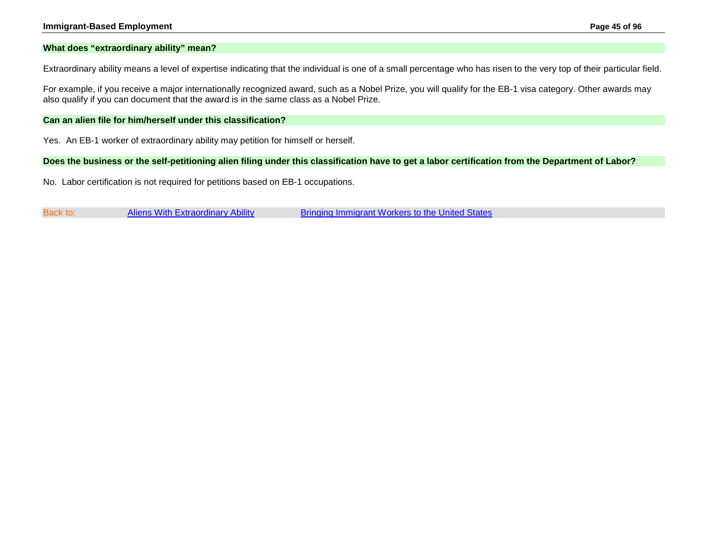#### **Immigrant-Based Employment Page 45 of 96**

#### <span id="page-44-0"></span>**What does "extraordinary ability" mean?**

Extraordinary ability means a level of expertise indicating that the individual is one of a small percentage who has risen to the very top of their particular field.

For example, if you receive a major internationally recognized award, such as a Nobel Prize, you will qualify for the EB-1 visa category. Other awards may also qualify if you can document that the award is in the same class as a Nobel Prize.

### <span id="page-44-1"></span>**Can an alien file for him/herself under this classification?**

Yes. An EB-1 worker of extraordinary ability may petition for himself or herself.

#### <span id="page-44-2"></span>**Does the business or the self-petitioning alien filing under this classification have to get a labor certification from the Department of Labor?**

No. Labor certification is not required for petitions based on EB-1 occupations.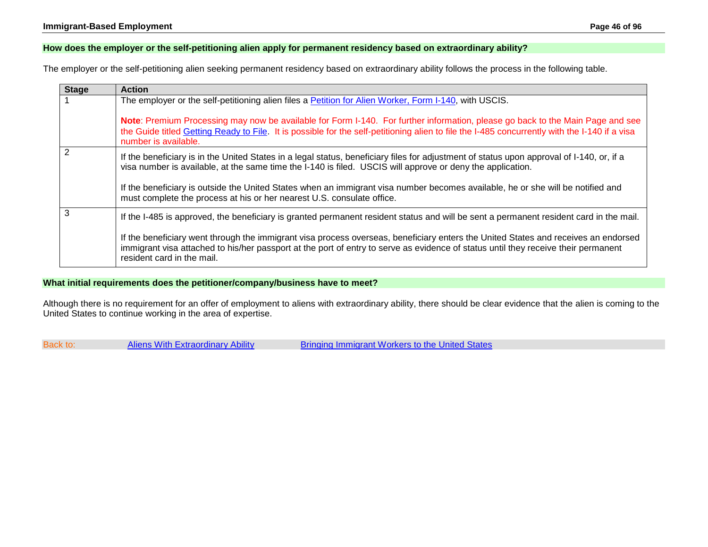## <span id="page-45-0"></span>**How does the employer or the self-petitioning alien apply for permanent residency based on extraordinary ability?**

The employer or the self-petitioning alien seeking permanent residency based on extraordinary ability follows the process in the following table.

| <b>Stage</b>   | <b>Action</b>                                                                                                                                                                                                                                                                                           |  |
|----------------|---------------------------------------------------------------------------------------------------------------------------------------------------------------------------------------------------------------------------------------------------------------------------------------------------------|--|
|                | The employer or the self-petitioning alien files a Petition for Alien Worker, Form I-140, with USCIS.                                                                                                                                                                                                   |  |
|                | Note: Premium Processing may now be available for Form I-140. For further information, please go back to the Main Page and see<br>the Guide titled Getting Ready to File. It is possible for the self-petitioning alien to file the I-485 concurrently with the I-140 if a visa<br>number is available. |  |
| $\overline{2}$ | If the beneficiary is in the United States in a legal status, beneficiary files for adjustment of status upon approval of I-140, or, if a<br>visa number is available, at the same time the I-140 is filed. USCIS will approve or deny the application.                                                 |  |
|                | If the beneficiary is outside the United States when an immigrant visa number becomes available, he or she will be notified and<br>must complete the process at his or her nearest U.S. consulate office.                                                                                               |  |
| 3              | If the I-485 is approved, the beneficiary is granted permanent resident status and will be sent a permanent resident card in the mail.                                                                                                                                                                  |  |
|                | If the beneficiary went through the immigrant visa process overseas, beneficiary enters the United States and receives an endorsed<br>immigrant visa attached to his/her passport at the port of entry to serve as evidence of status until they receive their permanent<br>resident card in the mail.  |  |

## <span id="page-45-1"></span>**What initial requirements does the petitioner/company/business have to meet?**

Although there is no requirement for an offer of employment to aliens with extraordinary ability, there should be clear evidence that the alien is coming to the United States to continue working in the area of expertise.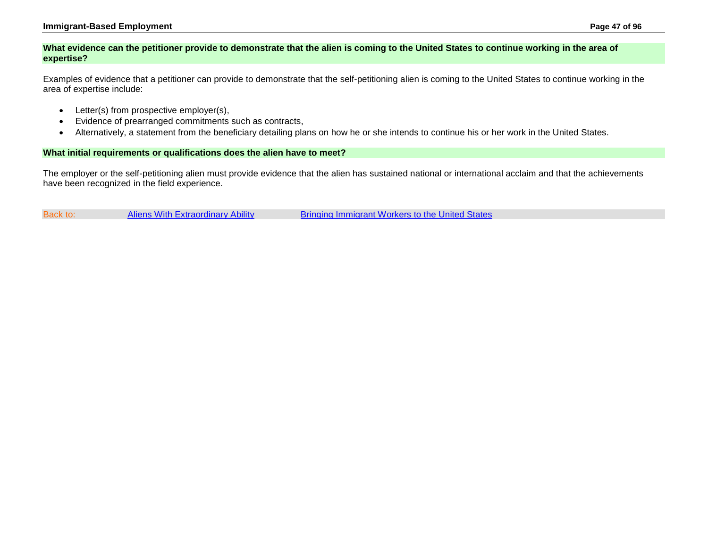## <span id="page-46-0"></span>**What evidence can the petitioner provide to demonstrate that the alien is coming to the United States to continue working in the area of expertise?**

Examples of evidence that a petitioner can provide to demonstrate that the self-petitioning alien is coming to the United States to continue working in the area of expertise include:

- Letter(s) from prospective employer(s),
- Evidence of prearranged commitments such as contracts,
- Alternatively, a statement from the beneficiary detailing plans on how he or she intends to continue his or her work in the United States.

### <span id="page-46-1"></span>**What initial requirements or qualifications does the alien have to meet?**

The employer or the self-petitioning alien must provide evidence that the alien has sustained national or international acclaim and that the achievements have been recognized in the field experience.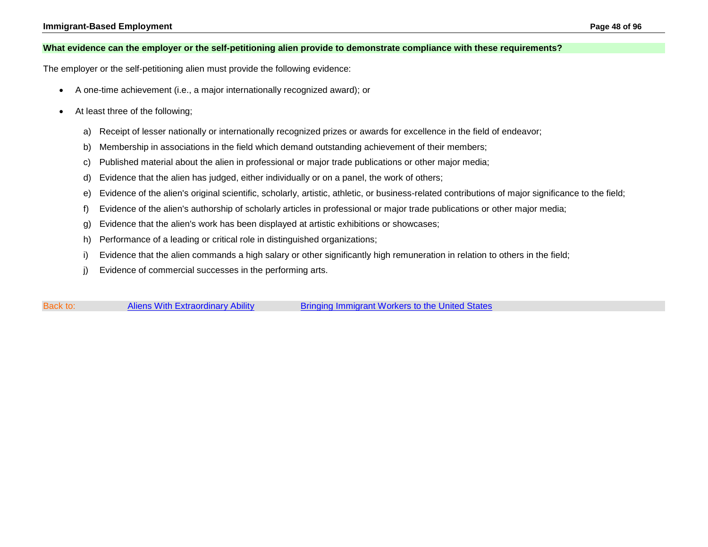### <span id="page-47-0"></span>**What evidence can the employer or the self-petitioning alien provide to demonstrate compliance with these requirements?**

The employer or the self-petitioning alien must provide the following evidence:

- A one-time achievement (i.e., a major internationally recognized award); or
- At least three of the following;
	- a) Receipt of lesser nationally or internationally recognized prizes or awards for excellence in the field of endeavor;
	- b) Membership in associations in the field which demand outstanding achievement of their members;
	- c) Published material about the alien in professional or major trade publications or other major media;
	- d) Evidence that the alien has judged, either individually or on a panel, the work of others;
	- e) Evidence of the alien's original scientific, scholarly, artistic, athletic, or business-related contributions of major significance to the field;
	- f) Evidence of the alien's authorship of scholarly articles in professional or major trade publications or other major media;
	- g) Evidence that the alien's work has been displayed at artistic exhibitions or showcases;
	- h) Performance of a leading or critical role in distinguished organizations;
	- i) Evidence that the alien commands a high salary or other significantly high remuneration in relation to others in the field;
	- j) Evidence of commercial successes in the performing arts.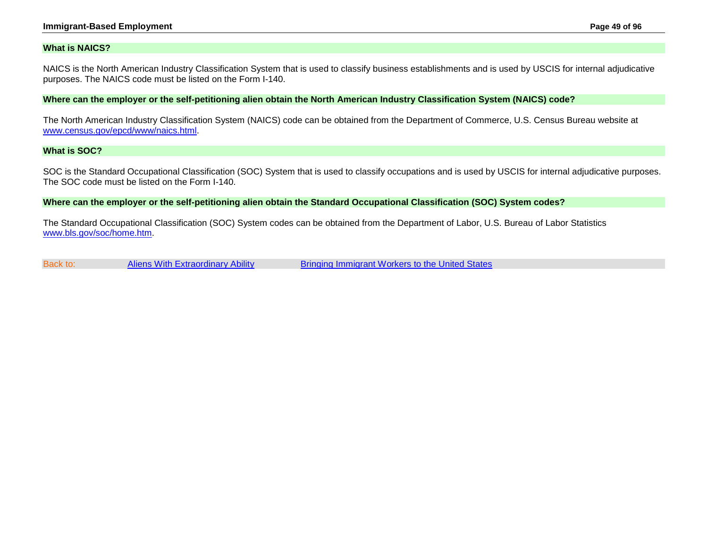#### **Immigrant-Based Employment Page 49 of 96**

#### <span id="page-48-0"></span>**What is NAICS?**

NAICS is the North American Industry Classification System that is used to classify business establishments and is used by USCIS for internal adjudicative purposes. The NAICS code must be listed on the Form I-140.

<span id="page-48-1"></span>**Where can the employer or the self-petitioning alien obtain the North American Industry Classification System (NAICS) code?**

The North American Industry Classification System (NAICS) code can be obtained from the Department of Commerce, U.S. Census Bureau website at [www.census.gov/epcd/www/naics.html.](http://www.census.gov/epcd/www/naics.html)

## <span id="page-48-2"></span>**What is SOC?**

SOC is the Standard Occupational Classification (SOC) System that is used to classify occupations and is used by USCIS for internal adjudicative purposes. The SOC code must be listed on the Form I-140.

<span id="page-48-3"></span>**Where can the employer or the self-petitioning alien obtain the Standard Occupational Classification (SOC) System codes?**

The Standard Occupational Classification (SOC) System codes can be obtained from the Department of Labor, U.S. Bureau of Labor Statistics [www.bls.gov/soc/home.htm.](http://www.bls.gov/soc/home.htm)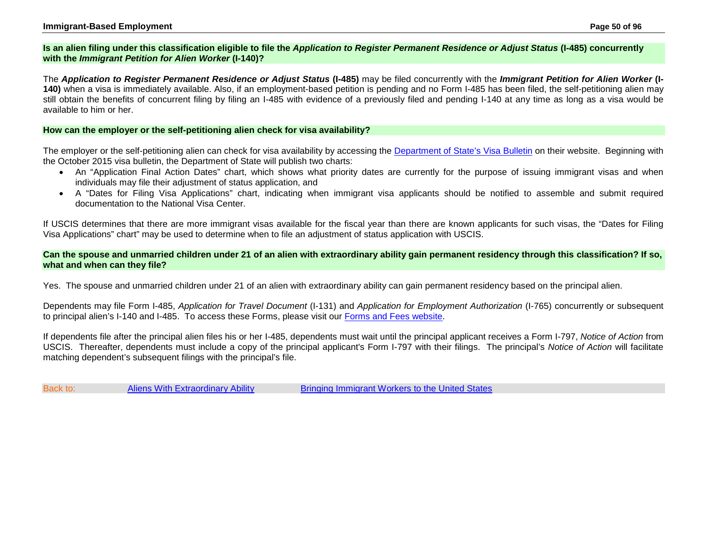## **Is an alien filing under this classification eligible to file the** *Application to Register Permanent Residence or Adjust Status* **(I-485) concurrently with the** *Immigrant Petition for Alien Worker* **(I-140)?**

The *Application to Register Permanent Residence or Adjust Status* **(I-485)** may be filed concurrently with the *Immigrant Petition for Alien Worker* **(I-140)** when a visa is immediately available. Also, if an employment-based petition is pending and no Form I-485 has been filed, the self-petitioning alien may still obtain the benefits of concurrent filing by filing an I-485 with evidence of a previously filed and pending I-140 at any time as long as a visa would be available to him or her.

## <span id="page-49-0"></span>**How can the employer or the self-petitioning alien check for visa availability?**

The employer or the self-petitioning alien can check for visa availability by accessing the [Department of State's Visa Bulletin](http://travel.state.gov/content/visas/english/law-and-policy/bulletin.html) on their website. Beginning with the October 2015 visa bulletin, the Department of State will publish two charts:

- An "Application Final Action Dates" chart, which shows what priority dates are currently for the purpose of issuing immigrant visas and when individuals may file their adjustment of status application, and
- A "Dates for Filing Visa Applications" chart, indicating when immigrant visa applicants should be notified to assemble and submit required documentation to the National Visa Center.

If USCIS determines that there are more immigrant visas available for the fiscal year than there are known applicants for such visas, the "Dates for Filing Visa Applications" chart" may be used to determine when to file an adjustment of status application with USCIS.

<span id="page-49-1"></span>**Can the spouse and unmarried children under 21 of an alien with extraordinary ability gain permanent residency through this classification? If so, what and when can they file?**

Yes. The spouse and unmarried children under 21 of an alien with extraordinary ability can gain permanent residency based on the principal alien.

Dependents may file Form I-485, *Application for Travel Document* (I-131) and *Application for Employment Authorization* (I-765) concurrently or subsequent to principal alien's I-140 and I-485. To access these Forms, please visit our [Forms and Fees website.](http://www.uscis.gov/forms)

If dependents file after the principal alien files his or her I-485, dependents must wait until the principal applicant receives a Form I-797, *Notice of Action* from USCIS. Thereafter, dependents must include a copy of the principal applicant's Form I-797 with their filings. The principal's *Notice of Action* will facilitate matching dependent's subsequent filings with the principal's file.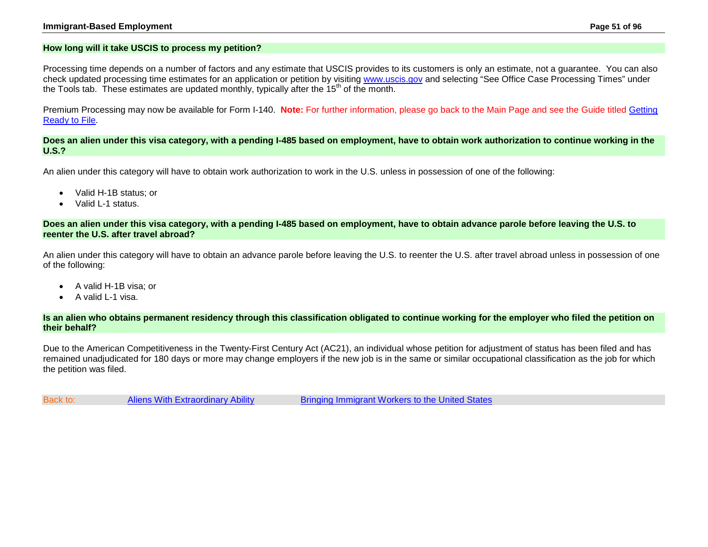## <span id="page-50-0"></span>**How long will it take USCIS to process my petition?**

Processing time depends on a number of factors and any estimate that USCIS provides to its customers is only an estimate, not a guarantee. You can also check updated processing time estimates for an application or petition by visiting [www.uscis.gov](http://www.uscis.gov/) and selecting "See Office Case Processing Times" under the Tools tab. These estimates are updated monthly, typically after the  $15<sup>th</sup>$  of the month.

Premium Processing may now be available for Form I-140. **Note:** For further information, please go back to the Main Page and see the Guide titled [Getting](http://www.uscis.gov/about-us/electronic-reading-room/customer-service-resource-guide/customer-service-reference-guide)  [Ready to File.](http://www.uscis.gov/about-us/electronic-reading-room/customer-service-resource-guide/customer-service-reference-guide)

<span id="page-50-1"></span>**Does an alien under this visa category, with a pending I-485 based on employment, have to obtain work authorization to continue working in the U.S.?**

An alien under this category will have to obtain work authorization to work in the U.S. unless in possession of one of the following:

- Valid H-1B status; or
- Valid L-1 status.

<span id="page-50-2"></span>**Does an alien under this visa category, with a pending I-485 based on employment, have to obtain advance parole before leaving the U.S. to reenter the U.S. after travel abroad?**

An alien under this category will have to obtain an advance parole before leaving the U.S. to reenter the U.S. after travel abroad unless in possession of one of the following:

- A valid H-1B visa; or
- A valid L-1 visa.

<span id="page-50-3"></span>**Is an alien who obtains permanent residency through this classification obligated to continue working for the employer who filed the petition on their behalf?**

Due to the American Competitiveness in the Twenty-First Century Act (AC21), an individual whose petition for adjustment of status has been filed and has remained unadjudicated for 180 days or more may change employers if the new job is in the same or similar occupational classification as the job for which the petition was filed.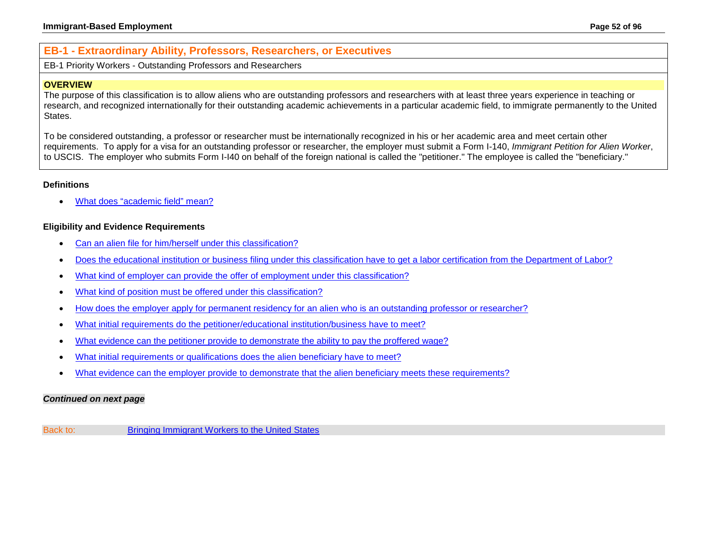# **EB-1 - Extraordinary Ability, Professors, Researchers, or Executives**

<span id="page-51-0"></span>EB-1 Priority Workers - Outstanding Professors and Researchers

## **OVERVIEW**

The purpose of this classification is to allow aliens who are outstanding professors and researchers with at least three years experience in teaching or research, and recognized internationally for their outstanding academic achievements in a particular academic field, to immigrate permanently to the United States.

To be considered outstanding, a professor or researcher must be internationally recognized in his or her academic area and meet certain other requirements. To apply for a visa for an outstanding professor or researcher, the employer must submit a Form I-140, *Immigrant Petition for Alien Worker*, to USCIS. The employer who submits Form I-I40 on behalf of the foreign national is called the "petitioner." The employee is called the "beneficiary."

## **Definitions**

• [What does "academic field" mean?](#page-53-0)

## **Eligibility and Evidence Requirements**

- [Can an alien file for him/herself under this classification?](#page-53-1)
- [Does the educational institution or business filing under this classification have to get a](#page-53-2) labor certification from the Department of Labor?
- [What kind of employer can provide the offer of employment under this classification?](#page-53-3)
- [What kind of position must be offered under this classification?](#page-53-4)
- [How does the employer apply for permanent residency for an alien who is an outstanding professor or researcher?](#page-54-0)
- What initial requirements do [the petitioner/educational institution/business have to meet?](#page-55-0)
- [What evidence can the petitioner provide to demonstrate the ability to pay the proffered wage?](#page-55-1)
- [What initial requirements or qualifications does the alien beneficiary have to meet?](#page-55-2)
- [What evidence can the employer provide to demonstrate that the alien beneficiary meets these requirements?](#page-56-0)

### *Continued on next page*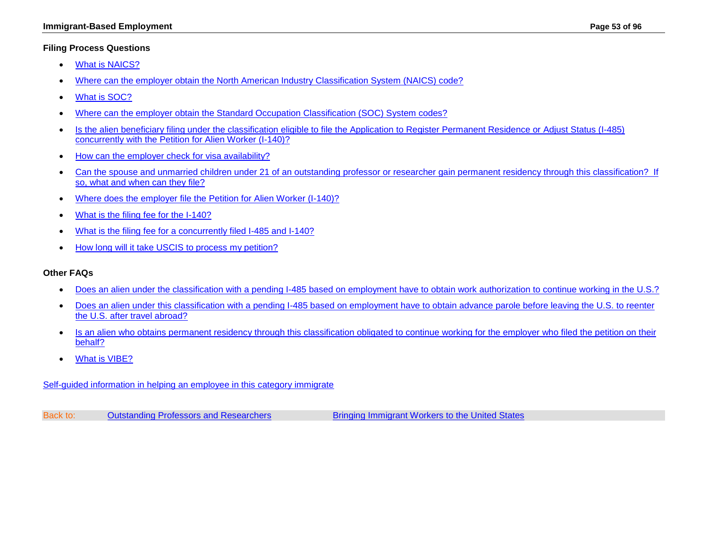## **Filing Process Questions**

- [What is NAICS?](#page-56-1)
- [Where can the employer obtain the North American Industry](#page-56-2) Classification System (NAICS) code?
- [What is SOC?](#page-57-0)
- [Where can the employer obtain the Standard Occupation Classification \(SOC\) System codes?](#page-57-1)
- [Is the alien beneficiary filing under the classification eligible to file the Application to Register Permanent Residence or](#page-57-2) Adjust Status (I-485) [concurrently with the Petition for Alien Worker \(I-140\)?](#page-57-2)
- [How can the employer check for visa availability?](#page-57-3)
- Can the spouse and unmarried children under 21 of an outstanding professor or researcher gain permanent residency through this classification? If [so, what and when can they file?](#page-58-0)
- [Where does the employer file the Petition for Alien Worker \(I-140\)?](http://www.uscis.gov/i-140)
- [What is the filing fee for the I-140?](http://www.uscis.gov/i-140)
- [What is the filing fee for a concurrently filed I-485 and I-140?](http://www.uscis.gov/forms)
- [How long will it take USCIS to process my petition?](#page-50-0)

## **Other FAQs**

- [Does an alien under the classification with a pending I-485 based on employment have to obtain work authorization to continue working in the U.S.?](#page-58-1)
- [Does an alien under this classification with a pending I-485 based on employment have to obtain advance parole before leaving the U.S. to reenter](#page-58-2)  [the U.S. after travel abroad?](#page-58-2)
- Is an alien who obtains permanent residency through this classification obligated to continue working for the employer who filed the petition on their [behalf?](#page-59-0)
- [What is VIBE?](#page-59-1)

[Self-guided information in helping an employee in this category immigrate](#page-2-0)

Back to: [Outstanding Professors and Researchers](#page-51-0) **[Bringing Immigrant Workers to the United States](#page-0-0)**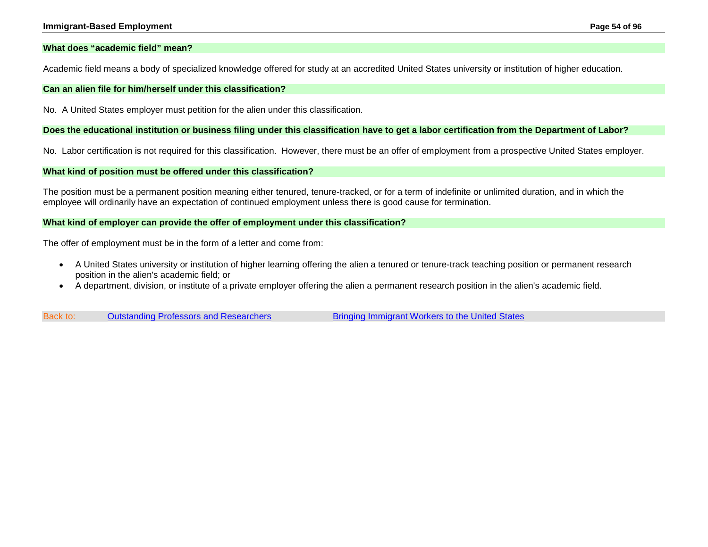### <span id="page-53-0"></span>**What does "academic field" mean?**

Academic field means a body of specialized knowledge offered for study at an accredited United States university or institution of higher education.

#### <span id="page-53-1"></span>**Can an alien file for him/herself under this classification?**

No. A United States employer must petition for the alien under this classification.

### <span id="page-53-2"></span>**Does the educational institution or business filing under this classification have to get a labor certification from the Department of Labor?**

No. Labor certification is not required for this classification. However, there must be an offer of employment from a prospective United States employer.

### <span id="page-53-4"></span>**What kind of position must be offered under this classification?**

The position must be a permanent position meaning either tenured, tenure-tracked, or for a term of indefinite or unlimited duration, and in which the employee will ordinarily have an expectation of continued employment unless there is good cause for termination.

### <span id="page-53-3"></span>**What kind of employer can provide the offer of employment under this classification?**

The offer of employment must be in the form of a letter and come from:

- A United States university or institution of higher learning offering the alien a tenured or tenure-track teaching position or permanent research position in the alien's academic field; or
- A department, division, or institute of a private employer offering the alien a permanent research position in the alien's academic field.

Back to: [Outstanding Professors and Researchers](#page-51-0) [Bringing Immigrant Workers to the United States](#page-0-0)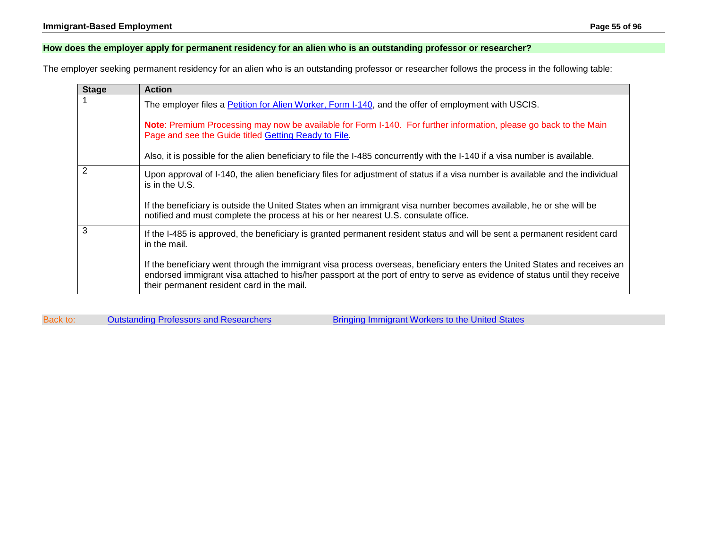## <span id="page-54-0"></span>**How does the employer apply for permanent residency for an alien who is an outstanding professor or researcher?**

The employer seeking permanent residency for an alien who is an outstanding professor or researcher follows the process in the following table:

| <b>Stage</b>   | <b>Action</b>                                                                                                                                                                                                                                                                                          |
|----------------|--------------------------------------------------------------------------------------------------------------------------------------------------------------------------------------------------------------------------------------------------------------------------------------------------------|
|                | The employer files a <b>Petition for Alien Worker, Form I-140</b> , and the offer of employment with USCIS.                                                                                                                                                                                            |
|                | Note: Premium Processing may now be available for Form I-140. For further information, please go back to the Main<br>Page and see the Guide titled Getting Ready to File.                                                                                                                              |
|                | Also, it is possible for the alien beneficiary to file the I-485 concurrently with the I-140 if a visa number is available.                                                                                                                                                                            |
| $\overline{2}$ | Upon approval of I-140, the alien beneficiary files for adjustment of status if a visa number is available and the individual<br>is in the U.S.                                                                                                                                                        |
|                | If the beneficiary is outside the United States when an immigrant visa number becomes available, he or she will be<br>notified and must complete the process at his or her nearest U.S. consulate office.                                                                                              |
| 3              | If the I-485 is approved, the beneficiary is granted permanent resident status and will be sent a permanent resident card<br>in the mail.                                                                                                                                                              |
|                | If the beneficiary went through the immigrant visa process overseas, beneficiary enters the United States and receives an<br>endorsed immigrant visa attached to his/her passport at the port of entry to serve as evidence of status until they receive<br>their permanent resident card in the mail. |

Back to: [Outstanding Professors and Researchers](#page-51-0) [Bringing Immigrant Workers to the United States](#page-0-0)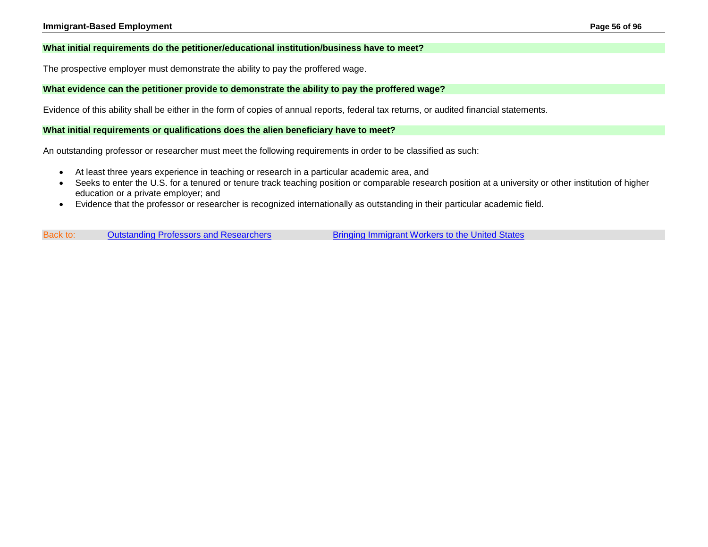### <span id="page-55-0"></span>**What initial requirements do the petitioner/educational institution/business have to meet?**

The prospective employer must demonstrate the ability to pay the proffered wage.

### <span id="page-55-1"></span>**What evidence can the petitioner provide to demonstrate the ability to pay the proffered wage?**

Evidence of this ability shall be either in the form of copies of annual reports, federal tax returns, or audited financial statements.

#### <span id="page-55-2"></span>**What initial requirements or qualifications does the alien beneficiary have to meet?**

An outstanding professor or researcher must meet the following requirements in order to be classified as such:

- At least three years experience in teaching or research in a particular academic area, and
- Seeks to enter the U.S. for a tenured or tenure track teaching position or comparable research position at a university or other institution of higher education or a private employer; and
- Evidence that the professor or researcher is recognized internationally as outstanding in their particular academic field.

Back to: [Outstanding Professors and Researchers](#page-51-0) **[Bringing Immigrant Workers to the United States](#page-0-0)**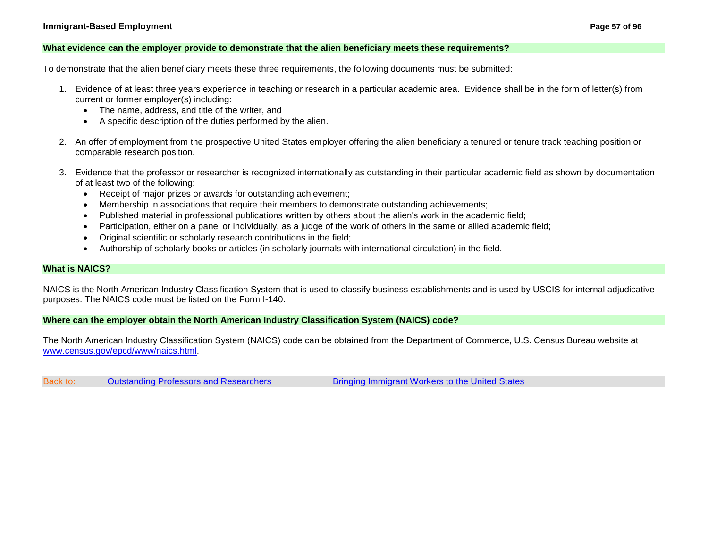#### <span id="page-56-0"></span>**What evidence can the employer provide to demonstrate that the alien beneficiary meets these requirements?**

To demonstrate that the alien beneficiary meets these three requirements, the following documents must be submitted:

- 1. Evidence of at least three years experience in teaching or research in a particular academic area. Evidence shall be in the form of letter(s) from current or former employer(s) including:
	- The name, address, and title of the writer, and
	- A specific description of the duties performed by the alien.
- 2. An offer of employment from the prospective United States employer offering the alien beneficiary a tenured or tenure track teaching position or comparable research position.
- 3. Evidence that the professor or researcher is recognized internationally as outstanding in their particular academic field as shown by documentation of at least two of the following:
	- Receipt of major prizes or awards for outstanding achievement;
	- Membership in associations that require their members to demonstrate outstanding achievements;
	- Published material in professional publications written by others about the alien's work in the academic field;
	- Participation, either on a panel or individually, as a judge of the work of others in the same or allied academic field;
	- Original scientific or scholarly research contributions in the field;
	- Authorship of scholarly books or articles (in scholarly journals with international circulation) in the field.

#### <span id="page-56-1"></span>**What is NAICS?**

NAICS is the North American Industry Classification System that is used to classify business establishments and is used by USCIS for internal adjudicative purposes. The NAICS code must be listed on the Form I-140.

<span id="page-56-2"></span>**Where can the employer obtain the North American Industry Classification System (NAICS) code?**

The North American Industry Classification System (NAICS) code can be obtained from the Department of Commerce, U.S. Census Bureau website at [www.census.gov/epcd/www/naics.html.](http://www.census.gov/epcd/www/naics.html)

Back to: [Outstanding Professors and Researchers](#page-51-0) **[Bringing Immigrant Workers to the United States](#page-0-0)**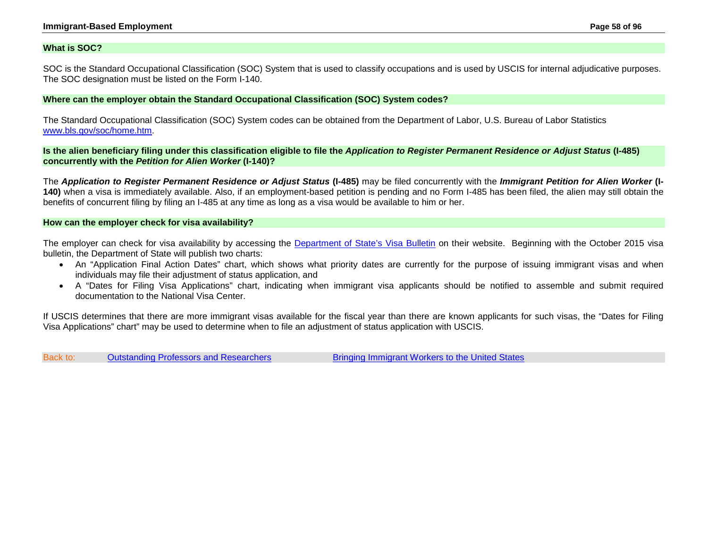### <span id="page-57-0"></span>**What is SOC?**

SOC is the Standard Occupational Classification (SOC) System that is used to classify occupations and is used by USCIS for internal adjudicative purposes. The SOC designation must be listed on the Form I-140.

### <span id="page-57-1"></span>**Where can the employer obtain the Standard Occupational Classification (SOC) System codes?**

The Standard Occupational Classification (SOC) System codes can be obtained from the Department of Labor, U.S. Bureau of Labor Statistics [www.bls.gov/soc/home.htm.](http://www.stats.bls.gov/soc/socguide.htm)

<span id="page-57-2"></span>**Is the alien beneficiary filing under this classification eligible to file the** *Application to Register Permanent Residence or Adjust Status* **(I-485) concurrently with the** *Petition for Alien Worker* **(I-140)?**

The *Application to Register Permanent Residence or Adjust Status* **(I-485)** may be filed concurrently with the *Immigrant Petition for Alien Worker* **(I-140)** when a visa is immediately available. Also, if an employment-based petition is pending and no Form I-485 has been filed, the alien may still obtain the benefits of concurrent filing by filing an I-485 at any time as long as a visa would be available to him or her.

#### <span id="page-57-3"></span>**How can the employer check for visa availability?**

The employer can check for visa availability by accessing the [Department of State's Visa Bulletin](http://travel.state.gov/content/visas/english/law-and-policy/bulletin.html) on their website. Beginning with the October 2015 visa bulletin, the Department of State will publish two charts:

- An "Application Final Action Dates" chart, which shows what priority dates are currently for the purpose of issuing immigrant visas and when individuals may file their adjustment of status application, and
- A "Dates for Filing Visa Applications" chart, indicating when immigrant visa applicants should be notified to assemble and submit required documentation to the National Visa Center.

If USCIS determines that there are more immigrant visas available for the fiscal year than there are known applicants for such visas, the "Dates for Filing Visa Applications" chart" may be used to determine when to file an adjustment of status application with USCIS.

Back to: [Outstanding Professors and Researchers](#page-51-0) [Bringing Immigrant Workers to the United States](#page-0-0)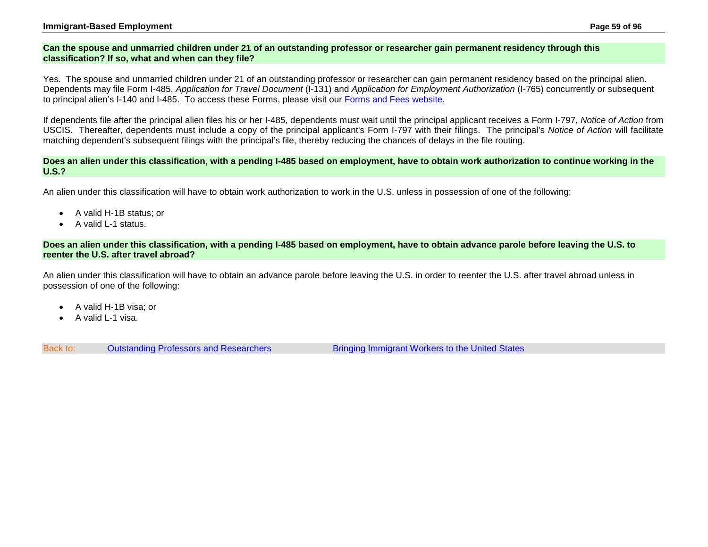## <span id="page-58-0"></span>**Can the spouse and unmarried children under 21 of an outstanding professor or researcher gain permanent residency through this classification? If so, what and when can they file?**

Yes. The spouse and unmarried children under 21 of an outstanding professor or researcher can gain permanent residency based on the principal alien. Dependents may file Form I-485, *Application for Travel Document* (I-131) and *Application for Employment Authorization* (I-765) concurrently or subsequent to principal alien's I-140 and I-485. To access these Forms, please visit our [Forms and Fees website.](http://www.uscis.gov/forms)

If dependents file after the principal alien files his or her I-485, dependents must wait until the principal applicant receives a Form I-797, *Notice of Action* from USCIS. Thereafter, dependents must include a copy of the principal applicant's Form I-797 with their filings. The principal's *Notice of Action* will facilitate matching dependent's subsequent filings with the principal's file, thereby reducing the chances of delays in the file routing.

### <span id="page-58-1"></span>**Does an alien under this classification, with a pending I-485 based on employment, have to obtain work authorization to continue working in the U.S.?**

An alien under this classification will have to obtain work authorization to work in the U.S. unless in possession of one of the following:

- A valid H-1B status; or
- A valid L-1 status.

## <span id="page-58-2"></span>**Does an alien under this classification, with a pending I-485 based on employment, have to obtain advance parole before leaving the U.S. to reenter the U.S. after travel abroad?**

An alien under this classification will have to obtain an advance parole before leaving the U.S. in order to reenter the U.S. after travel abroad unless in possession of one of the following:

- A valid H-1B visa; or
- A valid L-1 visa.

Back to: [Outstanding Professors and Researchers](#page-51-0) **[Bringing Immigrant Workers to the United States](#page-0-0)**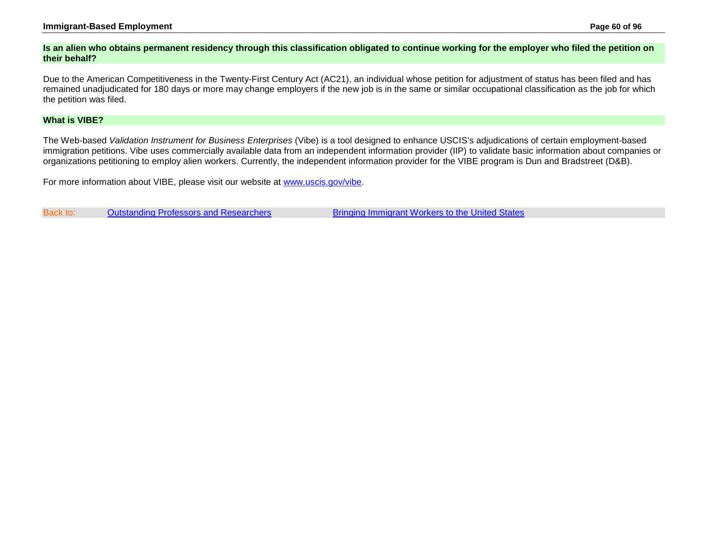## **Immigrant-Based Employment Page 60 of 96**

### <span id="page-59-0"></span>**Is an alien who obtains permanent residency through this classification obligated to continue working for the employer who filed the petition on their behalf?**

Due to the American Competitiveness in the Twenty-First Century Act (AC21), an individual whose petition for adjustment of status has been filed and has remained unadjudicated for 180 days or more may change employers if the new job is in the same or similar occupational classification as the job for which the petition was filed.

## <span id="page-59-1"></span>**What is VIBE?**

The Web-based *Validation Instrument for Business Enterprises* (Vibe) is a tool designed to enhance USCIS's adjudications of certain employment-based immigration petitions. Vibe uses commercially available data from an independent information provider (IIP) to validate basic information about companies or organizations petitioning to employ alien workers. Currently, the independent information provider for the VIBE program is Dun and Bradstreet (D&B).

For more information about VIBE, please visit our website at [www.uscis.gov/vibe.](http://www.uscis.gov/vibe)

Back to: [Outstanding Professors and Researchers](#page-51-0) **[Bringing Immigrant Workers to the United States](#page-0-0)**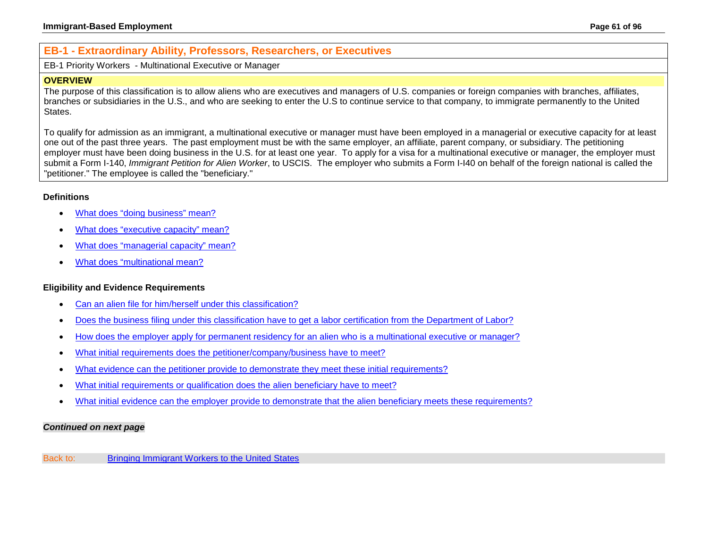# **EB-1 - Extraordinary Ability, Professors, Researchers, or Executives**

<span id="page-60-0"></span>EB-1 Priority Workers - Multinational Executive or Manager

### **OVERVIEW**

The purpose of this classification is to allow aliens who are executives and managers of U.S. companies or foreign companies with branches, affiliates, branches or subsidiaries in the U.S., and who are seeking to enter the U.S to continue service to that company, to immigrate permanently to the United **States** 

To qualify for admission as an immigrant, a multinational executive or manager must have been employed in a managerial or executive capacity for at least one out of the past three years. The past employment must be with the same employer, an affiliate, parent company, or subsidiary. The petitioning employer must have been doing business in the U.S. for at least one year. To apply for a visa for a multinational executive or manager, the employer must submit a Form I-140, *Immigrant Petition for Alien Worker*, to USCIS. The employer who submits a Form I-I40 on behalf of the foreign national is called the "petitioner." The employee is called the "beneficiary."

## **Definitions**

- [What does "doing business" mean?](#page-62-0)
- [What does "executive capacity" mean?](#page-62-1)
- [What does "managerial capacity" mean?](#page-62-2)
- [What does "multinational mean?](#page-63-0)

## **Eligibility and Evidence Requirements**

- [Can an alien file for him/herself under this classification?](#page-63-1)
- [Does the business filing under this classification have to get a labor certification from the Department of Labor?](#page-63-2)
- [How does the employer apply for permanent residency for an alien who is a multinational executive or manager?](#page-64-0)
- What initial requirements does [the petitioner/company/business have to meet?](#page-63-3)
- [What evidence can the petitioner provide to demonstrate they meet these initial requirements?](#page-64-1)
- [What initial requirements or qualification does the alien beneficiary have to meet?](#page-65-0)
- [What initial evidence can the employer provide to demonstrate that the alien beneficiary meets these requirements?](#page-65-1)

## *Continued on next page*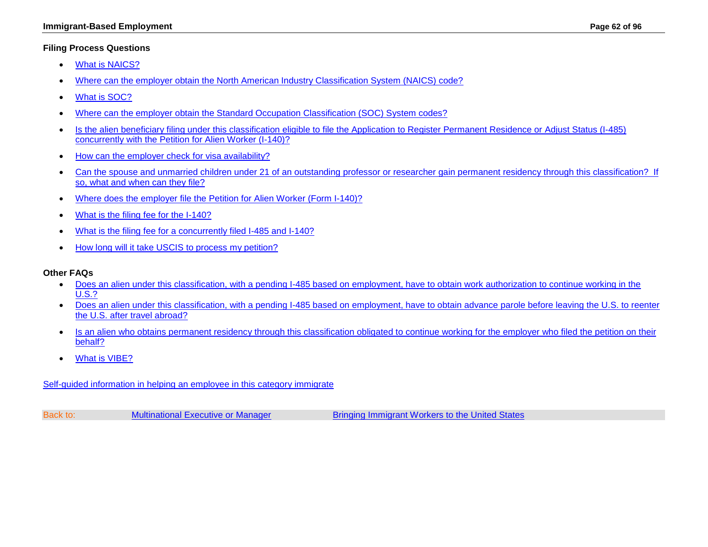## **Filing Process Questions**

- [What is NAICS?](#page-65-2)
- [Where can the employer obtain the North American Industry Classification System \(NAICS\) code?](#page-65-3)
- [What is SOC?](#page-65-4)
- [Where can the employer obtain the Standard Occupation Classification \(SOC\) System codes?](#page-66-0)
- [Is the alien beneficiary filing under this classification eligible to file the Application to Register Permanent Residence or Adjust Status \(I-485\)](#page-66-1)  [concurrently with the Petition for Alien Worker \(I-140\)?](#page-66-1)
- [How can the employer check for visa availability?](#page-66-2)
- Can the spouse and unmarried children under 21 of an outstanding professor or researcher gain permanent residency through this classification? If [so, what and when can they file?](#page-66-3)
- [Where does the employer file the Petition for Alien Worker \(Form I-140\)?](http://www.uscis.gov/forms/I-140)
- [What is the filing fee for the I-140?](http://www.uscis.gov/forms/I-140)
- [What is the filing fee for a concurrently filed I-485 and I-140?](http://www.uscis.gov/forms)
- [How long will it take USCIS to process my petition?](#page-50-0)

## **Other FAQs**

- [Does an alien under this classification, with a pending I-485 based on employment, have to obtain work authorization to continue working in the](#page-67-0)  [U.S.?](#page-67-0)
- [Does an alien under this classification, with a pending I-485 based on employment, have to obtain advance parole before leaving the U.S. to reenter](#page-67-1)  [the U.S. after travel abroad?](#page-67-1)
- Is an alien who obtains permanent residency through this classification obligated to continue working for the employer who filed the petition on their [behalf?](#page-67-2)
- [What is VIBE?](#page-67-3)

[Self-guided information in helping an employee in this category immigrate](#page-2-0)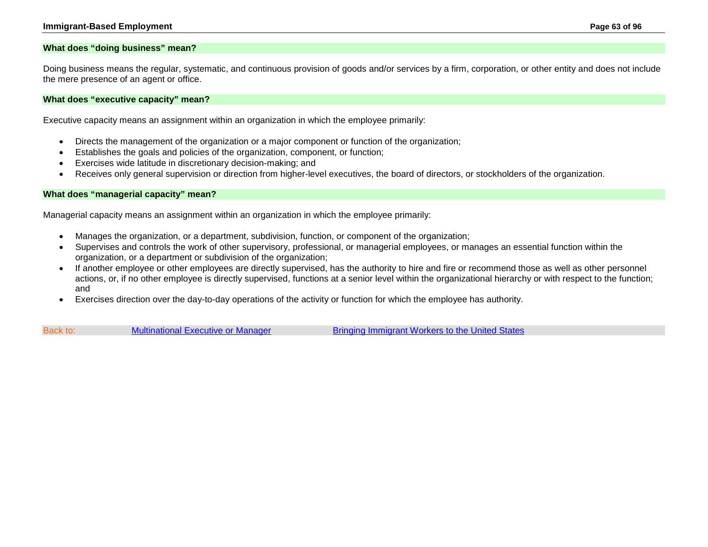### <span id="page-62-0"></span>**What does "doing business" mean?**

Doing business means the regular, systematic, and continuous provision of goods and/or services by a firm, corporation, or other entity and does not include the mere presence of an agent or office.

#### <span id="page-62-1"></span>**What does "executive capacity" mean?**

Executive capacity means an assignment within an organization in which the employee primarily:

- Directs the management of the organization or a major component or function of the organization;
- Establishes the goals and policies of the organization, component, or function;
- Exercises wide latitude in discretionary decision-making; and
- Receives only general supervision or direction from higher-level executives, the board of directors, or stockholders of the organization.

#### <span id="page-62-2"></span>**What does "managerial capacity" mean?**

Managerial capacity means an assignment within an organization in which the employee primarily:

- Manages the organization, or a department, subdivision, function, or component of the organization;
- Supervises and controls the work of other supervisory, professional, or managerial employees, or manages an essential function within the organization, or a department or subdivision of the organization;
- If another employee or other employees are directly supervised, has the authority to hire and fire or recommend those as well as other personnel actions, or, if no other employee is directly supervised, functions at a senior level within the organizational hierarchy or with respect to the function; and
- Exercises direction over the day-to-day operations of the activity or function for which the employee has authority.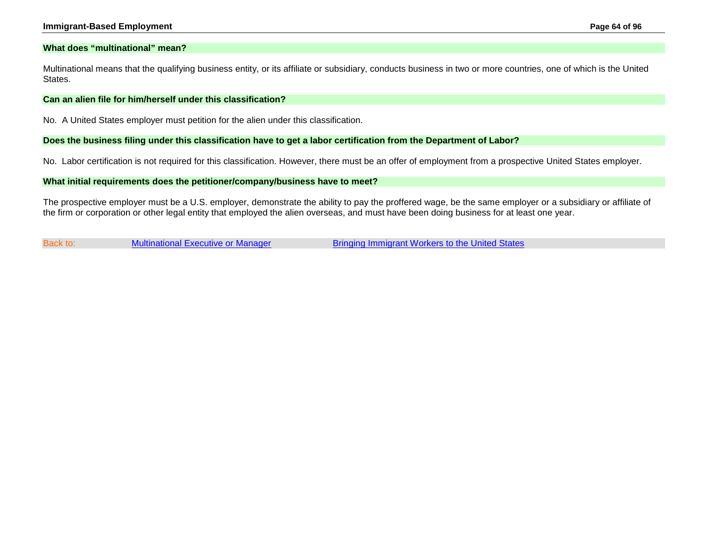#### **Immigrant-Based Employment Page 64 of 96**

#### <span id="page-63-0"></span>**What does "multinational" mean?**

Multinational means that the qualifying business entity, or its affiliate or subsidiary, conducts business in two or more countries, one of which is the United States.

#### <span id="page-63-1"></span>**Can an alien file for him/herself under this classification?**

No. A United States employer must petition for the alien under this classification.

<span id="page-63-2"></span>**Does the business filing under this classification have to get a labor certification from the Department of Labor?**

No. Labor certification is not required for this classification. However, there must be an offer of employment from a prospective United States employer.

<span id="page-63-3"></span>**What initial requirements does the petitioner/company/business have to meet?**

The prospective employer must be a U.S. employer, demonstrate the ability to pay the proffered wage, be the same employer or a subsidiary or affiliate of the firm or corporation or other legal entity that employed the alien overseas, and must have been doing business for at least one year.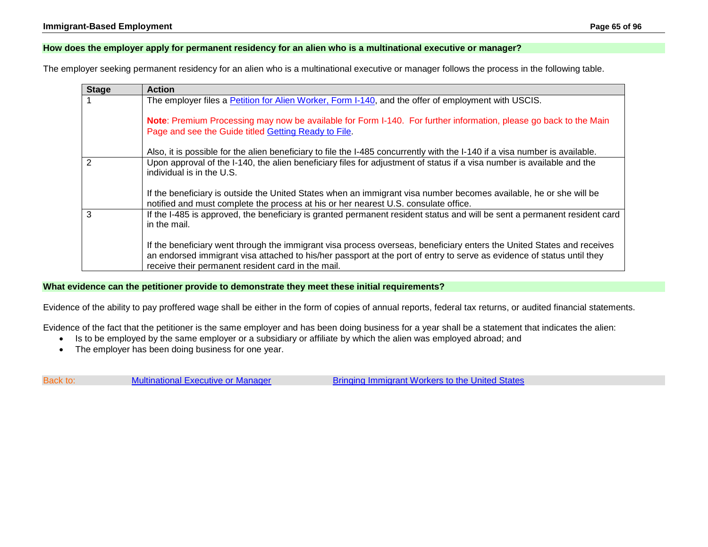## <span id="page-64-0"></span>**How does the employer apply for permanent residency for an alien who is a multinational executive or manager?**

The employer seeking permanent residency for an alien who is a multinational executive or manager follows the process in the following table.

| <b>Stage</b>   | <b>Action</b>                                                                                                                                                                                                                                                                                          |
|----------------|--------------------------------------------------------------------------------------------------------------------------------------------------------------------------------------------------------------------------------------------------------------------------------------------------------|
|                | The employer files a Petition for Alien Worker, Form I-140, and the offer of employment with USCIS.                                                                                                                                                                                                    |
|                | Note: Premium Processing may now be available for Form I-140. For further information, please go back to the Main<br>Page and see the Guide titled Getting Ready to File.                                                                                                                              |
|                | Also, it is possible for the alien beneficiary to file the I-485 concurrently with the I-140 if a visa number is available.                                                                                                                                                                            |
| $\overline{2}$ | Upon approval of the I-140, the alien beneficiary files for adjustment of status if a visa number is available and the<br>individual is in the U.S.                                                                                                                                                    |
|                | If the beneficiary is outside the United States when an immigrant visa number becomes available, he or she will be<br>notified and must complete the process at his or her nearest U.S. consulate office.                                                                                              |
| 3              | If the I-485 is approved, the beneficiary is granted permanent resident status and will be sent a permanent resident card<br>in the mail.                                                                                                                                                              |
|                | If the beneficiary went through the immigrant visa process overseas, beneficiary enters the United States and receives<br>an endorsed immigrant visa attached to his/her passport at the port of entry to serve as evidence of status until they<br>receive their permanent resident card in the mail. |

## <span id="page-64-1"></span>**What evidence can the petitioner provide to demonstrate they meet these initial requirements?**

Evidence of the ability to pay proffered wage shall be either in the form of copies of annual reports, federal tax returns, or audited financial statements.

Evidence of the fact that the petitioner is the same employer and has been doing business for a year shall be a statement that indicates the alien:

- Is to be employed by the same employer or a subsidiary or affiliate by which the alien was employed abroad; and
- The employer has been doing business for one year.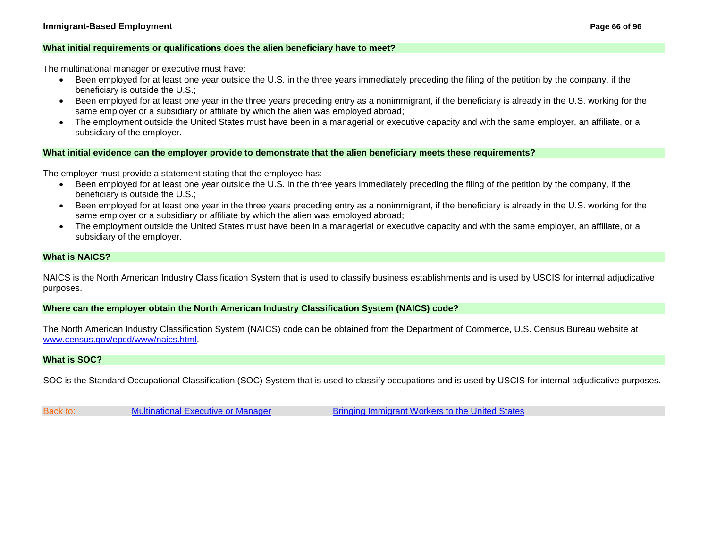### <span id="page-65-0"></span>**What initial requirements or qualifications does the alien beneficiary have to meet?**

The multinational manager or executive must have:

- Been employed for at least one year outside the U.S. in the three years immediately preceding the filing of the petition by the company, if the beneficiary is outside the U.S.;
- Been employed for at least one year in the three years preceding entry as a nonimmigrant, if the beneficiary is already in the U.S. working for the same employer or a subsidiary or affiliate by which the alien was employed abroad;
- The employment outside the United States must have been in a managerial or executive capacity and with the same employer, an affiliate, or a subsidiary of the employer.

### <span id="page-65-1"></span>**What initial evidence can the employer provide to demonstrate that the alien beneficiary meets these requirements?**

The employer must provide a statement stating that the employee has:

- Been employed for at least one year outside the U.S. in the three years immediately preceding the filing of the petition by the company, if the beneficiary is outside the U.S.;
- Been employed for at least one year in the three years preceding entry as a nonimmigrant, if the beneficiary is already in the U.S. working for the same employer or a subsidiary or affiliate by which the alien was employed abroad;
- The employment outside the United States must have been in a managerial or executive capacity and with the same employer, an affiliate, or a subsidiary of the employer.

### <span id="page-65-2"></span>**What is NAICS?**

NAICS is the North American Industry Classification System that is used to classify business establishments and is used by USCIS for internal adjudicative purposes.

#### <span id="page-65-3"></span>**Where can the employer obtain the North American Industry Classification System (NAICS) code?**

The North American Industry Classification System (NAICS) code can be obtained from the Department of Commerce, U.S. Census Bureau website at [www.census.gov/epcd/www/naics.html.](http://www.census.gov/epcd/www/naics.html)

### <span id="page-65-4"></span>**What is SOC?**

SOC is the Standard Occupational Classification (SOC) System that is used to classify occupations and is used by USCIS for internal adjudicative purposes.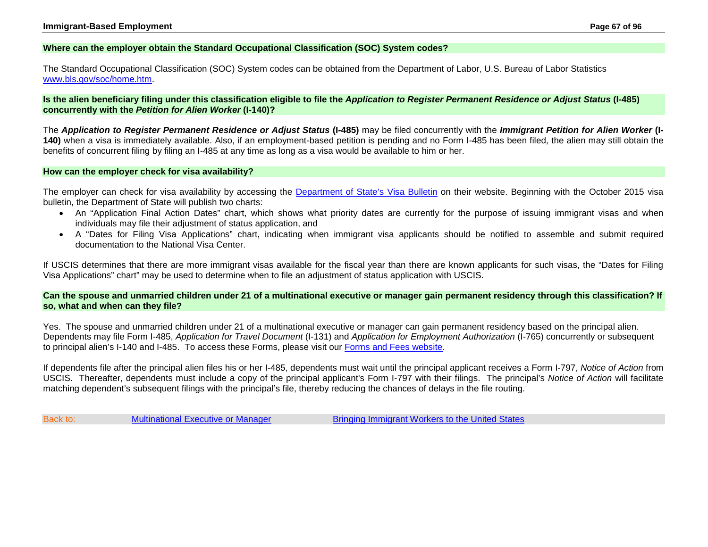### <span id="page-66-0"></span>**Where can the employer obtain the Standard Occupational Classification (SOC) System codes?**

The Standard Occupational Classification (SOC) System codes can be obtained from the Department of Labor, U.S. Bureau of Labor Statistics [www.bls.gov/soc/home.htm.](http://www.bls.gov/soc/home.htm)

<span id="page-66-1"></span>**Is the alien beneficiary filing under this classification eligible to file the** *Application to Register Permanent Residence or Adjust Status* **(I-485) concurrently with the** *Petition for Alien Worker* **(I-140)?**

The *Application to Register Permanent Residence or Adjust Status* **(I-485)** may be filed concurrently with the *Immigrant Petition for Alien Worker* **(I-140)** when a visa is immediately available. Also, if an employment-based petition is pending and no Form I-485 has been filed, the alien may still obtain the benefits of concurrent filing by filing an I-485 at any time as long as a visa would be available to him or her.

#### <span id="page-66-2"></span>**How can the employer check for visa availability?**

The employer can check for visa availability by accessing the [Department of State's Visa Bulletin](http://travel.state.gov/content/visas/english/law-and-policy/bulletin.html) on their website. Beginning with the October 2015 visa bulletin, the Department of State will publish two charts:

- An "Application Final Action Dates" chart, which shows what priority dates are currently for the purpose of issuing immigrant visas and when individuals may file their adjustment of status application, and
- A "Dates for Filing Visa Applications" chart, indicating when immigrant visa applicants should be notified to assemble and submit required documentation to the National Visa Center.

If USCIS determines that there are more immigrant visas available for the fiscal year than there are known applicants for such visas, the "Dates for Filing Visa Applications" chart" may be used to determine when to file an adjustment of status application with USCIS.

<span id="page-66-3"></span>**Can the spouse and unmarried children under 21 of a multinational executive or manager gain permanent residency through this classification? If so, what and when can they file?**

Yes. The spouse and unmarried children under 21 of a multinational executive or manager can gain permanent residency based on the principal alien. Dependents may file Form I-485, *Application for Travel Document* (I-131) and *Application for Employment Authorization* (I-765) concurrently or subsequent to principal alien's I-140 and I-485. To access these Forms, please visit our [Forms and Fees website.](http://www.uscis.gov/forms)

If dependents file after the principal alien files his or her I-485, dependents must wait until the principal applicant receives a Form I-797, *Notice of Action* from USCIS. Thereafter, dependents must include a copy of the principal applicant's Form I-797 with their filings. The principal's *Notice of Action* will facilitate matching dependent's subsequent filings with the principal's file, thereby reducing the chances of delays in the file routing.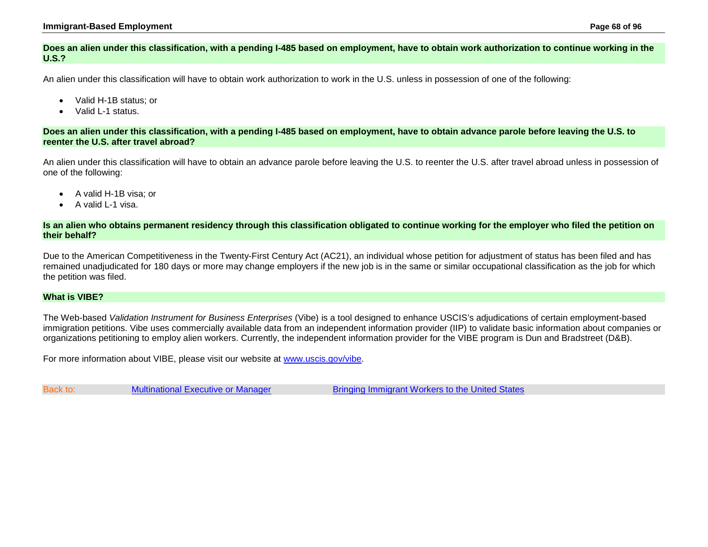## <span id="page-67-0"></span>**Does an alien under this classification, with a pending I-485 based on employment, have to obtain work authorization to continue working in the U.S.?**

An alien under this classification will have to obtain work authorization to work in the U.S. unless in possession of one of the following:

- Valid H-1B status; or
- Valid L-1 status.

<span id="page-67-1"></span>**Does an alien under this classification, with a pending I-485 based on employment, have to obtain advance parole before leaving the U.S. to reenter the U.S. after travel abroad?**

An alien under this classification will have to obtain an advance parole before leaving the U.S. to reenter the U.S. after travel abroad unless in possession of one of the following:

- A valid H-1B visa; or
- A valid L-1 visa.

<span id="page-67-2"></span>**Is an alien who obtains permanent residency through this classification obligated to continue working for the employer who filed the petition on their behalf?**

Due to the American Competitiveness in the Twenty-First Century Act (AC21), an individual whose petition for adjustment of status has been filed and has remained unadjudicated for 180 days or more may change employers if the new job is in the same or similar occupational classification as the job for which the petition was filed.

## <span id="page-67-3"></span>**What is VIBE?**

The Web-based *Validation Instrument for Business Enterprises* (Vibe) is a tool designed to enhance USCIS's adjudications of certain employment-based immigration petitions. Vibe uses commercially available data from an independent information provider (IIP) to validate basic information about companies or organizations petitioning to employ alien workers. Currently, the independent information provider for the VIBE program is Dun and Bradstreet (D&B).

For more information about VIBE, please visit our website at [www.uscis.gov/vibe.](http://www.uscis.gov/vibe)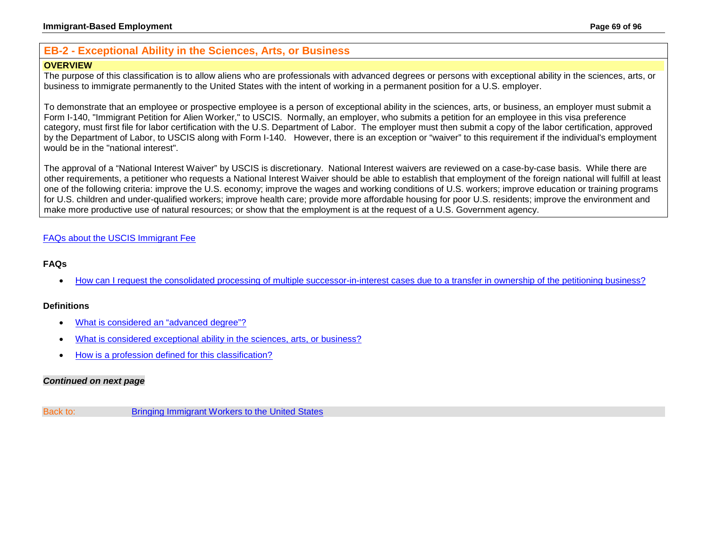# <span id="page-68-0"></span>**EB-2 - Exceptional Ability in the Sciences, Arts, or Business**

## **OVERVIEW**

The purpose of this classification is to allow aliens who are professionals with advanced degrees or persons with exceptional ability in the sciences, arts, or business to immigrate permanently to the United States with the intent of working in a permanent position for a U.S. employer.

To demonstrate that an employee or prospective employee is a person of exceptional ability in the sciences, arts, or business, an employer must submit a Form I-140, "Immigrant Petition for Alien Worker," to USCIS. Normally, an employer, who submits a petition for an employee in this visa preference category, must first file for labor certification with the U.S. Department of Labor. The employer must then submit a copy of the labor certification, approved by the Department of Labor, to USCIS along with Form I-140. However, there is an exception or "waiver" to this requirement if the individual's employment would be in the "national interest".

The approval of a "National Interest Waiver" by USCIS is discretionary. National Interest waivers are reviewed on a case-by-case basis. While there are other requirements, a petitioner who requests a National Interest Waiver should be able to establish that employment of the foreign national will fulfill at least one of the following criteria: improve the U.S. economy; improve the wages and working conditions of U.S. workers; improve education or training programs for U.S. children and under-qualified workers; improve health care; provide more affordable housing for poor U.S. residents; improve the environment and make more productive use of natural resources; or show that the employment is at the request of a U.S. Government agency.

# [FAQs about the USCIS Immigrant Fee](#page-33-0)

## **FAQs**

• How can [I request the consolidated processing of multiple successor-in-interest cases due to](#page-76-0) a transfer in ownership of the petitioning business?

## **Definitions**

- [What is considered an "advanced degree"?](#page-70-0)
- What [is considered exceptional ability in the sciences, arts, or business?](#page-70-1)
- [How is a profession defined for this classification?](#page-70-2)

## *Continued on next page*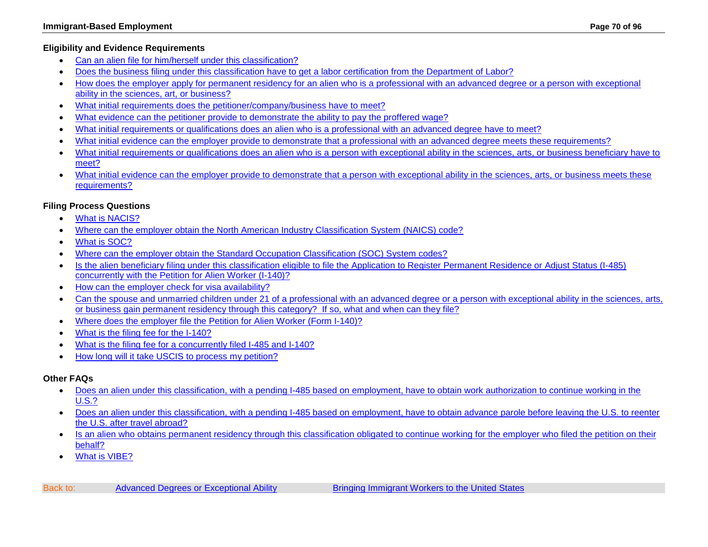# **Eligibility and Evidence Requirements**

- [Can an alien file for him/herself under this classification?](#page-70-3)
- [Does the business filing under this classification have to get a labor certification from the Department of Labor?](#page-70-4)
- [How does the employer apply for permanent residency for an alien who is a professional with an advanced degree or a person with exceptional](#page-71-0)  [ability in the sciences, art, or business?](#page-71-0)
- [What initial requirements does the petitioner/company/business have to meet?](#page-72-0)
- [What evidence can the petitioner provide to demonstrate the ability to pay the proffered wage?](#page-72-1)
- [What initial requirements or qualifications does an alien who is a professional with an advanced degree have to meet?](#page-72-2)
- [What initial evidence can the employer provide to demonstrate that a professional with an advanced degree meets these requirements?](#page-72-3)
- [What initial requirements or qualifications does an alien who is a person with exceptional ability in the sciences, arts, or business beneficiary have to](#page-73-0)  [meet?](#page-73-0)
- [What initial evidence can the employer provide to demonstrate that a person with exceptional ability in the sciences, arts, or business meets these](#page-73-1)  [requirements?](#page-73-1)

# **Filing Process Questions**

- [What is NACIS?](#page-73-2)
- [Where can the employer obtain the North American Industry Classification System \(NAICS\) code?](#page-74-0)
- [What is SOC?](#page-74-1)
- [Where can the employer obtain the Standard Occupation Classification \(SOC\) System codes?](#page-74-2)
- [Is the alien beneficiary filing under this classification eligible to file the Application to Register Permanent Residence or](#page-74-3) Adjust Status (I-485) [concurrently with the Petition for Alien Worker \(I-140\)?](#page-74-3)
- [How can the employer check for visa availability?](#page-74-4)
- [Can the spouse and unmarried children under 21 of a professional with an advanced degree or a person with exceptional ability in the sciences, arts,](#page-75-0)  [or business gain permanent residency through this category? If so, what and when can they file?](#page-75-0)
- [Where does the employer file the Petition for Alien Worker \(Form I-140\)?](http://www.uscis.gov/forms/I-140)
- [What is the filing fee for the I-140?](http://www.uscis.gov/forms/I-140)
- [What is the filing fee for a concurrently filed I-485 and I-140?](http://www.uscis.gov/forms)
- [How long will it take USCIS to process my petition?](#page-50-0)

# **Other FAQs**

- [Does an alien under this classification, with a pending I-485 based on employment, have to obtain work authorization to continue working in the](#page-75-1)  [U.S.?](#page-75-1)
- [Does an alien under this classification, with a pending I-485 based on employment, have to obtain advance parole before leaving the U.S. to reenter](#page-75-2)  [the U.S. after travel abroad?](#page-75-2)
- Is an alien who obtains permanent residency through this classification obligated to continue working for the employer who filed the petition on their [behalf?](#page-76-1)
- [What is VIBE?](#page-76-2)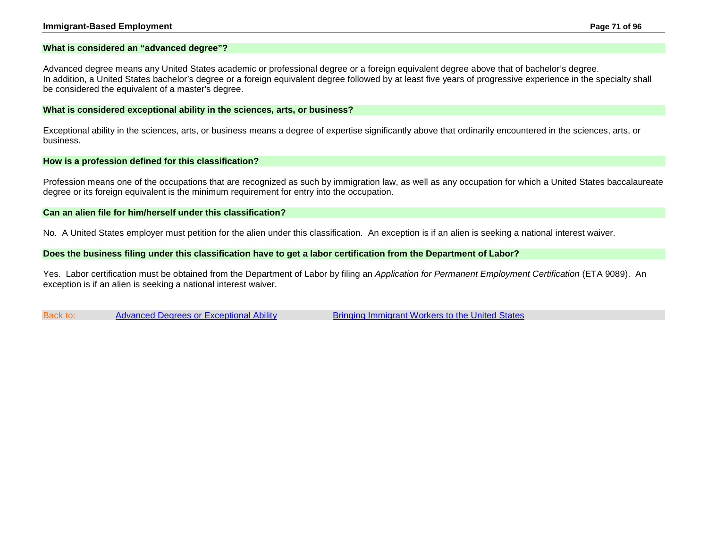#### **Immigrant-Based Employment Page 71 of 96**

#### <span id="page-70-0"></span>**What is considered an "advanced degree"?**

Advanced degree means any United States academic or professional degree or a foreign equivalent degree above that of bachelor's degree. In addition, a United States bachelor's degree or a foreign equivalent degree followed by at least five years of progressive experience in the specialty shall be considered the equivalent of a master's degree.

#### <span id="page-70-1"></span>**What is considered exceptional ability in the sciences, arts, or business?**

Exceptional ability in the sciences, arts, or business means a degree of expertise significantly above that ordinarily encountered in the sciences, arts, or business.

#### <span id="page-70-2"></span>**How is a profession defined for this classification?**

Profession means one of the occupations that are recognized as such by immigration law, as well as any occupation for which a United States baccalaureate degree or its foreign equivalent is the minimum requirement for entry into the occupation.

#### <span id="page-70-3"></span>**Can an alien file for him/herself under this classification?**

No. A United States employer must petition for the alien under this classification. An exception is if an alien is seeking a national interest waiver.

#### <span id="page-70-4"></span>**Does the business filing under this classification have to get a labor certification from the Department of Labor?**

Yes. Labor certification must be obtained from the Department of Labor by filing an *Application for Permanent Employment Certification* (ETA 9089). An exception is if an alien is seeking a national interest waiver.

Back to: [Advanced Degrees or Exceptional Ability](#page-68-0) [Bringing Immigrant Workers to the United States](#page-0-0)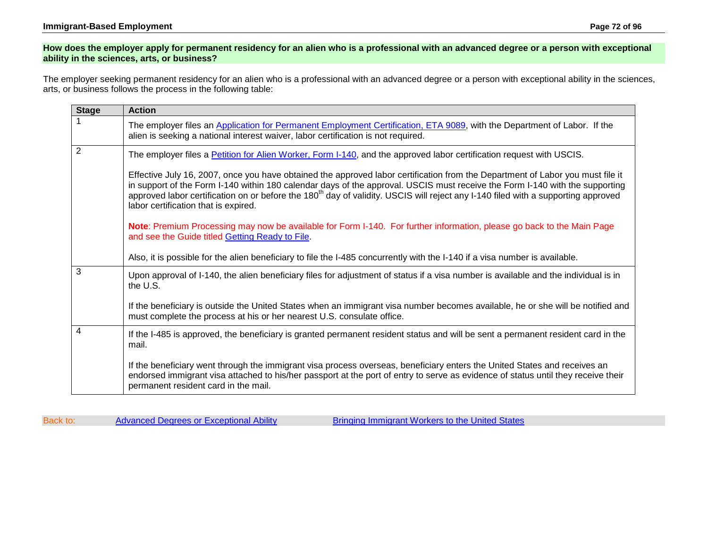## <span id="page-71-0"></span>**How does the employer apply for permanent residency for an alien who is a professional with an advanced degree or a person with exceptional ability in the sciences, arts, or business?**

The employer seeking permanent residency for an alien who is a professional with an advanced degree or a person with exceptional ability in the sciences, arts, or business follows the process in the following table:

| <b>Stage</b>   | <b>Action</b>                                                                                                                                                                                                                                                                                                                                                                                                                                           |  |
|----------------|---------------------------------------------------------------------------------------------------------------------------------------------------------------------------------------------------------------------------------------------------------------------------------------------------------------------------------------------------------------------------------------------------------------------------------------------------------|--|
|                | The employer files an Application for Permanent Employment Certification, ETA 9089, with the Department of Labor. If the<br>alien is seeking a national interest waiver, labor certification is not required.                                                                                                                                                                                                                                           |  |
| $\overline{2}$ | The employer files a Petition for Alien Worker, Form I-140, and the approved labor certification request with USCIS.                                                                                                                                                                                                                                                                                                                                    |  |
|                | Effective July 16, 2007, once you have obtained the approved labor certification from the Department of Labor you must file it<br>in support of the Form I-140 within 180 calendar days of the approval. USCIS must receive the Form I-140 with the supporting<br>approved labor certification on or before the 180 <sup>th</sup> day of validity. USCIS will reject any I-140 filed with a supporting approved<br>labor certification that is expired. |  |
|                | Note: Premium Processing may now be available for Form I-140. For further information, please go back to the Main Page<br>and see the Guide titled Getting Ready to File.                                                                                                                                                                                                                                                                               |  |
|                | Also, it is possible for the alien beneficiary to file the I-485 concurrently with the I-140 if a visa number is available.                                                                                                                                                                                                                                                                                                                             |  |
| 3              | Upon approval of I-140, the alien beneficiary files for adjustment of status if a visa number is available and the individual is in<br>the U.S.                                                                                                                                                                                                                                                                                                         |  |
|                | If the beneficiary is outside the United States when an immigrant visa number becomes available, he or she will be notified and<br>must complete the process at his or her nearest U.S. consulate office.                                                                                                                                                                                                                                               |  |
| 4              | If the I-485 is approved, the beneficiary is granted permanent resident status and will be sent a permanent resident card in the<br>mail.                                                                                                                                                                                                                                                                                                               |  |
|                | If the beneficiary went through the immigrant visa process overseas, beneficiary enters the United States and receives an<br>endorsed immigrant visa attached to his/her passport at the port of entry to serve as evidence of status until they receive their<br>permanent resident card in the mail.                                                                                                                                                  |  |

|  | Back to: | Advanced Degrees or Exceptional Ability | Bringing Immigrant Workers to the United States |
|--|----------|-----------------------------------------|-------------------------------------------------|
|--|----------|-----------------------------------------|-------------------------------------------------|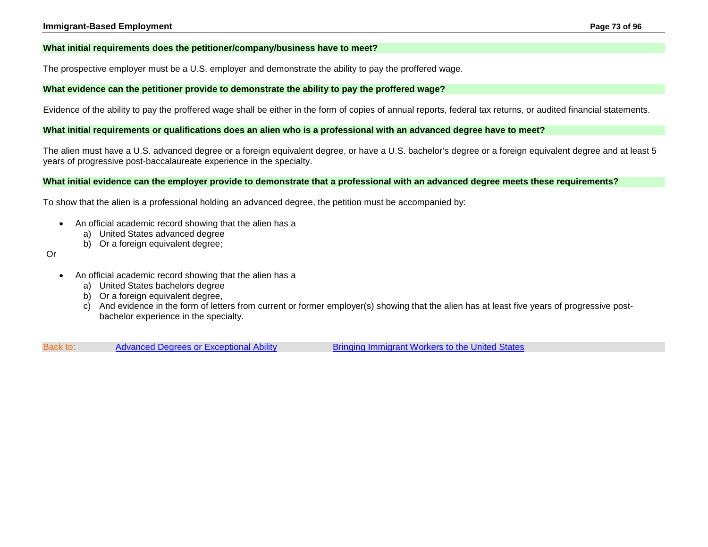### **What initial requirements does the petitioner/company/business have to meet?**

The prospective employer must be a U.S. employer and demonstrate the ability to pay the proffered wage.

### **What evidence can the petitioner provide to demonstrate the ability to pay the proffered wage?**

Evidence of the ability to pay the proffered wage shall be either in the form of copies of annual reports, federal tax returns, or audited financial statements.

#### **What initial requirements or qualifications does an alien who is a professional with an advanced degree have to meet?**

The alien must have a U.S. advanced degree or a foreign equivalent degree, or have a U.S. bachelor's degree or a foreign equivalent degree and at least 5 years of progressive post-baccalaureate experience in the specialty.

**What initial evidence can the employer provide to demonstrate that a professional with an advanced degree meets these requirements?**

To show that the alien is a professional holding an advanced degree, the petition must be accompanied by:

- An official academic record showing that the alien has a
	- a) United States advanced degree
	- b) Or a foreign equivalent degree;
- Or
- An official academic record showing that the alien has a
	- a) United States bachelors degree
	- b) Or a foreign equivalent degree,
	- c) And evidence in the form of letters from current or former employer(s) showing that the alien has at least five years of progressive postbachelor experience in the specialty.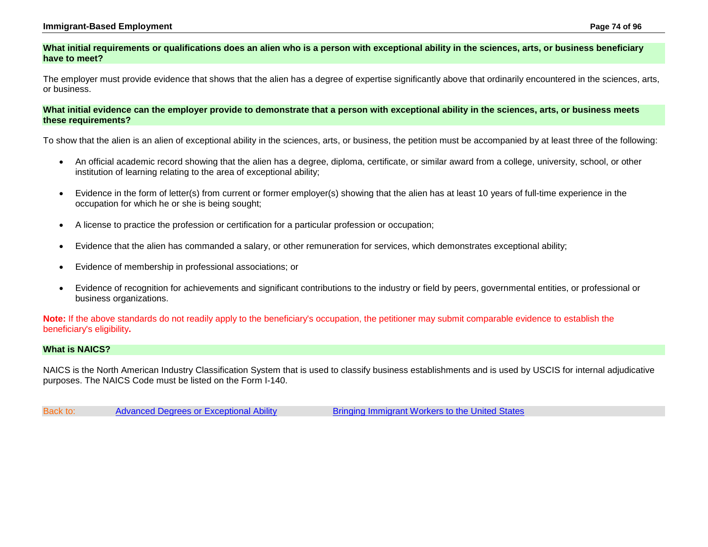#### **Immigrant-Based Employment Page 74 of 96**

### **What initial requirements or qualifications does an alien who is a person with exceptional ability in the sciences, arts, or business beneficiary have to meet?**

The employer must provide evidence that shows that the alien has a degree of expertise significantly above that ordinarily encountered in the sciences, arts, or business.

### **What initial evidence can the employer provide to demonstrate that a person with exceptional ability in the sciences, arts, or business meets these requirements?**

To show that the alien is an alien of exceptional ability in the sciences, arts, or business, the petition must be accompanied by at least three of the following:

- An official academic record showing that the alien has a degree, diploma, certificate, or similar award from a college, university, school, or other institution of learning relating to the area of exceptional ability;
- Evidence in the form of letter(s) from current or former employer(s) showing that the alien has at least 10 years of full-time experience in the occupation for which he or she is being sought;
- A license to practice the profession or certification for a particular profession or occupation;
- Evidence that the alien has commanded a salary, or other remuneration for services, which demonstrates exceptional ability;
- Evidence of membership in professional associations; or
- Evidence of recognition for achievements and significant contributions to the industry or field by peers, governmental entities, or professional or business organizations.

**Note:** If the above standards do not readily apply to the beneficiary's occupation, the petitioner may submit comparable evidence to establish the beneficiary's eligibility**.**

### **What is NAICS?**

NAICS is the North American Industry Classification System that is used to classify business establishments and is used by USCIS for internal adjudicative purposes. The NAICS Code must be listed on the Form I-140.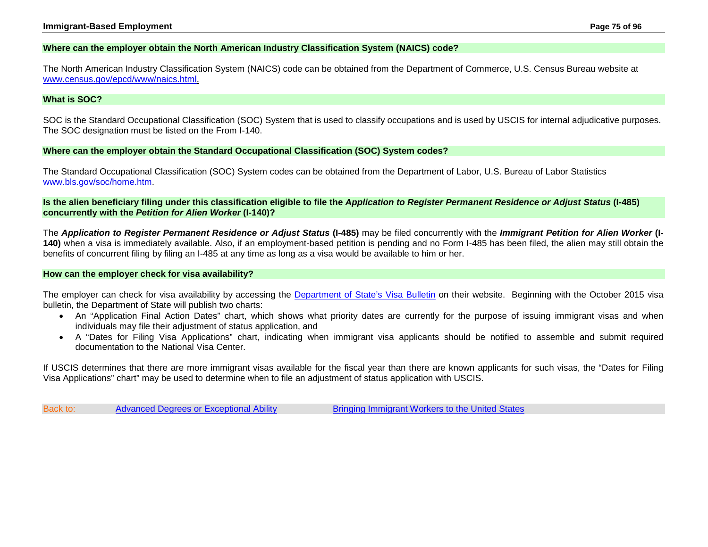### **Where can the employer obtain the North American Industry Classification System (NAICS) code?**

The North American Industry Classification System (NAICS) code can be obtained from the Department of Commerce, U.S. Census Bureau website at [www.census.gov/epcd/www/naics.html.](http://www.census.gov/epcd/www/naics.html)

### **What is SOC?**

SOC is the Standard Occupational Classification (SOC) System that is used to classify occupations and is used by USCIS for internal adjudicative purposes. The SOC designation must be listed on the From I-140.

### **Where can the employer obtain the Standard Occupational Classification (SOC) System codes?**

The Standard Occupational Classification (SOC) System codes can be obtained from the Department of Labor, U.S. Bureau of Labor Statistics [www.bls.gov/soc/home.htm.](http://www.bls.gov/soc/home.htm)

**Is the alien beneficiary filing under this classification eligible to file the** *Application to Register Permanent Residence or Adjust Status* **(I-485) concurrently with the** *Petition for Alien Worker* **(I-140)?**

The *Application to Register Permanent Residence or Adjust Status* **(I-485)** may be filed concurrently with the *Immigrant Petition for Alien Worker* **(I-140)** when a visa is immediately available. Also, if an employment-based petition is pending and no Form I-485 has been filed, the alien may still obtain the benefits of concurrent filing by filing an I-485 at any time as long as a visa would be available to him or her.

### **How can the employer check for visa availability?**

The employer can check for visa availability by accessing the [Department of State's Visa Bulletin](http://travel.state.gov/content/visas/english/law-and-policy/bulletin.html) on their website. Beginning with the October 2015 visa bulletin, the Department of State will publish two charts:

- An "Application Final Action Dates" chart, which shows what priority dates are currently for the purpose of issuing immigrant visas and when individuals may file their adjustment of status application, and
- A "Dates for Filing Visa Applications" chart, indicating when immigrant visa applicants should be notified to assemble and submit required documentation to the National Visa Center.

If USCIS determines that there are more immigrant visas available for the fiscal year than there are known applicants for such visas, the "Dates for Filing Visa Applications" chart" may be used to determine when to file an adjustment of status application with USCIS.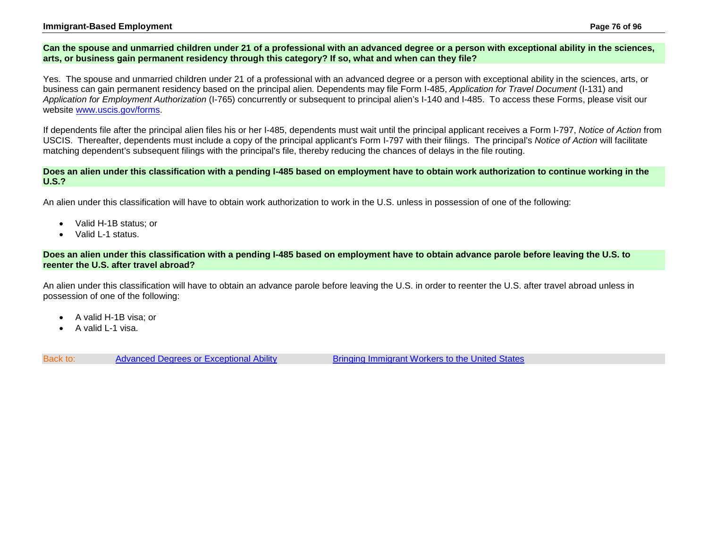### **Immigrant-Based Employment Page 76 of 96**

### **Can the spouse and unmarried children under 21 of a professional with an advanced degree or a person with exceptional ability in the sciences, arts, or business gain permanent residency through this category? If so, what and when can they file?**

Yes. The spouse and unmarried children under 21 of a professional with an advanced degree or a person with exceptional ability in the sciences, arts, or business can gain permanent residency based on the principal alien. Dependents may file Form I-485, *Application for Travel Document* (I-131) and *Application for Employment Authorization* (I-765) concurrently or subsequent to principal alien's I-140 and I-485. To access these Forms, please visit our website [www.uscis.gov/forms.](http://www.uscis.gov/forms/I-765)

If dependents file after the principal alien files his or her I-485, dependents must wait until the principal applicant receives a Form I-797, *Notice of Action* from USCIS. Thereafter, dependents must include a copy of the principal applicant's Form I-797 with their filings. The principal's *Notice of Action* will facilitate matching dependent's subsequent filings with the principal's file, thereby reducing the chances of delays in the file routing.

### **Does an alien under this classification with a pending I-485 based on employment have to obtain work authorization to continue working in the U.S.?**

An alien under this classification will have to obtain work authorization to work in the U.S. unless in possession of one of the following:

- Valid H-1B status; or
- Valid L-1 status.

### **Does an alien under this classification with a pending I-485 based on employment have to obtain advance parole before leaving the U.S. to reenter the U.S. after travel abroad?**

An alien under this classification will have to obtain an advance parole before leaving the U.S. in order to reenter the U.S. after travel abroad unless in possession of one of the following:

- A valid H-1B visa; or
- A valid L-1 visa.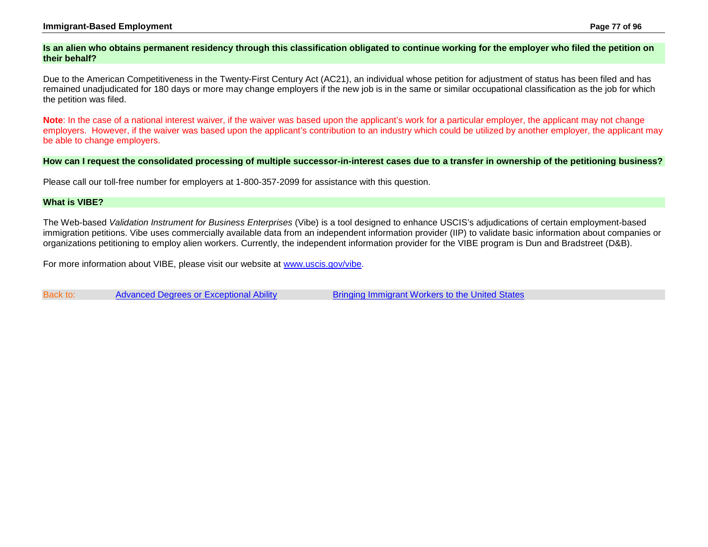#### **Immigrant-Based Employment Page 77 of 96**

### **Is an alien who obtains permanent residency through this classification obligated to continue working for the employer who filed the petition on their behalf?**

Due to the American Competitiveness in the Twenty-First Century Act (AC21), an individual whose petition for adjustment of status has been filed and has remained unadjudicated for 180 days or more may change employers if the new job is in the same or similar occupational classification as the job for which the petition was filed.

**Note**: In the case of a national interest waiver, if the waiver was based upon the applicant's work for a particular employer, the applicant may not change employers. However, if the waiver was based upon the applicant's contribution to an industry which could be utilized by another employer, the applicant may be able to change employers.

#### **How can I request the consolidated processing of multiple successor-in-interest cases due to a transfer in ownership of the petitioning business?**

Please call our toll-free number for employers at 1-800-357-2099 for assistance with this question.

#### **What is VIBE?**

The Web-based *Validation Instrument for Business Enterprises* (Vibe) is a tool designed to enhance USCIS's adjudications of certain employment-based immigration petitions. Vibe uses commercially available data from an independent information provider (IIP) to validate basic information about companies or organizations petitioning to employ alien workers. Currently, the independent information provider for the VIBE program is Dun and Bradstreet (D&B).

For more information about VIBE, please visit our website at [www.uscis.gov/vibe.](http://www.uscis.gov/vibe)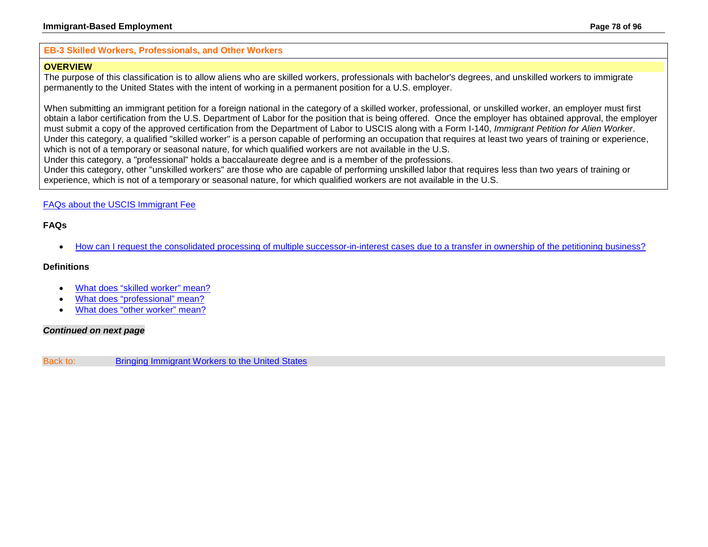### <span id="page-77-0"></span>**EB-3 Skilled Workers, Professionals, and Other Workers**

## **OVERVIEW**

The purpose of this classification is to allow aliens who are skilled workers, professionals with bachelor's degrees, and unskilled workers to immigrate permanently to the United States with the intent of working in a permanent position for a U.S. employer.

When submitting an immigrant petition for a foreign national in the category of a skilled worker, professional, or unskilled worker, an employer must first obtain a labor certification from the U.S. Department of Labor for the position that is being offered. Once the employer has obtained approval, the employer must submit a copy of the approved certification from the Department of Labor to USCIS along with a Form I-140, *Immigrant Petition for Alien Worker*. Under this category, a qualified "skilled worker" is a person capable of performing an occupation that requires at least two years of training or experience, which is not of a temporary or seasonal nature, for which qualified workers are not available in the U.S. Under this category, a "professional" holds a baccalaureate degree and is a member of the professions.

Under this category, other "unskilled workers" are those who are capable of performing unskilled labor that requires less than two years of training or experience, which is not of a temporary or seasonal nature, for which qualified workers are not available in the U.S.

## [FAQs about the USCIS Immigrant Fee](#page-33-0)

## **FAQs**

• [How can I request the consolidated processing of multiple successor-in-interest cases due to a transfer in ownership of the petitioning](#page-81-0) business?

### **Definitions**

- [What does "skilled worker" mean?](#page-79-0)
- [What does "professional" mean?](#page-79-1)
- [What does "other worker" mean?](#page-79-2)

## *Continued on next page*

Back to: [Bringing Immigrant Workers to the United States](#page-0-0)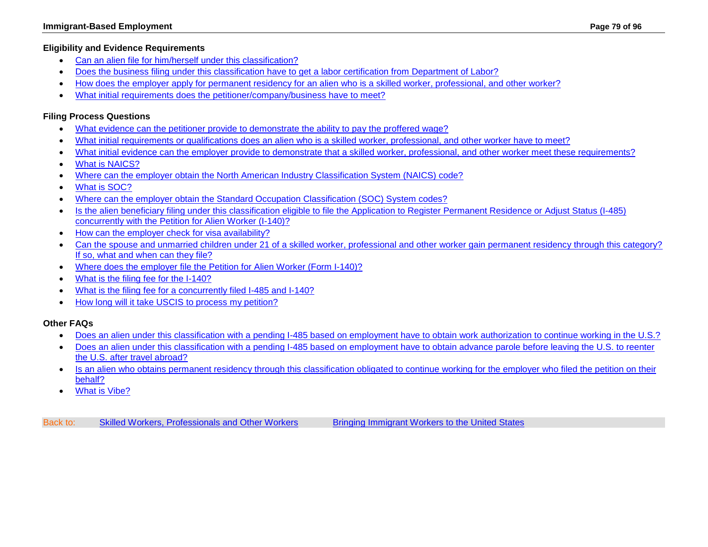- [Can an alien file for him/herself under this classification?](#page-79-3)
- [Does the business filing under this classification have to get a labor certification from Department of Labor?](#page-79-4)
- [How does the employer apply for permanent residency for an alien who is a skilled worker, professional, and other worker?](#page-80-0)
- [What initial requirements does the petitioner/company/business have to meet?](#page-81-1)

# **Filing Process Questions**

- [What evidence can the petitioner provide to demonstrate the ability to pay the proffered wage?](#page-81-2)
- [What initial requirements or qualifications does an alien who is a skilled worker, professional, and other worker have to meet?](#page-81-3)
- What initial evidence can the employer provide to demonstrate [that a skilled worker, professional, and other worker meet these requirements?](#page-82-0)
- [What is NAICS?](#page-83-0)
- [Where can the employer obtain the North American Industry Classification System \(NAICS\) code?](#page-83-1)
- [What is SOC?](#page-83-2)
- [Where can the employer obtain the Standard Occupation Classification \(SOC\) System codes?](#page-84-0)
- [Is the alien beneficiary filing under this classification eligible to file the Application to Register Permanent Residence or Adjust Status \(I-485\)](#page-84-1)  [concurrently with the Petition for Alien Worker \(I-140\)?](#page-84-1)
- [How can the employer check for visa availability?](#page-84-2)
- Can the spouse and unmarried children under 21 of a skilled worker, professional and other worker gain permanent residency through this category? [If so, what and when can they file?](#page-84-3)
- [Where does the employer file the Petition for Alien Worker \(Form I-140\)?](http://www.uscis.gov/forms/I-140)
- [What is the filing fee for the I-140?](http://www.uscis.gov/forms/I-140)
- [What is the filing fee for a concurrently filed I-485 and I-140?](http://www.uscis.gov/forms)
- [How long will it take USCIS to process my petition?](#page-50-0)

# **Other FAQs**

- [Does an alien under this classification with a pending I-485 based on employment have to obtain work authorization to continue working in the U.S.?](#page-85-0)
- [Does an alien under this classification with a pending I-485 based on employment have to obtain advance parole before leaving the U.S. to reenter](#page-85-1)  [the U.S. after travel abroad?](#page-85-1)
- [Is an alien who obtains permanent residency through this classification obligated to continue working for the employer who filed the petition on their](#page-85-2)  [behalf?](#page-85-2)
- [What is Vibe?](#page-85-3)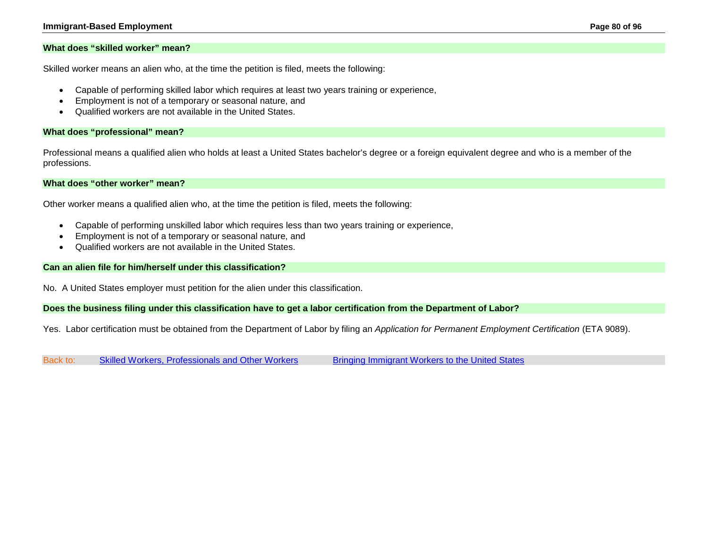#### **Immigrant-Based Employment Page 80 of 96**

#### <span id="page-79-0"></span>**What does "skilled worker" mean?**

Skilled worker means an alien who, at the time the petition is filed, meets the following:

- Capable of performing skilled labor which requires at least two years training or experience,
- Employment is not of a temporary or seasonal nature, and
- Qualified workers are not available in the United States.

### <span id="page-79-1"></span>**What does "professional" mean?**

Professional means a qualified alien who holds at least a United States bachelor's degree or a foreign equivalent degree and who is a member of the professions.

### <span id="page-79-2"></span>**What does "other worker" mean?**

Other worker means a qualified alien who, at the time the petition is filed, meets the following:

- Capable of performing unskilled labor which requires less than two years training or experience,
- Employment is not of a temporary or seasonal nature, and
- Qualified workers are not available in the United States.

### <span id="page-79-3"></span>**Can an alien file for him/herself under this classification?**

No. A United States employer must petition for the alien under this classification.

### <span id="page-79-4"></span>**Does the business filing under this classification have to get a labor certification from the Department of Labor?**

Yes. Labor certification must be obtained from the Department of Labor by filing an *Application for Permanent Employment Certification* (ETA 9089).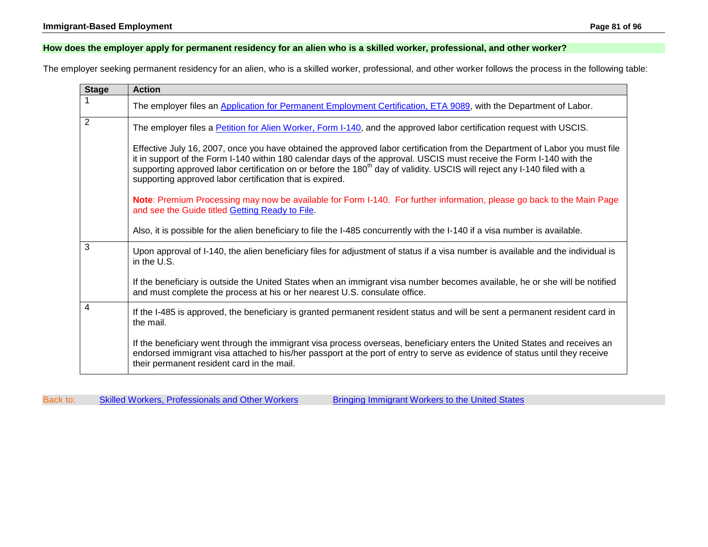## <span id="page-80-0"></span>**How does the employer apply for permanent residency for an alien who is a skilled worker, professional, and other worker?**

The employer seeking permanent residency for an alien, who is a skilled worker, professional, and other worker follows the process in the following table:

| <b>Stage</b>   | <b>Action</b>                                                                                                                                                                                                                                                                                                                                                                                                                                           |
|----------------|---------------------------------------------------------------------------------------------------------------------------------------------------------------------------------------------------------------------------------------------------------------------------------------------------------------------------------------------------------------------------------------------------------------------------------------------------------|
|                | The employer files an Application for Permanent Employment Certification, ETA 9089, with the Department of Labor.                                                                                                                                                                                                                                                                                                                                       |
| $\overline{2}$ | The employer files a Petition for Alien Worker, Form I-140, and the approved labor certification request with USCIS.                                                                                                                                                                                                                                                                                                                                    |
|                | Effective July 16, 2007, once you have obtained the approved labor certification from the Department of Labor you must file<br>it in support of the Form I-140 within 180 calendar days of the approval. USCIS must receive the Form I-140 with the<br>supporting approved labor certification on or before the 180 <sup>th</sup> day of validity. USCIS will reject any I-140 filed with a<br>supporting approved labor certification that is expired. |
|                | Note: Premium Processing may now be available for Form I-140. For further information, please go back to the Main Page<br>and see the Guide titled Getting Ready to File.                                                                                                                                                                                                                                                                               |
|                | Also, it is possible for the alien beneficiary to file the I-485 concurrently with the I-140 if a visa number is available.                                                                                                                                                                                                                                                                                                                             |
| 3              | Upon approval of I-140, the alien beneficiary files for adjustment of status if a visa number is available and the individual is<br>in the U.S.                                                                                                                                                                                                                                                                                                         |
|                | If the beneficiary is outside the United States when an immigrant visa number becomes available, he or she will be notified<br>and must complete the process at his or her nearest U.S. consulate office.                                                                                                                                                                                                                                               |
| $\overline{4}$ | If the I-485 is approved, the beneficiary is granted permanent resident status and will be sent a permanent resident card in<br>the mail.                                                                                                                                                                                                                                                                                                               |
|                | If the beneficiary went through the immigrant visa process overseas, beneficiary enters the United States and receives an<br>endorsed immigrant visa attached to his/her passport at the port of entry to serve as evidence of status until they receive<br>their permanent resident card in the mail.                                                                                                                                                  |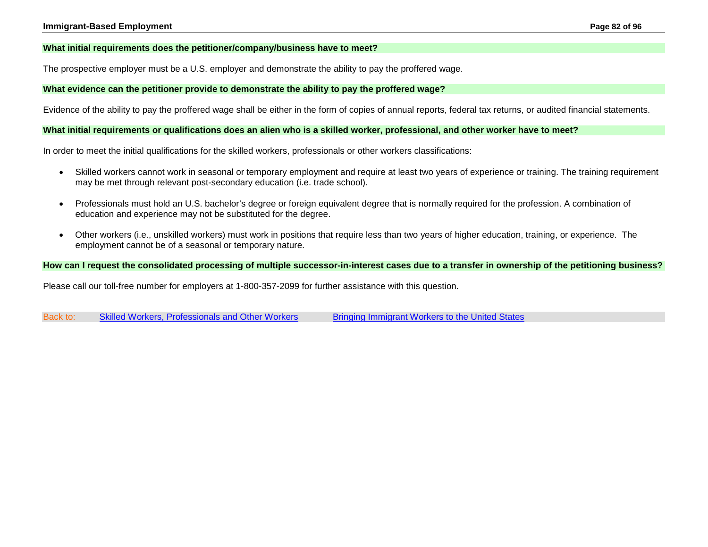### <span id="page-81-1"></span>**What initial requirements does the petitioner/company/business have to meet?**

The prospective employer must be a U.S. employer and demonstrate the ability to pay the proffered wage.

### <span id="page-81-2"></span>**What evidence can the petitioner provide to demonstrate the ability to pay the proffered wage?**

Evidence of the ability to pay the proffered wage shall be either in the form of copies of annual reports, federal tax returns, or audited financial statements.

#### <span id="page-81-3"></span>**What initial requirements or qualifications does an alien who is a skilled worker, professional, and other worker have to meet?**

In order to meet the initial qualifications for the skilled workers, professionals or other workers classifications:

- Skilled workers cannot work in seasonal or temporary employment and require at least two years of experience or training. The training requirement may be met through relevant post-secondary education (i.e. trade school).
- Professionals must hold an U.S. bachelor's degree or foreign equivalent degree that is normally required for the profession. A combination of education and experience may not be substituted for the degree.
- Other workers (i.e., unskilled workers) must work in positions that require less than two years of higher education, training, or experience. The employment cannot be of a seasonal or temporary nature.

#### <span id="page-81-0"></span>**How can I request the consolidated processing of multiple successor-in-interest cases due to a transfer in ownership of the petitioning business?**

Please call our toll-free number for employers at 1-800-357-2099 for further assistance with this question.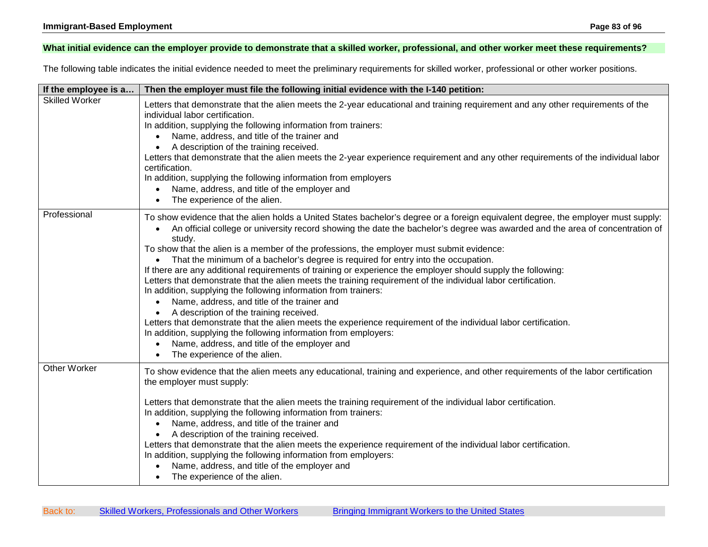## <span id="page-82-0"></span>**What initial evidence can the employer provide to demonstrate that a skilled worker, professional, and other worker meet these requirements?**

The following table indicates the initial evidence needed to meet the preliminary requirements for skilled worker, professional or other worker positions.

| If the employee is a  | Then the employer must file the following initial evidence with the I-140 petition:                                                                                                                                                                                                                                                                                                                                                                                                                                                                                                                                                                                                                                                                                                                                                                                                                                                                                                                                                                                                                                                                |
|-----------------------|----------------------------------------------------------------------------------------------------------------------------------------------------------------------------------------------------------------------------------------------------------------------------------------------------------------------------------------------------------------------------------------------------------------------------------------------------------------------------------------------------------------------------------------------------------------------------------------------------------------------------------------------------------------------------------------------------------------------------------------------------------------------------------------------------------------------------------------------------------------------------------------------------------------------------------------------------------------------------------------------------------------------------------------------------------------------------------------------------------------------------------------------------|
| <b>Skilled Worker</b> | Letters that demonstrate that the alien meets the 2-year educational and training requirement and any other requirements of the<br>individual labor certification.<br>In addition, supplying the following information from trainers:<br>Name, address, and title of the trainer and<br>A description of the training received.<br>٠<br>Letters that demonstrate that the alien meets the 2-year experience requirement and any other requirements of the individual labor<br>certification.<br>In addition, supplying the following information from employers<br>Name, address, and title of the employer and<br>$\bullet$<br>The experience of the alien.                                                                                                                                                                                                                                                                                                                                                                                                                                                                                       |
| Professional          | To show evidence that the alien holds a United States bachelor's degree or a foreign equivalent degree, the employer must supply:<br>An official college or university record showing the date the bachelor's degree was awarded and the area of concentration of<br>$\bullet$<br>study.<br>To show that the alien is a member of the professions, the employer must submit evidence:<br>• That the minimum of a bachelor's degree is required for entry into the occupation.<br>If there are any additional requirements of training or experience the employer should supply the following:<br>Letters that demonstrate that the alien meets the training requirement of the individual labor certification.<br>In addition, supplying the following information from trainers:<br>Name, address, and title of the trainer and<br>A description of the training received.<br>Letters that demonstrate that the alien meets the experience requirement of the individual labor certification.<br>In addition, supplying the following information from employers:<br>Name, address, and title of the employer and<br>The experience of the alien. |
| <b>Other Worker</b>   | To show evidence that the alien meets any educational, training and experience, and other requirements of the labor certification<br>the employer must supply:<br>Letters that demonstrate that the alien meets the training requirement of the individual labor certification.<br>In addition, supplying the following information from trainers:<br>Name, address, and title of the trainer and<br>$\bullet$<br>A description of the training received.<br>Letters that demonstrate that the alien meets the experience requirement of the individual labor certification.<br>In addition, supplying the following information from employers:<br>Name, address, and title of the employer and<br>$\bullet$<br>The experience of the alien.                                                                                                                                                                                                                                                                                                                                                                                                      |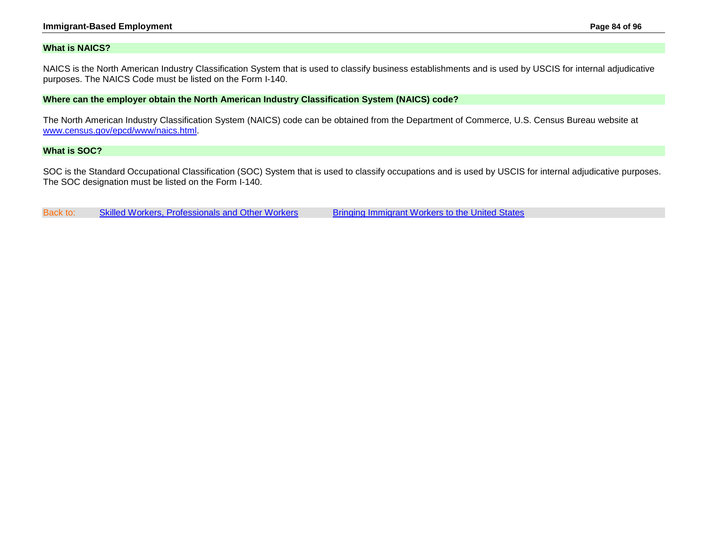#### **Immigrant-Based Employment Page 84 of 96**

### <span id="page-83-0"></span>**What is NAICS?**

NAICS is the North American Industry Classification System that is used to classify business establishments and is used by USCIS for internal adjudicative purposes. The NAICS Code must be listed on the Form I-140.

#### <span id="page-83-1"></span>**Where can the employer obtain the North American Industry Classification System (NAICS) code?**

The North American Industry Classification System (NAICS) code can be obtained from the Department of Commerce, U.S. Census Bureau website at [www.census.gov/epcd/www/naics.html.](http://www.census.gov/epcd/www/naics.html)

### <span id="page-83-2"></span>**What is SOC?**

SOC is the Standard Occupational Classification (SOC) System that is used to classify occupations and is used by USCIS for internal adjudicative purposes. The SOC designation must be listed on the Form I-140.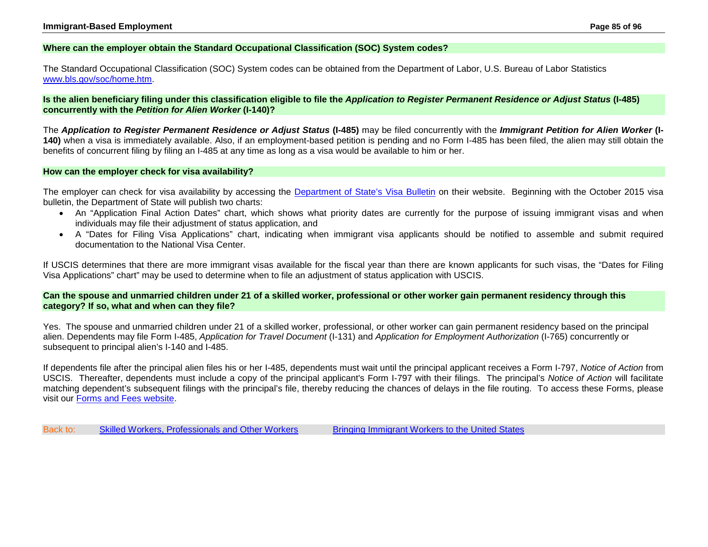### <span id="page-84-0"></span>**Where can the employer obtain the Standard Occupational Classification (SOC) System codes?**

The Standard Occupational Classification (SOC) System codes can be obtained from the Department of Labor, U.S. Bureau of Labor Statistics www.bls.gov/soc/home.htm.

<span id="page-84-1"></span>**Is the alien beneficiary filing under this classification eligible to file the** *Application to Register Permanent Residence or Adjust Status* **(I-485) concurrently with the** *Petition for Alien Worker* **(I-140)?**

The *Application to Register Permanent Residence or Adjust Status* **(I-485)** may be filed concurrently with the *Immigrant Petition for Alien Worker* **(I-140)** when a visa is immediately available. Also, if an employment-based petition is pending and no Form I-485 has been filed, the alien may still obtain the benefits of concurrent filing by filing an I-485 at any time as long as a visa would be available to him or her.

#### <span id="page-84-2"></span>**How can the employer check for visa availability?**

The employer can check for visa availability by accessing the [Department of State's Visa Bulletin](http://travel.state.gov/content/visas/english/law-and-policy/bulletin.html) on their website. Beginning with the October 2015 visa bulletin, the Department of State will publish two charts:

- An "Application Final Action Dates" chart, which shows what priority dates are currently for the purpose of issuing immigrant visas and when individuals may file their adjustment of status application, and
- A "Dates for Filing Visa Applications" chart, indicating when immigrant visa applicants should be notified to assemble and submit required documentation to the National Visa Center.

If USCIS determines that there are more immigrant visas available for the fiscal year than there are known applicants for such visas, the "Dates for Filing Visa Applications" chart" may be used to determine when to file an adjustment of status application with USCIS.

### <span id="page-84-3"></span>**Can the spouse and unmarried children under 21 of a skilled worker, professional or other worker gain permanent residency through this category? If so, what and when can they file?**

Yes. The spouse and unmarried children under 21 of a skilled worker, professional, or other worker can gain permanent residency based on the principal alien. Dependents may file Form I-485, *Application for Travel Document* (I-131) and *Application for Employment Authorization* (I-765) concurrently or subsequent to principal alien's I-140 and I-485.

If dependents file after the principal alien files his or her I-485, dependents must wait until the principal applicant receives a Form I-797, *Notice of Action* from USCIS. Thereafter, dependents must include a copy of the principal applicant's Form I-797 with their filings. The principal's *Notice of Action* will facilitate matching dependent's subsequent filings with the principal's file, thereby reducing the chances of delays in the file routing. To access these Forms, please visit our [Forms and Fees website.](http://www.uscis.gov/forms)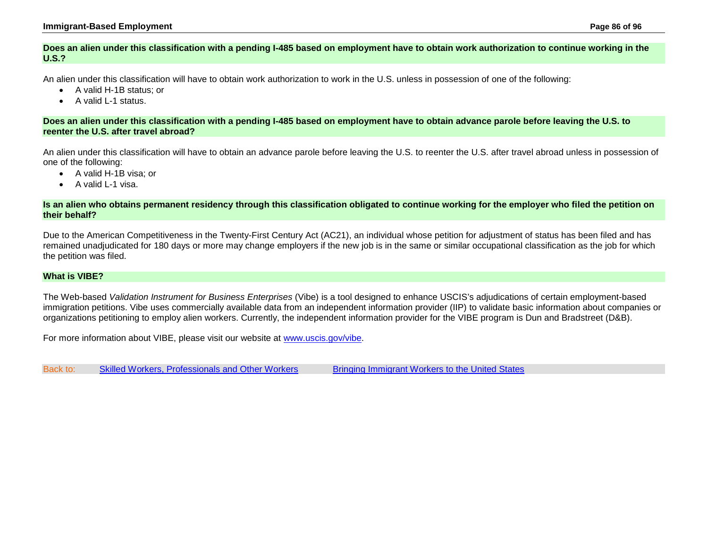### <span id="page-85-0"></span>**Does an alien under this classification with a pending I-485 based on employment have to obtain work authorization to continue working in the U.S.?**

An alien under this classification will have to obtain work authorization to work in the U.S. unless in possession of one of the following:

- A valid H-1B status; or
- A valid L-1 status.

### <span id="page-85-1"></span>**Does an alien under this classification with a pending I-485 based on employment have to obtain advance parole before leaving the U.S. to reenter the U.S. after travel abroad?**

An alien under this classification will have to obtain an advance parole before leaving the U.S. to reenter the U.S. after travel abroad unless in possession of one of the following:

- A valid H-1B visa; or
- A valid L-1 visa.

### <span id="page-85-2"></span>**Is an alien who obtains permanent residency through this classification obligated to continue working for the employer who filed the petition on their behalf?**

Due to the American Competitiveness in the Twenty-First Century Act (AC21), an individual whose petition for adjustment of status has been filed and has remained unadjudicated for 180 days or more may change employers if the new job is in the same or similar occupational classification as the job for which the petition was filed.

## <span id="page-85-3"></span>**What is VIBE?**

The Web-based *Validation Instrument for Business Enterprises* (Vibe) is a tool designed to enhance USCIS's adjudications of certain employment-based immigration petitions. Vibe uses commercially available data from an independent information provider (IIP) to validate basic information about companies or organizations petitioning to employ alien workers. Currently, the independent information provider for the VIBE program is Dun and Bradstreet (D&B).

For more information about VIBE, please visit our website at [www.uscis.gov/vibe.](http://www.uscis.gov/vibe)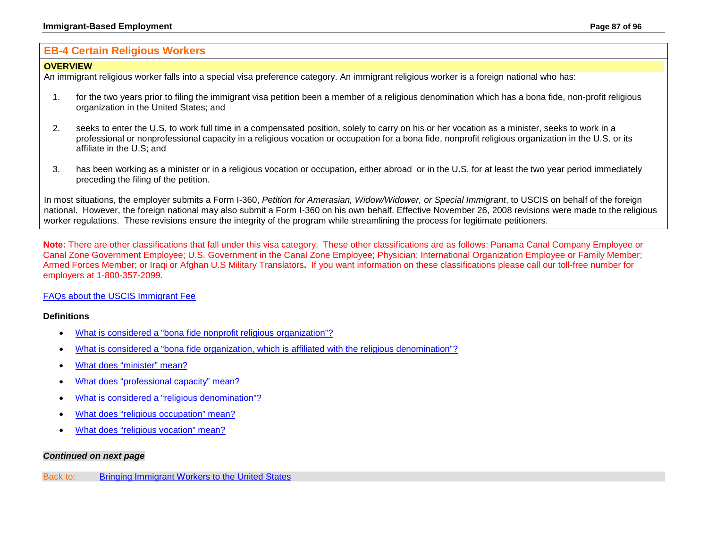# <span id="page-86-0"></span>**EB-4 Certain Religious Workers**

### **OVERVIEW**

An immigrant religious worker falls into a special visa preference category. An immigrant religious worker is a foreign national who has:

- 1. for the two years prior to filing the immigrant visa petition been a member of a religious denomination which has a bona fide, non-profit religious organization in the United States; and
- 2. seeks to enter the U.S, to work full time in a compensated position, solely to carry on his or her vocation as a minister, seeks to work in a professional or nonprofessional capacity in a religious vocation or occupation for a bona fide, nonprofit religious organization in the U.S. or its affiliate in the U.S; and
- 3. has been working as a minister or in a religious vocation or occupation, either abroad or in the U.S. for at least the two year period immediately preceding the filing of the petition.

In most situations, the employer submits a Form I-360, *Petition for Amerasian, Widow/Widower, or Special Immigrant*, to USCIS on behalf of the foreign national. However, the foreign national may also submit a Form I-360 on his own behalf. Effective November 26, 2008 revisions were made to the religious worker regulations. These revisions ensure the integrity of the program while streamlining the process for legitimate petitioners.

**Note:** There are other classifications that fall under this visa category. These other classifications are as follows: Panama Canal Company Employee or Canal Zone Government Employee; U.S. Government in the Canal Zone Employee; Physician; International Organization Employee or Family Member; Armed Forces Member; or Iraqi or Afghan U.S Military Translators**.** If you want information on these classifications please call our toll-free number for employers at 1-800-357-2099.

## [FAQs about the USCIS Immigrant Fee](#page-33-0)

## **Definitions**

- [What is considered a "bona fide nonprofit religious organization"?](#page-88-0)
- [What is considered a "bona fide organization, which is affiliated with the religious denomination"?](#page-88-1)
- [What does "minister" mean?](#page-88-2)
- [What does "professional capacity" mean?](#page-88-3)
- [What is considered a "religious denomination"?](#page-88-4)
- [What does "religious occupation" mean?](#page-89-0)
- [What does "religious vocation" mean?](#page-89-1)

## *Continued on next page*

Back to: [Bringing Immigrant Workers to the United States](#page-0-0)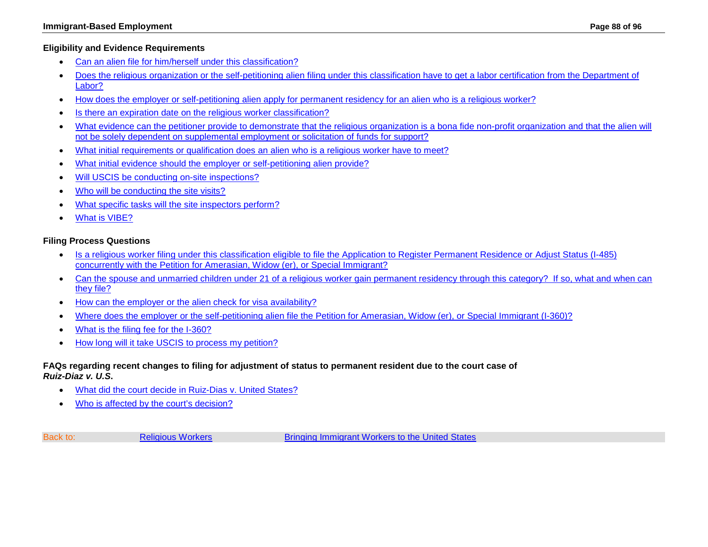## **Eligibility and Evidence Requirements**

- [Can an alien file for him/herself](#page-89-2) under this classification?
- [Does the religious organization or the self-petitioning alien filing under this classification have to get a labor certification from the Department of](#page-89-3)  [Labor?](#page-89-3)
- [How does the employer or self-petitioning alien apply for permanent residency for an alien who is a religious worker?](#page-90-0)
- [Is there an expiration date on the religious worker classification?](#page-90-1)
- What evidence can the petitioner provide to demonstrate that the religious organization is a bona fide non-profit organization and that the alien will [not be solely dependent on supplemental employment or solicitation of funds for support?](#page-91-0)
- [What initial requirements or qualification does an alien who is a religious worker have to meet?](#page-91-1)
- What initial evidence should [the employer or self-petitioning alien provide?](#page-92-0)
- [Will USCIS be conducting on-site inspections?](#page-93-0)
- [Who will be conducting the site visits?](#page-93-1)
- [What specific tasks will the site inspectors perform?](#page-93-2)
- [What is VIBE?](#page-93-3)

## **Filing Process Questions**

- [Is a religious worker filing under this classification eligible to file the Application to Register Permanent Residence or Adjust Status \(I-485\)](#page-93-4)  [concurrently with the Petition for Amerasian, Widow \(er\), or Special Immigrant?](#page-93-4)
- [Can the spouse and unmarried children under 21 of a religious worker gain permanent residency through this category? If so, what and when can](#page-94-0)  [they file?](#page-94-0)
- [How can the employer or the alien check for visa availability?](#page-94-1)
- [Where does the employer or the self-petitioning alien file the Petition for Amerasian, Widow \(er\), or Special Immigrant \(I-360\)?](http://www.uscis.gov/forms/I-360)
- [What is the filing fee for the I-360?](http://www.uscis.gov/forms/I-360)
- [How long will it take USCIS to process my petition?](#page-50-0)

## <span id="page-87-0"></span>**FAQs regarding recent changes to filing for adjustment of status to permanent resident due to the court case of**  *Ruiz-Diaz v. U.S***.**

- [What did the court decide in Ruiz-Dias v. United States?](#page-94-2)
- [Who is affected by the court's decision?](#page-94-3)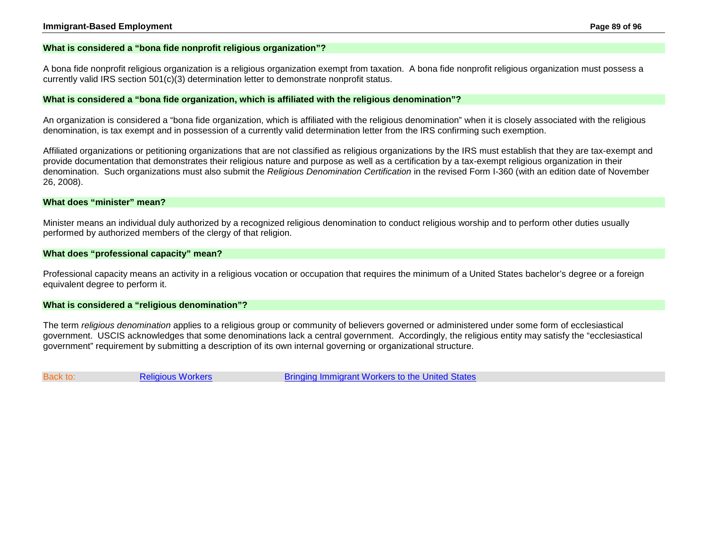### <span id="page-88-0"></span>**What is considered a "bona fide nonprofit religious organization"?**

A bona fide nonprofit religious organization is a religious organization exempt from taxation. A bona fide nonprofit religious organization must possess a currently valid IRS section 501(c)(3) determination letter to demonstrate nonprofit status.

#### <span id="page-88-1"></span>**What is considered a "bona fide organization, which is affiliated with the religious denomination"?**

An organization is considered a "bona fide organization, which is affiliated with the religious denomination" when it is closely associated with the religious denomination, is tax exempt and in possession of a currently valid determination letter from the IRS confirming such exemption.

Affiliated organizations or petitioning organizations that are not classified as religious organizations by the IRS must establish that they are tax-exempt and provide documentation that demonstrates their religious nature and purpose as well as a certification by a tax-exempt religious organization in their denomination. Such organizations must also submit the *Religious Denomination Certification* in the revised Form I-360 (with an edition date of November 26, 2008).

#### <span id="page-88-2"></span>**What does "minister" mean?**

Minister means an individual duly authorized by a recognized religious denomination to conduct religious worship and to perform other duties usually performed by authorized members of the clergy of that religion.

### <span id="page-88-3"></span>**What does "professional capacity" mean?**

Professional capacity means an activity in a religious vocation or occupation that requires the minimum of a United States bachelor's degree or a foreign equivalent degree to perform it.

#### <span id="page-88-4"></span>**What is considered a "religious denomination"?**

The term *religious denomination* applies to a religious group or community of believers governed or administered under some form of ecclesiastical government. USCIS acknowledges that some denominations lack a central government. Accordingly, the religious entity may satisfy the "ecclesiastical government" requirement by submitting a description of its own internal governing or organizational structure.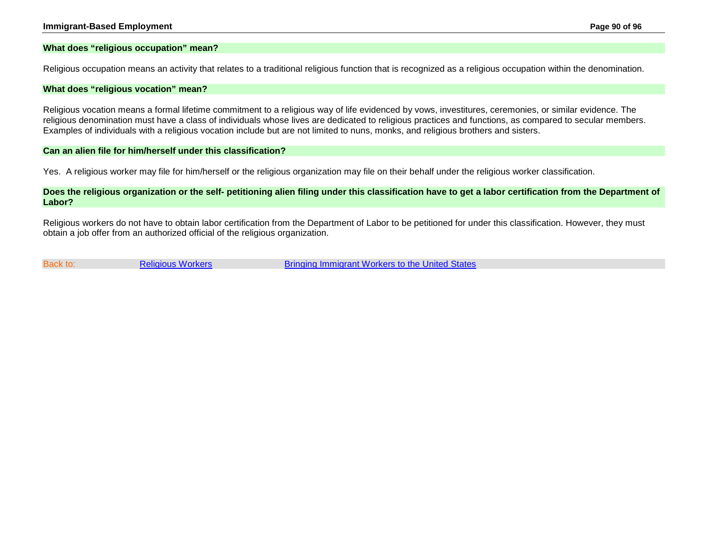### <span id="page-89-0"></span>**What does "religious occupation" mean?**

Religious occupation means an activity that relates to a traditional religious function that is recognized as a religious occupation within the denomination.

#### <span id="page-89-1"></span>**What does "religious vocation" mean?**

Religious vocation means a formal lifetime commitment to a religious way of life evidenced by vows, investitures, ceremonies, or similar evidence. The religious denomination must have a class of individuals whose lives are dedicated to religious practices and functions, as compared to secular members. Examples of individuals with a religious vocation include but are not limited to nuns, monks, and religious brothers and sisters.

#### <span id="page-89-2"></span>**Can an alien file for him/herself under this classification?**

Yes. A religious worker may file for him/herself or the religious organization may file on their behalf under the religious worker classification.

### <span id="page-89-3"></span>**Does the religious organization or the self- petitioning alien filing under this classification have to get a labor certification from the Department of Labor?**

Religious workers do not have to obtain labor certification from the Department of Labor to be petitioned for under this classification. However, they must obtain a job offer from an authorized official of the religious organization.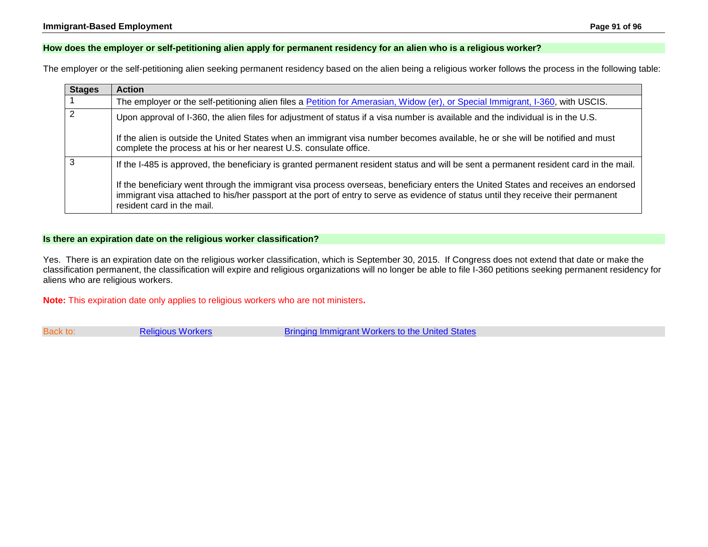## <span id="page-90-0"></span>**How does the employer or self-petitioning alien apply for permanent residency for an alien who is a religious worker?**

The employer or the self-petitioning alien seeking permanent residency based on the alien being a religious worker follows the process in the following table:

| <b>Stages</b>  | <b>Action</b>                                                                                                                                                                                                                                                                                          |
|----------------|--------------------------------------------------------------------------------------------------------------------------------------------------------------------------------------------------------------------------------------------------------------------------------------------------------|
|                | The employer or the self-petitioning alien files a Petition for Amerasian, Widow (er), or Special Immigrant, I-360, with USCIS.                                                                                                                                                                        |
| $\overline{2}$ | Upon approval of I-360, the alien files for adjustment of status if a visa number is available and the individual is in the U.S.                                                                                                                                                                       |
|                | If the alien is outside the United States when an immigrant visa number becomes available, he or she will be notified and must<br>complete the process at his or her nearest U.S. consulate office.                                                                                                    |
| 3              | If the I-485 is approved, the beneficiary is granted permanent resident status and will be sent a permanent resident card in the mail.                                                                                                                                                                 |
|                | If the beneficiary went through the immigrant visa process overseas, beneficiary enters the United States and receives an endorsed<br>immigrant visa attached to his/her passport at the port of entry to serve as evidence of status until they receive their permanent<br>resident card in the mail. |

## <span id="page-90-1"></span>**Is there an expiration date on the religious worker classification?**

Yes. There is an expiration date on the religious worker classification, which is September 30, 2015. If Congress does not extend that date or make the classification permanent, the classification will expire and religious organizations will no longer be able to file I-360 petitions seeking permanent residency for aliens who are religious workers.

**Note:** This expiration date only applies to religious workers who are not ministers**.**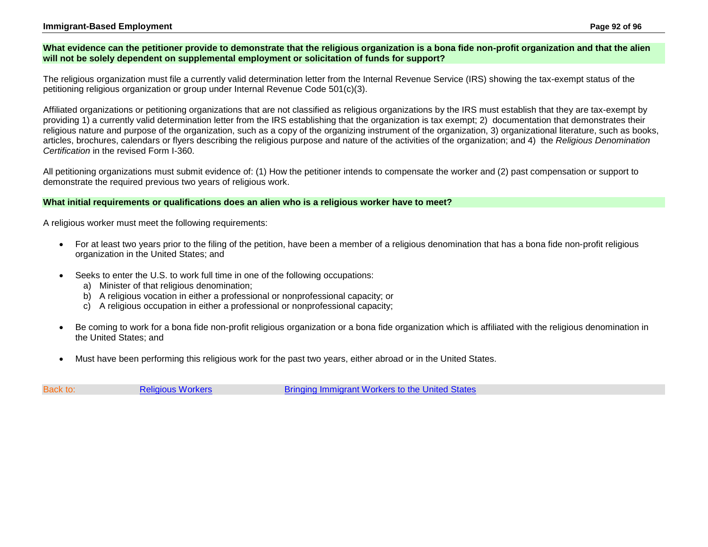### **Immigrant-Based Employment Page 92 of 96**

### <span id="page-91-0"></span>**What evidence can the petitioner provide to demonstrate that the religious organization is a bona fide non-profit organization and that the alien will not be solely dependent on supplemental employment or solicitation of funds for support?**

The religious organization must file a currently valid determination letter from the Internal Revenue Service (IRS) showing the tax-exempt status of the petitioning religious organization or group under Internal Revenue Code 501(c)(3).

Affiliated organizations or petitioning organizations that are not classified as religious organizations by the IRS must establish that they are tax-exempt by providing 1) a currently valid determination letter from the IRS establishing that the organization is tax exempt; 2) documentation that demonstrates their religious nature and purpose of the organization, such as a copy of the organizing instrument of the organization, 3) organizational literature, such as books, articles, brochures, calendars or flyers describing the religious purpose and nature of the activities of the organization; and 4) the *Religious Denomination Certification* in the revised Form I-360.

All petitioning organizations must submit evidence of: (1) How the petitioner intends to compensate the worker and (2) past compensation or support to demonstrate the required previous two years of religious work.

### <span id="page-91-1"></span>**What initial requirements or qualifications does an alien who is a religious worker have to meet?**

A religious worker must meet the following requirements:

- For at least two years prior to the filing of the petition, have been a member of a religious denomination that has a bona fide non-profit religious organization in the United States; and
- Seeks to enter the U.S. to work full time in one of the following occupations:
	- a) Minister of that religious denomination;
	- b) A religious vocation in either a professional or nonprofessional capacity; or
	- c) A religious occupation in either a professional or nonprofessional capacity;
- Be coming to work for a bona fide non-profit religious organization or a bona fide organization which is affiliated with the religious denomination in the United States; and
- Must have been performing this religious work for the past two years, either abroad or in the United States.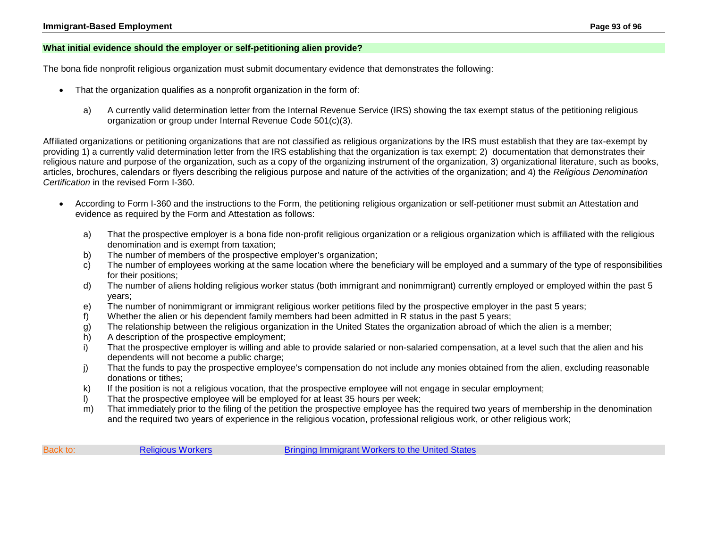### <span id="page-92-0"></span>**What initial evidence should the employer or self-petitioning alien provide?**

The bona fide nonprofit religious organization must submit documentary evidence that demonstrates the following:

- That the organization qualifies as a nonprofit organization in the form of:
	- a) A currently valid determination letter from the Internal Revenue Service (IRS) showing the tax exempt status of the petitioning religious organization or group under Internal Revenue Code 501(c)(3).

Affiliated organizations or petitioning organizations that are not classified as religious organizations by the IRS must establish that they are tax-exempt by providing 1) a currently valid determination letter from the IRS establishing that the organization is tax exempt; 2) documentation that demonstrates their religious nature and purpose of the organization, such as a copy of the organizing instrument of the organization, 3) organizational literature, such as books, articles, brochures, calendars or flyers describing the religious purpose and nature of the activities of the organization; and 4) the *Religious Denomination Certification* in the revised Form I-360.

- According to Form I-360 and the instructions to the Form, the petitioning religious organization or self-petitioner must submit an Attestation and evidence as required by the Form and Attestation as follows:
	- a) That the prospective employer is a bona fide non-profit religious organization or a religious organization which is affiliated with the religious denomination and is exempt from taxation;
	- b) The number of members of the prospective employer's organization;
	- c) The number of employees working at the same location where the beneficiary will be employed and a summary of the type of responsibilities for their positions;
	- d) The number of aliens holding religious worker status (both immigrant and nonimmigrant) currently employed or employed within the past 5 years;
	- e) The number of nonimmigrant or immigrant religious worker petitions filed by the prospective employer in the past 5 years;
	- f) Whether the alien or his dependent family members had been admitted in R status in the past 5 years;
	- g) The relationship between the religious organization in the United States the organization abroad of which the alien is a member;
	- h) A description of the prospective employment;
	- i) That the prospective employer is willing and able to provide salaried or non-salaried compensation, at a level such that the alien and his dependents will not become a public charge;
	- j) That the funds to pay the prospective employee's compensation do not include any monies obtained from the alien, excluding reasonable donations or tithes;
	- k) If the position is not a religious vocation, that the prospective employee will not engage in secular employment;
	- l) That the prospective employee will be employed for at least 35 hours per week;
	- m) That immediately prior to the filing of the petition the prospective employee has the required two years of membership in the denomination and the required two years of experience in the religious vocation, professional religious work, or other religious work;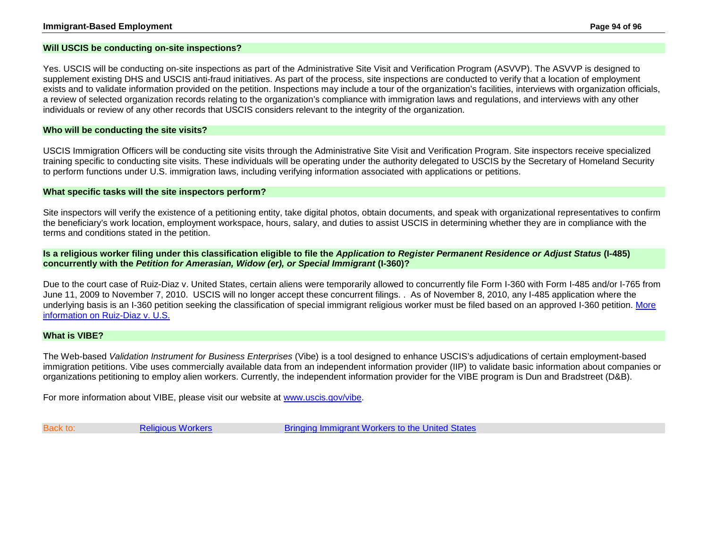### <span id="page-93-0"></span>**Will USCIS be conducting on-site inspections?**

Yes. USCIS will be conducting on-site inspections as part of the Administrative Site Visit and Verification Program (ASVVP). The ASVVP is designed to supplement existing DHS and USCIS anti-fraud initiatives. As part of the process, site inspections are conducted to verify that a location of employment exists and to validate information provided on the petition. Inspections may include a tour of the organization's facilities, interviews with organization officials, a review of selected organization records relating to the organization's compliance with immigration laws and regulations, and interviews with any other individuals or review of any other records that USCIS considers relevant to the integrity of the organization.

### <span id="page-93-1"></span>**Who will be conducting the site visits?**

USCIS Immigration Officers will be conducting site visits through the Administrative Site Visit and Verification Program. Site inspectors receive specialized training specific to conducting site visits. These individuals will be operating under the authority delegated to USCIS by the Secretary of Homeland Security to perform functions under U.S. immigration laws, including verifying information associated with applications or petitions.

#### <span id="page-93-2"></span>**What specific tasks will the site inspectors perform?**

Site inspectors will verify the existence of a petitioning entity, take digital photos, obtain documents, and speak with organizational representatives to confirm the beneficiary's work location, employment workspace, hours, salary, and duties to assist USCIS in determining whether they are in compliance with the terms and conditions stated in the petition.

### <span id="page-93-4"></span>**Is a religious worker filing under this classification eligible to file the** *Application to Register Permanent Residence or Adjust Status* **(I-485) concurrently with the** *Petition for Amerasian, Widow (er), or Special Immigrant* **(I-360)?**

Due to the court case of Ruiz-Diaz v. United States, certain aliens were temporarily allowed to concurrently file Form I-360 with Form I-485 and/or I-765 from June 11, 2009 to November 7, 2010. USCIS will no longer accept these concurrent filings. . As of November 8, 2010, any I-485 application where the underlying basis is an I-360 petition seeking the classification of special immigrant religious worker must be filed based on an approved I-360 petition. [More](#page-87-0)  [information on Ruiz-Diaz v. U.S.](#page-87-0)

#### <span id="page-93-3"></span>**What is VIBE?**

The Web-based *Validation Instrument for Business Enterprises* (Vibe) is a tool designed to enhance USCIS's adjudications of certain employment-based immigration petitions. Vibe uses commercially available data from an independent information provider (IIP) to validate basic information about companies or organizations petitioning to employ alien workers. Currently, the independent information provider for the VIBE program is Dun and Bradstreet (D&B).

For more information about VIBE, please visit our website at [www.uscis.gov/vibe.](http://www.uscis.gov/vibe)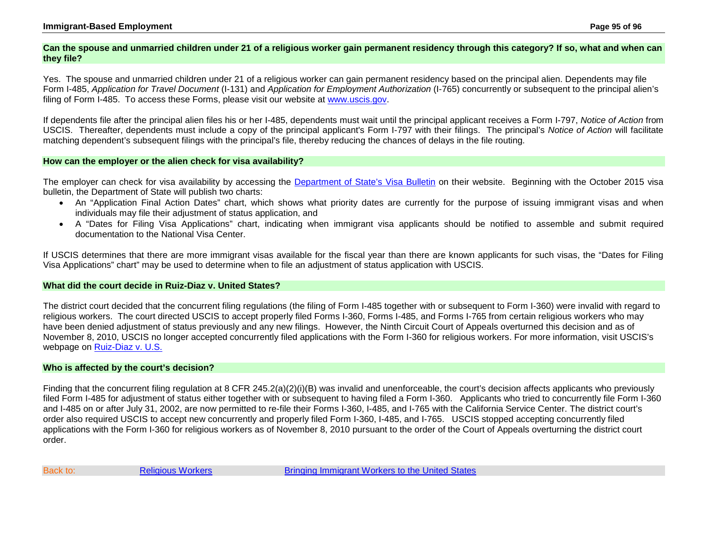### **Immigrant-Based Employment Page 95 of 96**

### <span id="page-94-0"></span>**Can the spouse and unmarried children under 21 of a religious worker gain permanent residency through this category? If so, what and when can they file?**

Yes. The spouse and unmarried children under 21 of a religious worker can gain permanent residency based on the principal alien. Dependents may file Form I-485, *Application for Travel Document* (I-131) and *Application for Employment Authorization* (I-765) concurrently or subsequent to the principal alien's filing of Form I-485. To access these Forms, please visit our website at www.uscis.gov.

If dependents file after the principal alien files his or her I-485, dependents must wait until the principal applicant receives a Form I-797, *Notice of Action* from USCIS. Thereafter, dependents must include a copy of the principal applicant's Form I-797 with their filings. The principal's *Notice of Action* will facilitate matching dependent's subsequent filings with the principal's file, thereby reducing the chances of delays in the file routing.

### <span id="page-94-1"></span>**How can the employer or the alien check for visa availability?**

The employer can check for visa availability by accessing the [Department of State's Visa Bulletin](http://travel.state.gov/content/visas/english/law-and-policy/bulletin.html) on their website. Beginning with the October 2015 visa bulletin, the Department of State will publish two charts:

- An "Application Final Action Dates" chart, which shows what priority dates are currently for the purpose of issuing immigrant visas and when individuals may file their adjustment of status application, and
- A "Dates for Filing Visa Applications" chart, indicating when immigrant visa applicants should be notified to assemble and submit required documentation to the National Visa Center.

If USCIS determines that there are more immigrant visas available for the fiscal year than there are known applicants for such visas, the "Dates for Filing Visa Applications" chart" may be used to determine when to file an adjustment of status application with USCIS.

### <span id="page-94-2"></span>**What did the court decide in Ruiz-Diaz v. United States?**

The district court decided that the concurrent filing regulations (the filing of Form I-485 together with or subsequent to Form I-360) were invalid with regard to religious workers. The court directed USCIS to accept properly filed Forms I-360, Forms I-485, and Forms I-765 from certain religious workers who may have been denied adjustment of status previously and any new filings. However, the Ninth Circuit Court of Appeals overturned this decision and as of November 8, 2010, USCIS no longer accepted concurrently filed applications with the Form I-360 for religious workers. For more information, visit USCIS's webpage on [Ruiz-Diaz v. U.S.](http://www.uscis.gov/laws/legal-settlement-notices/ruiz-diaz-v-united-states)

#### <span id="page-94-3"></span>**Who is affected by the court's decision?**

Finding that the concurrent filing regulation at 8 CFR 245.2(a)(2)(i)(B) was invalid and unenforceable, the court's decision affects applicants who previously filed Form I-485 for adjustment of status either together with or subsequent to having filed a Form I-360. Applicants who tried to concurrently file Form I-360 and I-485 on or after July 31, 2002, are now permitted to re-file their Forms I-360, I-485, and I-765 with the California Service Center. The district court's order also required USCIS to accept new concurrently and properly filed Form I-360, I-485, and I-765. USCIS stopped accepting concurrently filed applications with the Form I-360 for religious workers as of November 8, 2010 pursuant to the order of the Court of Appeals overturning the district court order.